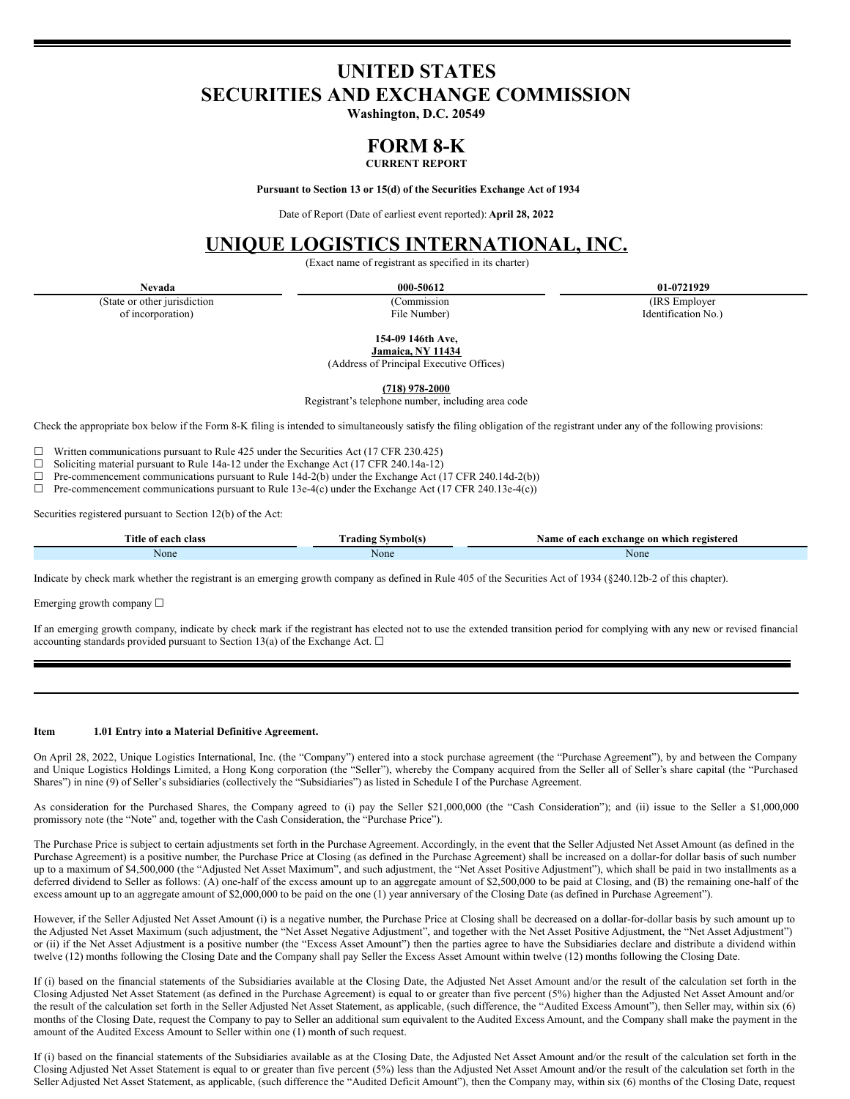# **UNITED STATES SECURITIES AND EXCHANGE COMMISSION**

**Washington, D.C. 20549**

# **FORM 8-K**

# **CURRENT REPORT**

**Pursuant to Section 13 or 15(d) of the Securities Exchange Act of 1934**

Date of Report (Date of earliest event reported): **April 28, 2022**

# **UNIQUE LOGISTICS INTERNATIONAL, INC.**

(Exact name of registrant as specified in its charter)

(State or other jurisdiction of incorporation)

(Commission File Number)

**Nevada 000-50612 01-0721929**

(IRS Employer Identification No.)

**154-09 146th Ave,**

**Jamaica, NY 11434**

(Address of Principal Executive Offices)

**(718) 978-2000**

Registrant's telephone number, including area code

Check the appropriate box below if the Form 8-K filing is intended to simultaneously satisfy the filing obligation of the registrant under any of the following provisions:

 $\Box$  Written communications pursuant to Rule 425 under the Securities Act (17 CFR 230.425)<br>  $\Box$  Soliciting material pursuant to Rule 14a-12 under the Exchange Act (17 CFR 240 14a-12)

□ Soliciting material pursuant to Rule 14a-12 under the Exchange Act (17 CFR 240.14a-12)<br>□ Pre-commencement communications pursuant to Rule 14d-2(b) under the Exchange Act (1

 $\Box$  Pre-commencement communications pursuant to Rule 14d-2(b) under the Exchange Act (17 CFR 240.14d-2(b))<br>  $\Box$  Pre-commencement communications pursuant to Rule 13e-4(c) under the Exchange Act (17 CFR 240.13e-4(c))

Pre-commencement communications pursuant to Rule 13e-4(c) under the Exchange Act (17 CFR 240.13e-4(c))

Securities registered pursuant to Section 12(b) of the Act:

| <b>Title</b><br>oloce<br>eact<br>е нам<br>. |      | registered<br>Vam<br>xchange<br>-on<br>which<br>each<br>$\mathbf{A}$<br>.<br>$\sim$ $\sim$ |
|---------------------------------------------|------|--------------------------------------------------------------------------------------------|
| None                                        | None | None                                                                                       |

Indicate by check mark whether the registrant is an emerging growth company as defined in Rule 405 of the Securities Act of 1934 (§240.12b-2 of this chapter).

Emerging growth company ☐

If an emerging growth company, indicate by check mark if the registrant has elected not to use the extended transition period for complying with any new or revised financial accounting standards provided pursuant to Section 13(a) of the Exchange Act.  $\Box$ 

#### **Item 1.01 Entry into a Material Definitive Agreement.**

On April 28, 2022, Unique Logistics International, Inc. (the "Company") entered into a stock purchase agreement (the "Purchase Agreement"), by and between the Company and Unique Logistics Holdings Limited, a Hong Kong corporation (the "Seller"), whereby the Company acquired from the Seller all of Seller's share capital (the "Purchased Shares") in nine (9) of Seller's subsidiaries (collectively the "Subsidiaries") as listed in Schedule I of the Purchase Agreement.

As consideration for the Purchased Shares, the Company agreed to (i) pay the Seller \$21,000,000 (the "Cash Consideration"); and (ii) issue to the Seller a \$1,000,000 promissory note (the "Note" and, together with the Cash Consideration, the "Purchase Price").

The Purchase Price is subject to certain adjustments set forth in the Purchase Agreement. Accordingly, in the event that the Seller Adjusted Net Asset Amount (as defined in the Purchase Agreement) is a positive number, the Purchase Price at Closing (as defined in the Purchase Agreement) shall be increased on a dollar-for dollar basis of such number up to a maximum of \$4,500,000 (the "Adjusted Net Asset Maximum", and such adjustment, the "Net Asset Positive Adjustment"), which shall be paid in two installments as a deferred dividend to Seller as follows: (A) one-half of the excess amount up to an aggregate amount of \$2,500,000 to be paid at Closing, and (B) the remaining one-half of the excess amount up to an aggregate amount of \$2,000,000 to be paid on the one (1) year anniversary of the Closing Date (as defined in Purchase Agreement").

However, if the Seller Adjusted Net Asset Amount (i) is a negative number, the Purchase Price at Closing shall be decreased on a dollar-for-dollar basis by such amount up to the Adjusted Net Asset Maximum (such adjustment, the "Net Asset Negative Adjustment", and together with the Net Asset Positive Adjustment, the "Net Asset Adjustment") or (ii) if the Net Asset Adjustment is a positive number (the "Excess Asset Amount") then the parties agree to have the Subsidiaries declare and distribute a dividend within twelve (12) months following the Closing Date and the Company shall pay Seller the Excess Asset Amount within twelve (12) months following the Closing Date.

If (i) based on the financial statements of the Subsidiaries available at the Closing Date, the Adjusted Net Asset Amount and/or the result of the calculation set forth in the Closing Adjusted Net Asset Statement (as defined in the Purchase Agreement) is equal to or greater than five percent (5%) higher than the Adjusted Net Asset Amount and/or the result of the calculation set forth in the Seller Adjusted Net Asset Statement, as applicable, (such difference, the "Audited Excess Amount"), then Seller may, within six (6) months of the Closing Date, request the Company to pay to Seller an additional sum equivalent to the Audited Excess Amount, and the Company shall make the payment in the amount of the Audited Excess Amount to Seller within one (1) month of such request.

If (i) based on the financial statements of the Subsidiaries available as at the Closing Date, the Adjusted Net Asset Amount and/or the result of the calculation set forth in the Closing Adjusted Net Asset Statement is equal to or greater than five percent (5%) less than the Adjusted Net Asset Amount and/or the result of the calculation set forth in the Seller Adjusted Net Asset Statement, as applicable, (such difference the "Audited Deficit Amount"), then the Company may, within six (6) months of the Closing Date, request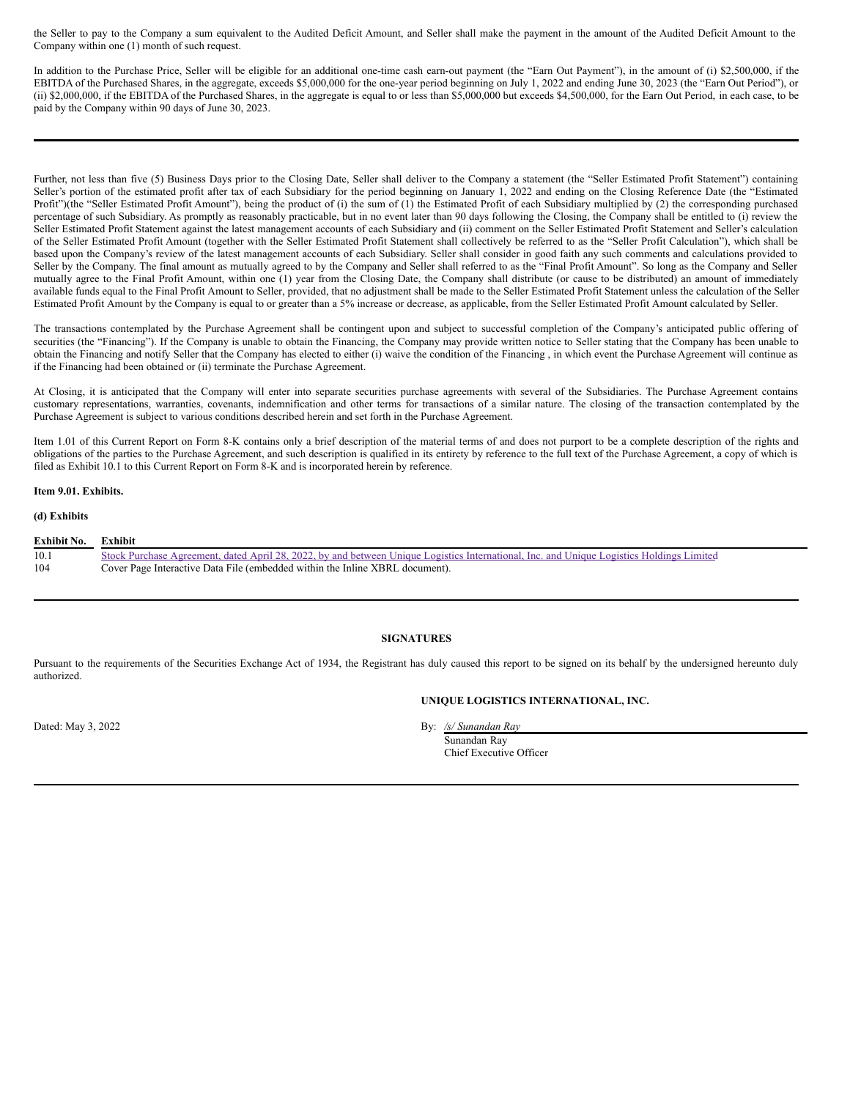the Seller to pay to the Company a sum equivalent to the Audited Deficit Amount, and Seller shall make the payment in the amount of the Audited Deficit Amount to the Company within one (1) month of such request.

In addition to the Purchase Price, Seller will be eligible for an additional one-time cash earn-out payment (the "Earn Out Payment"), in the amount of (i) \$2,500,000, if the EBITDA of the Purchased Shares, in the aggregate, exceeds \$5,000,000 for the one-year period beginning on July 1, 2022 and ending June 30, 2023 (the "Earn Out Period"), or (ii) \$2,000,000, if the EBITDA of the Purchased Shares, in the aggregate is equal to or less than \$5,000,000 but exceeds \$4,500,000, for the Earn Out Period, in each case, to be paid by the Company within 90 days of June 30, 2023.

Further, not less than five (5) Business Days prior to the Closing Date, Seller shall deliver to the Company a statement (the "Seller Estimated Profit Statement") containing Seller's portion of the estimated profit after tax of each Subsidiary for the period beginning on January 1, 2022 and ending on the Closing Reference Date (the "Estimated Profit")(the "Seller Estimated Profit Amount"), being the product of (i) the sum of (1) the Estimated Profit of each Subsidiary multiplied by (2) the corresponding purchased percentage of such Subsidiary. As promptly as reasonably practicable, but in no event later than 90 days following the Closing, the Company shall be entitled to (i) review the Seller Estimated Profit Statement against the latest management accounts of each Subsidiary and (ii) comment on the Seller Estimated Profit Statement and Seller's calculation of the Seller Estimated Profit Amount (together with the Seller Estimated Profit Statement shall collectively be referred to as the "Seller Profit Calculation"), which shall be based upon the Company's review of the latest management accounts of each Subsidiary. Seller shall consider in good faith any such comments and calculations provided to Seller by the Company. The final amount as mutually agreed to by the Company and Seller shall referred to as the "Final Profit Amount". So long as the Company and Seller mutually agree to the Final Profit Amount, within one (1) year from the Closing Date, the Company shall distribute (or cause to be distributed) an amount of immediately available funds equal to the Final Profit Amount to Seller, provided, that no adjustment shall be made to the Seller Estimated Profit Statement unless the calculation of the Seller Estimated Profit Amount by the Company is equal to or greater than a 5% increase or decrease, as applicable, from the Seller Estimated Profit Amount calculated by Seller.

The transactions contemplated by the Purchase Agreement shall be contingent upon and subject to successful completion of the Company's anticipated public offering of securities (the "Financing"). If the Company is unable to obtain the Financing, the Company may provide written notice to Seller stating that the Company has been unable to obtain the Financing and notify Seller that the Company has elected to either (i) waive the condition of the Financing , in which event the Purchase Agreement will continue as if the Financing had been obtained or (ii) terminate the Purchase Agreement.

At Closing, it is anticipated that the Company will enter into separate securities purchase agreements with several of the Subsidiaries. The Purchase Agreement contains customary representations, warranties, covenants, indemnification and other terms for transactions of a similar nature. The closing of the transaction contemplated by the Purchase Agreement is subject to various conditions described herein and set forth in the Purchase Agreement.

Item 1.01 of this Current Report on Form 8-K contains only a brief description of the material terms of and does not purport to be a complete description of the rights and obligations of the parties to the Purchase Agreement, and such description is qualified in its entirety by reference to the full text of the Purchase Agreement, a copy of which is filed as Exhibit 10.1 to this Current Report on Form 8-K and is incorporated herein by reference.

#### **Item 9.01. Exhibits.**

#### **(d) Exhibits**

| <b>Exhibit No.</b> | Exhibit                                                                                                                                   |
|--------------------|-------------------------------------------------------------------------------------------------------------------------------------------|
| 10.1               | Stock Purchase Agreement, dated April 28, 2022, by and between Unique Logistics International, Inc. and Unique Logistics Holdings Limited |
| 104                | Cover Page Interactive Data File (embedded within the Inline XBRL document).                                                              |

#### **SIGNATURES**

Pursuant to the requirements of the Securities Exchange Act of 1934, the Registrant has duly caused this report to be signed on its behalf by the undersigned hereunto duly authorized.

**UNIQUE LOGISTICS INTERNATIONAL, INC.**

Dated: May 3, 2022 By: */s/ Sunandan Ray*

Sunandan Ray Chief Executive Officer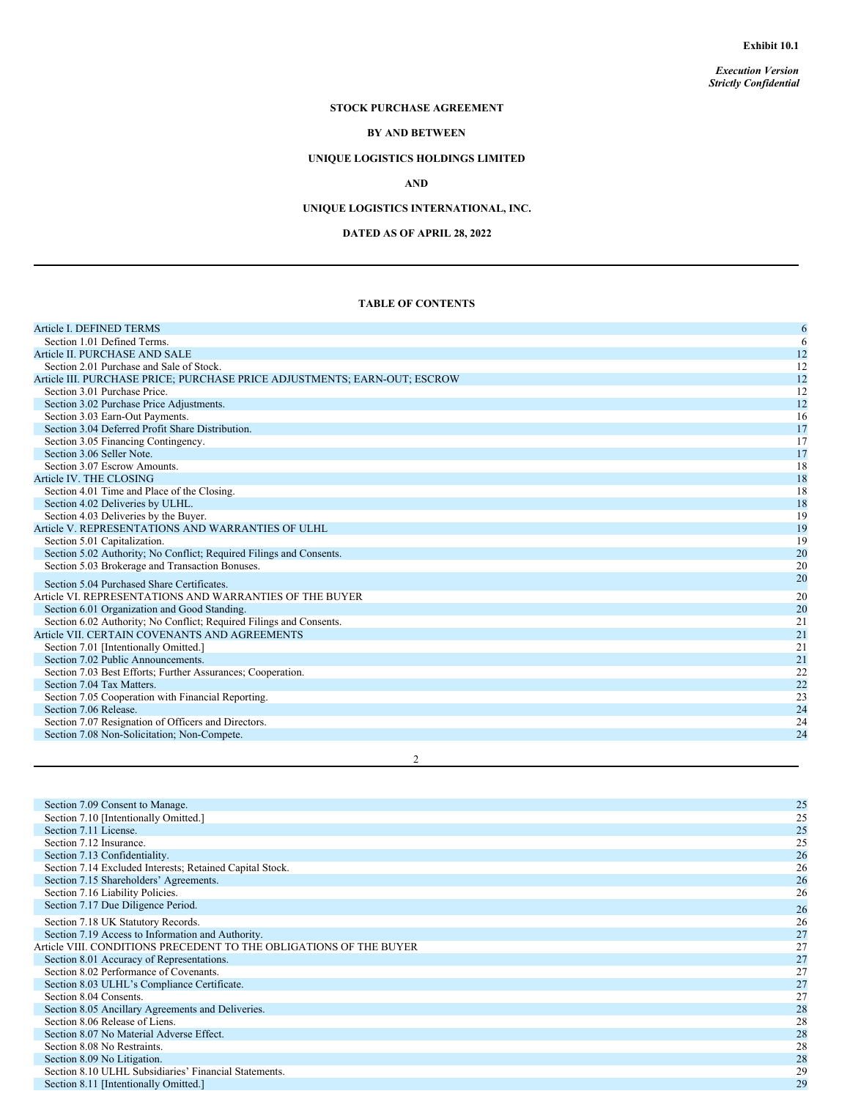*Execution Version Strictly Confidential*

# **STOCK PURCHASE AGREEMENT**

# **BY AND BETWEEN**

# **UNIQUE LOGISTICS HOLDINGS LIMITED**

# **AND**

# **UNIQUE LOGISTICS INTERNATIONAL, INC.**

# **DATED AS OF APRIL 28, 2022**

### **TABLE OF CONTENTS**

| Article I. DEFINED TERMS                                                  | 6  |
|---------------------------------------------------------------------------|----|
| Section 1.01 Defined Terms.                                               | 6  |
| Article II. PURCHASE AND SALE                                             | 12 |
| Section 2.01 Purchase and Sale of Stock.                                  | 12 |
| Article III. PURCHASE PRICE; PURCHASE PRICE ADJUSTMENTS; EARN-OUT; ESCROW | 12 |
| Section 3.01 Purchase Price.                                              | 12 |
| Section 3.02 Purchase Price Adjustments.                                  | 12 |
| Section 3.03 Earn-Out Payments.                                           | 16 |
| Section 3.04 Deferred Profit Share Distribution.                          | 17 |
| Section 3.05 Financing Contingency.                                       | 17 |
| Section 3.06 Seller Note.                                                 | 17 |
| Section 3.07 Escrow Amounts.                                              | 18 |
| Article IV. THE CLOSING                                                   | 18 |
| Section 4.01 Time and Place of the Closing.                               | 18 |
| Section 4.02 Deliveries by ULHL.                                          | 18 |
| Section 4.03 Deliveries by the Buyer.                                     | 19 |
| Article V. REPRESENTATIONS AND WARRANTIES OF ULHL                         | 19 |
| Section 5.01 Capitalization.                                              | 19 |
| Section 5.02 Authority; No Conflict; Required Filings and Consents.       | 20 |
| Section 5.03 Brokerage and Transaction Bonuses.                           | 20 |
| Section 5.04 Purchased Share Certificates.                                | 20 |
| Article VI. REPRESENTATIONS AND WARRANTIES OF THE BUYER                   | 20 |
| Section 6.01 Organization and Good Standing.                              | 20 |
| Section 6.02 Authority; No Conflict; Required Filings and Consents.       | 21 |
| Article VII. CERTAIN COVENANTS AND AGREEMENTS                             | 21 |
| Section 7.01 [Intentionally Omitted.]                                     | 21 |
| Section 7.02 Public Announcements.                                        | 21 |
| Section 7.03 Best Efforts; Further Assurances; Cooperation.               | 22 |
| Section 7.04 Tax Matters.                                                 | 22 |
| Section 7.05 Cooperation with Financial Reporting.                        | 23 |
| Section 7.06 Release.                                                     | 24 |
| Section 7.07 Resignation of Officers and Directors.                       | 24 |
| Section 7.08 Non-Solicitation; Non-Compete.                               | 24 |
| $\overline{c}$                                                            |    |

| Section 7.09 Consent to Manage.                                    | 25 |
|--------------------------------------------------------------------|----|
| Section 7.10 [Intentionally Omitted.]                              | 25 |
| Section 7.11 License.                                              | 25 |
| Section 7.12 Insurance.                                            | 25 |
| Section 7.13 Confidentiality.                                      | 26 |
| Section 7.14 Excluded Interests; Retained Capital Stock.           | 26 |
| Section 7.15 Shareholders' Agreements.                             | 26 |
| Section 7.16 Liability Policies.                                   | 26 |
| Section 7.17 Due Diligence Period.                                 | 26 |
| Section 7.18 UK Statutory Records.                                 | 26 |
| Section 7.19 Access to Information and Authority.                  | 27 |
| Article VIII. CONDITIONS PRECEDENT TO THE OBLIGATIONS OF THE BUYER | 27 |
| Section 8.01 Accuracy of Representations.                          | 27 |
| Section 8.02 Performance of Covenants.                             | 27 |
| Section 8.03 ULHL's Compliance Certificate.                        | 27 |
| Section 8.04 Consents.                                             | 27 |
| Section 8.05 Ancillary Agreements and Deliveries.                  | 28 |
| Section 8.06 Release of Liens.                                     | 28 |
| Section 8.07 No Material Adverse Effect.                           | 28 |
| Section 8.08 No Restraints.                                        | 28 |
| Section 8.09 No Litigation.                                        | 28 |
| Section 8.10 ULHL Subsidiaries' Financial Statements.              | 29 |
| Section 8.11 [Intentionally Omitted.]                              | 29 |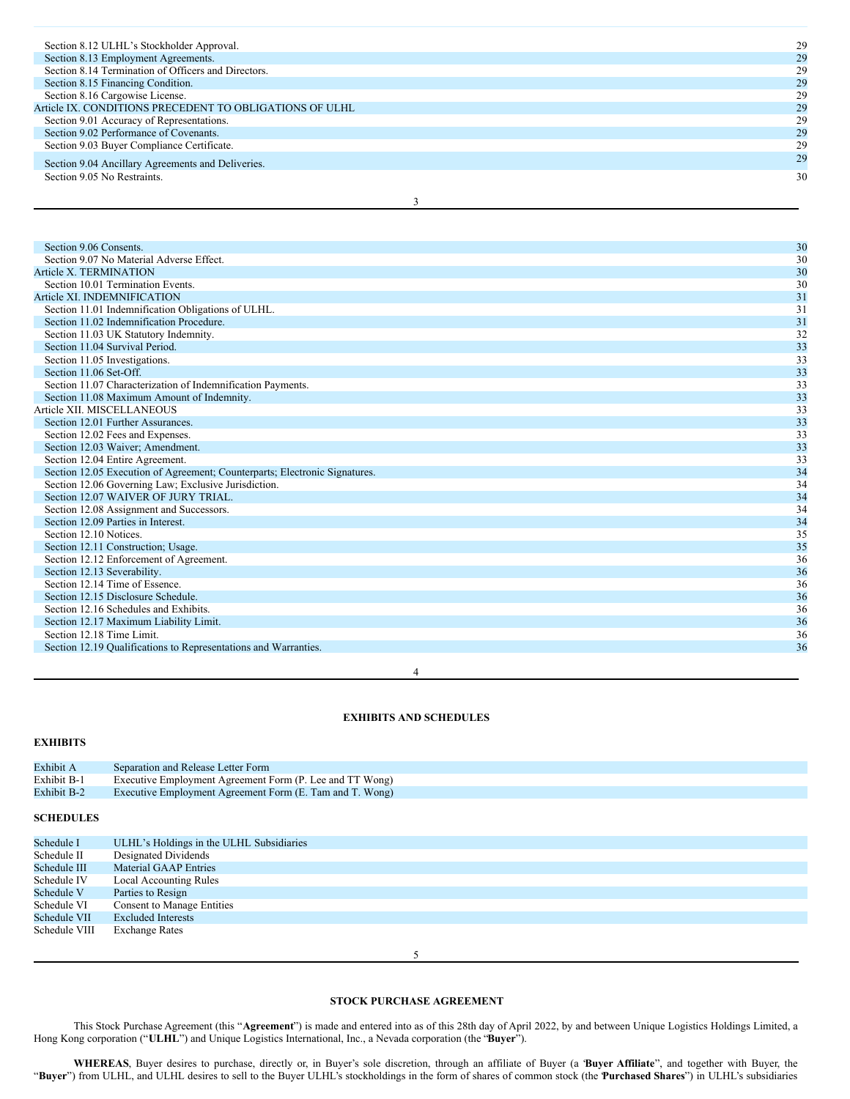| Section 8.12 ULHL's Stockholder Approval.               | 29 |
|---------------------------------------------------------|----|
| Section 8.13 Employment Agreements.                     | 29 |
| Section 8.14 Termination of Officers and Directors.     | 29 |
| Section 8.15 Financing Condition.                       | 29 |
| Section 8.16 Cargowise License.                         | 29 |
| Article IX. CONDITIONS PRECEDENT TO OBLIGATIONS OF ULHL | 29 |
| Section 9.01 Accuracy of Representations.               | 29 |
| Section 9.02 Performance of Covenants.                  | 29 |
| Section 9.03 Buyer Compliance Certificate.              | 29 |
| Section 9.04 Ancillary Agreements and Deliveries.       | 29 |
| Section 9.05 No Restraints.                             | 30 |
|                                                         |    |

3

# Section 9.06 Consents. 30<br>Section 9.07 No Material Adverse Effect. 30 Section 9.07 No Material Adverse Effect.

| Article X. TERMINATION                                                     | 30 |
|----------------------------------------------------------------------------|----|
| Section 10.01 Termination Events.                                          | 30 |
| Article XI. INDEMNIFICATION                                                | 31 |
| Section 11.01 Indemnification Obligations of ULHL.                         | 31 |
| Section 11.02 Indemnification Procedure.                                   | 31 |
| Section 11.03 UK Statutory Indemnity.                                      | 32 |
| Section 11.04 Survival Period.                                             | 33 |
| Section 11.05 Investigations.                                              | 33 |
| Section 11.06 Set-Off.                                                     | 33 |
| Section 11.07 Characterization of Indemnification Payments.                | 33 |
| Section 11.08 Maximum Amount of Indemnity.                                 | 33 |
| Article XII. MISCELLANEOUS                                                 | 33 |
| Section 12.01 Further Assurances.                                          | 33 |
| Section 12.02 Fees and Expenses.                                           | 33 |
| Section 12.03 Waiver; Amendment.                                           | 33 |
| Section 12.04 Entire Agreement.                                            | 33 |
| Section 12.05 Execution of Agreement; Counterparts; Electronic Signatures. | 34 |
| Section 12.06 Governing Law; Exclusive Jurisdiction.                       | 34 |
| Section 12.07 WAIVER OF JURY TRIAL.                                        | 34 |
| Section 12.08 Assignment and Successors.                                   | 34 |
| Section 12.09 Parties in Interest.                                         | 34 |
| Section 12.10 Notices.                                                     | 35 |
| Section 12.11 Construction; Usage.                                         | 35 |
| Section 12.12 Enforcement of Agreement.                                    | 36 |
| Section 12.13 Severability.                                                | 36 |
| Section 12.14 Time of Essence.                                             | 36 |
| Section 12.15 Disclosure Schedule.                                         | 36 |
| Section 12.16 Schedules and Exhibits.                                      | 36 |
| Section 12.17 Maximum Liability Limit.                                     | 36 |
| Section 12.18 Time Limit.                                                  | 36 |
| Section 12.19 Qualifications to Representations and Warranties.            | 36 |
|                                                                            |    |

4

#### **EXHIBITS AND SCHEDULES**

# **EXHIBITS**

| Exhibit A          | Separation and Release Letter Form                       |
|--------------------|----------------------------------------------------------|
| Exhibit B-1        | Executive Employment Agreement Form (P. Lee and TT Wong) |
| <b>Exhibit B-2</b> | Executive Employment Agreement Form (E. Tam and T. Wong) |
|                    |                                                          |

# **SCHEDULES**

| Schedule I    | ULHL's Holdings in the ULHL Subsidiaries |
|---------------|------------------------------------------|
| Schedule II   | Designated Dividends                     |
| Schedule III  | <b>Material GAAP Entries</b>             |
| Schedule IV   | <b>Local Accounting Rules</b>            |
| Schedule V    | Parties to Resign                        |
| Schedule VI   | <b>Consent to Manage Entities</b>        |
| Schedule VII  | <b>Excluded Interests</b>                |
| Schedule VIII | <b>Exchange Rates</b>                    |
|               |                                          |

5

### **STOCK PURCHASE AGREEMENT**

This Stock Purchase Agreement (this "**Agreement**") is made and entered into as of this 28th day of April 2022, by and between Unique Logistics Holdings Limited, a Hong Kong corporation ("**ULHL**") and Unique Logistics International, Inc., a Nevada corporation (the "**Buyer**").

**WHEREAS**, Buyer desires to purchase, directly or, in Buyer's sole discretion, through an affiliate of Buyer (a "**Buyer Affiliate**", and together with Buyer, the "**Buyer**") from ULHL, and ULHL desires to sell to the Buyer ULHL's stockholdings in the form of shares of common stock (the "**Purchased Shares**") in ULHL's subsidiaries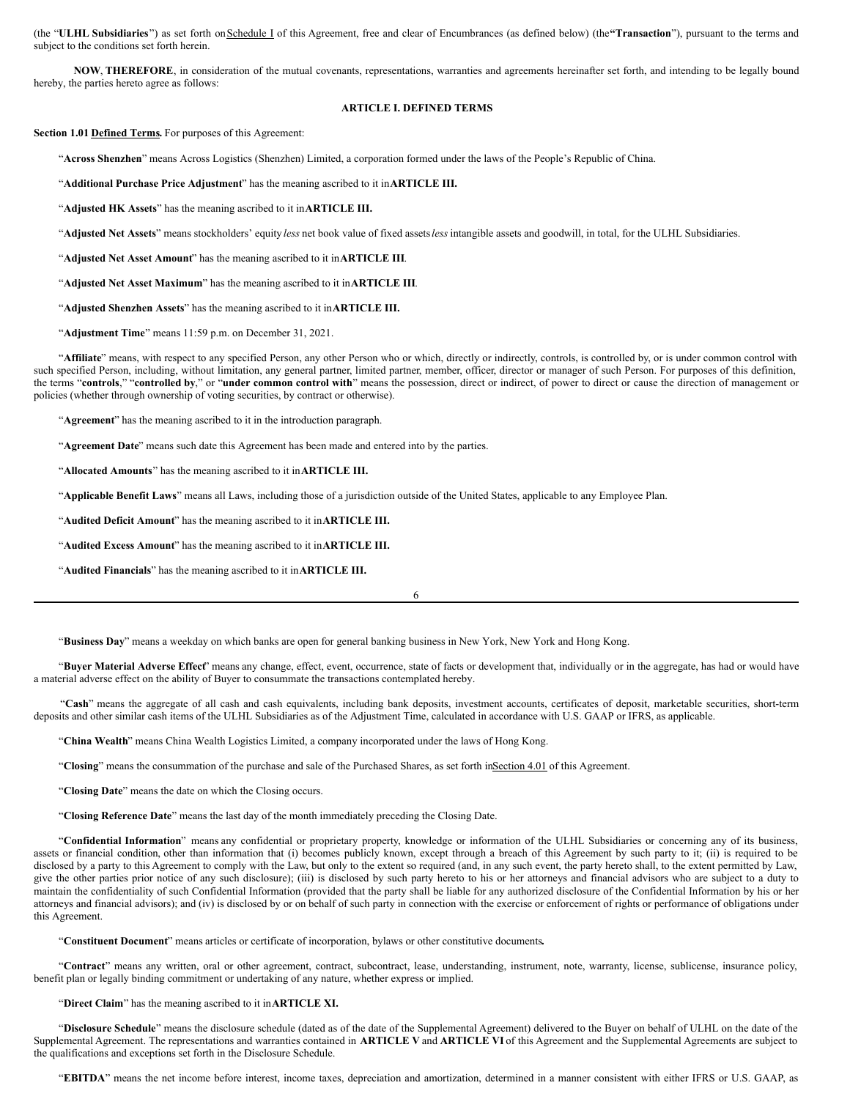(the "**ULHL Subsidiaries**") as set forth onSchedule I of this Agreement, free and clear of Encumbrances (as defined below) (the**"Transaction**"), pursuant to the terms and subject to the conditions set forth herein.

**NOW**, **THEREFORE**, in consideration of the mutual covenants, representations, warranties and agreements hereinafter set forth, and intending to be legally bound hereby, the parties hereto agree as follows:

#### **ARTICLE I. DEFINED TERMS**

#### **Section 1.01 Defined Terms.** For purposes of this Agreement:

"**Across Shenzhen**" means Across Logistics (Shenzhen) Limited, a corporation formed under the laws of the People's Republic of China.

"**Additional Purchase Price Adjustment**" has the meaning ascribed to it in**ARTICLE III.**

"**Adjusted HK Assets**" has the meaning ascribed to it in**ARTICLE III.**

"**Adjusted Net Assets**" means stockholders' equity *less* net book value of fixed assets*less* intangible assets and goodwill, in total, for the ULHL Subsidiaries.

"**Adjusted Net Asset Amount**" has the meaning ascribed to it in**ARTICLE III**.

"**Adjusted Net Asset Maximum**" has the meaning ascribed to it in**ARTICLE III**.

"**Adjusted Shenzhen Assets**" has the meaning ascribed to it in**ARTICLE III.**

"**Adjustment Time**" means 11:59 p.m. on December 31, 2021.

"Affiliate" means, with respect to any specified Person, any other Person who or which, directly or indirectly, controls, is controlled by, or is under common control with such specified Person, including, without limitation, any general partner, limited partner, member, officer, director or manager of such Person. For purposes of this definition, the terms "**controls**," "**controlled by**," or "**under common control with**" means the possession, direct or indirect, of power to direct or cause the direction of management or policies (whether through ownership of voting securities, by contract or otherwise).

"**Agreement**" has the meaning ascribed to it in the introduction paragraph.

"**Agreement Date**" means such date this Agreement has been made and entered into by the parties.

"**Allocated Amounts**" has the meaning ascribed to it in**ARTICLE III.**

"**Applicable Benefit Laws**" means all Laws, including those of a jurisdiction outside of the United States, applicable to any Employee Plan.

"**Audited Deficit Amount**" has the meaning ascribed to it in**ARTICLE III.**

"**Audited Excess Amount**" has the meaning ascribed to it in**ARTICLE III.**

"**Audited Financials**" has the meaning ascribed to it in**ARTICLE III.**

6

"**Business Day**" means a weekday on which banks are open for general banking business in New York, New York and Hong Kong.

"**Buyer Material Adverse Effect**" means any change, effect, event, occurrence, state of facts or development that, individually or in the aggregate, has had or would have a material adverse effect on the ability of Buyer to consummate the transactions contemplated hereby.

"**Cash**" means the aggregate of all cash and cash equivalents, including bank deposits, investment accounts, certificates of deposit, marketable securities, short-term deposits and other similar cash items of the ULHL Subsidiaries as of the Adjustment Time, calculated in accordance with U.S. GAAP or IFRS, as applicable.

"**China Wealth**" means China Wealth Logistics Limited, a company incorporated under the laws of Hong Kong.

"Closing" means the consummation of the purchase and sale of the Purchased Shares, as set forth inSection 4.01 of this Agreement.

"**Closing Date**" means the date on which the Closing occurs.

"**Closing Reference Date**" means the last day of the month immediately preceding the Closing Date.

"**Confidential Information**" means any confidential or proprietary property, knowledge or information of the ULHL Subsidiaries or concerning any of its business, assets or financial condition, other than information that (i) becomes publicly known, except through a breach of this Agreement by such party to it; (ii) is required to be disclosed by a party to this Agreement to comply with the Law, but only to the extent so required (and, in any such event, the party hereto shall, to the extent permitted by Law, give the other parties prior notice of any such disclosure); (iii) is disclosed by such party hereto to his or her attorneys and financial advisors who are subject to a duty to maintain the confidentiality of such Confidential Information (provided that the party shall be liable for any authorized disclosure of the Confidential Information by his or her attorneys and financial advisors); and (iv) is disclosed by or on behalf of such party in connection with the exercise or enforcement of rights or performance of obligations under this Agreement.

"**Constituent Document**" means articles or certificate of incorporation, bylaws or other constitutive documents**.**

"**Contract**" means any written, oral or other agreement, contract, subcontract, lease, understanding, instrument, note, warranty, license, sublicense, insurance policy, benefit plan or legally binding commitment or undertaking of any nature, whether express or implied.

"**Direct Claim**" has the meaning ascribed to it in**ARTICLE XI.**

"**Disclosure Schedule**" means the disclosure schedule (dated as of the date of the Supplemental Agreement) delivered to the Buyer on behalf of ULHL on the date of the Supplemental Agreement. The representations and warranties contained in **ARTICLE V** and **ARTICLE VI** of this Agreement and the Supplemental Agreements are subject to the qualifications and exceptions set forth in the Disclosure Schedule.

"**EBITDA**" means the net income before interest, income taxes, depreciation and amortization, determined in a manner consistent with either IFRS or U.S. GAAP, as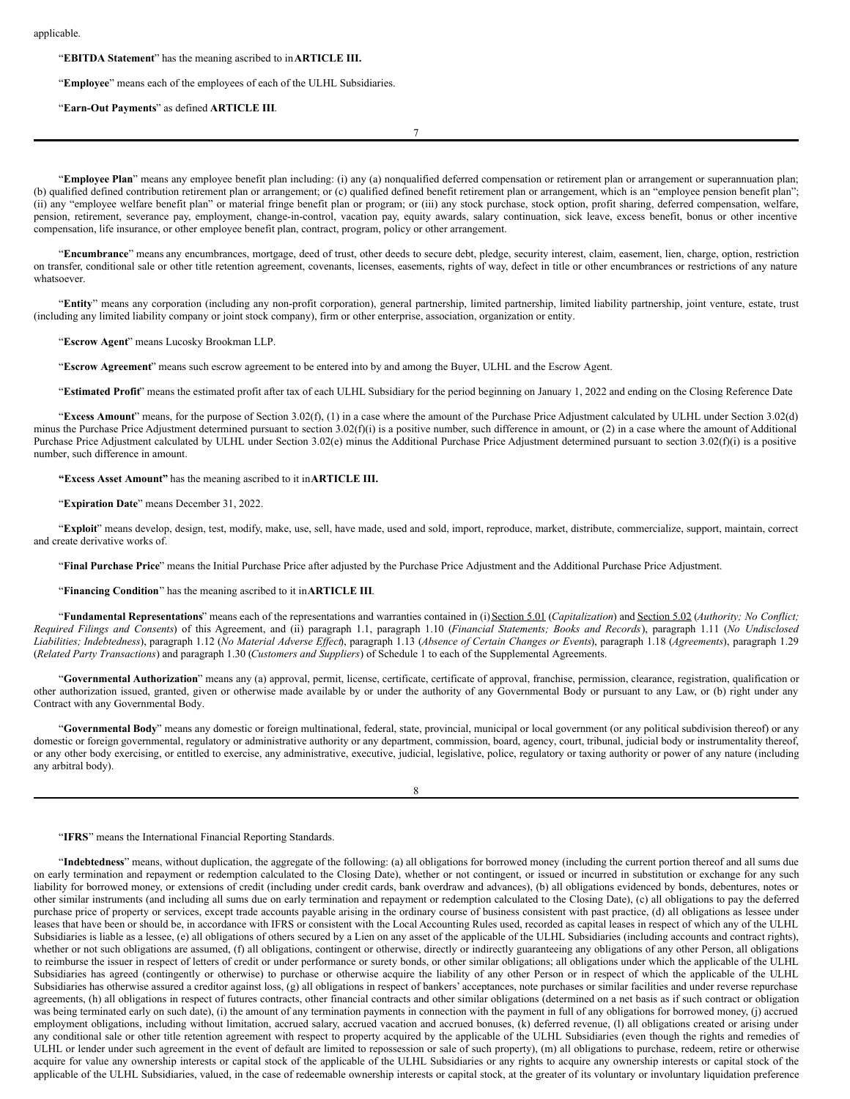#### applicable.

#### "**EBITDA Statement**" has the meaning ascribed to in**ARTICLE III.**

"**Employee**" means each of the employees of each of the ULHL Subsidiaries.

"**Earn-Out Payments**" as defined **ARTICLE III**.

7

"**Employee Plan**" means any employee benefit plan including: (i) any (a) nonqualified deferred compensation or retirement plan or arrangement or superannuation plan; (b) qualified defined contribution retirement plan or arrangement; or (c) qualified defined benefit retirement plan or arrangement, which is an "employee pension benefit plan"; (ii) any "employee welfare benefit plan" or material fringe benefit plan or program; or (iii) any stock purchase, stock option, profit sharing, deferred compensation, welfare, pension, retirement, severance pay, employment, change-in-control, vacation pay, equity awards, salary continuation, sick leave, excess benefit, bonus or other incentive compensation, life insurance, or other employee benefit plan, contract, program, policy or other arrangement.

"**Encumbrance**" means any encumbrances, mortgage, deed of trust, other deeds to secure debt, pledge, security interest, claim, easement, lien, charge, option, restriction on transfer, conditional sale or other title retention agreement, covenants, licenses, easements, rights of way, defect in title or other encumbrances or restrictions of any nature whatsoever.

"**Entity**" means any corporation (including any non-profit corporation), general partnership, limited partnership, limited liability partnership, joint venture, estate, trust (including any limited liability company or joint stock company), firm or other enterprise, association, organization or entity.

"**Escrow Agent**" means Lucosky Brookman LLP.

"**Escrow Agreement**" means such escrow agreement to be entered into by and among the Buyer, ULHL and the Escrow Agent.

"**Estimated Profit**" means the estimated profit after tax of each ULHL Subsidiary for the period beginning on January 1, 2022 and ending on the Closing Reference Date.

"**Excess Amount**" means, for the purpose of Section 3.02(f), (1) in a case where the amount of the Purchase Price Adjustment calculated by ULHL under Section 3.02(d) minus the Purchase Price Adjustment determined pursuant to section 3.02(f)(i) is a positive number, such difference in amount, or (2) in a case where the amount of Additional Purchase Price Adjustment calculated by ULHL under Section 3.02(e) minus the Additional Purchase Price Adjustment determined pursuant to section 3.02(f)(i) is a positive number, such difference in amount.

**"Excess Asset Amount"** has the meaning ascribed to it in**ARTICLE III.**

"**Expiration Date**" means December 31, 2022.

"**Exploit**" means develop, design, test, modify, make, use, sell, have made, used and sold, import, reproduce, market, distribute, commercialize, support, maintain, correct and create derivative works of.

"**Final Purchase Price**" means the Initial Purchase Price after adjusted by the Purchase Price Adjustment and the Additional Purchase Price Adjustment.

"**Financing Condition**" has the meaning ascribed to it in**ARTICLE III**.

"**Fundamental Representations**" means each of the representations and warranties contained in (i) Section 5.01 (*Capitalization*) and Section 5.02 (*Authority; No Conflict;* Required Filings and Consents) of this Agreement, and (ii) paragraph 1.1, paragraph 1.10 (Financial Statements; Books and Records), paragraph 1.11 (No Undisclosed Liabilities; Indebtedness), paragraph 1.12 (No Material Adverse Effect), paragraph 1.13 (Absence of Certain Changes or Events), paragraph 1.18 (Agreements), paragraph 1.29 (*Related Party Transactions*) and paragraph 1.30 (*Customers and Suppliers*) of Schedule 1 to each of the Supplemental Agreements.

"**Governmental Authorization**" means any (a) approval, permit, license, certificate, certificate of approval, franchise, permission, clearance, registration, qualification or other authorization issued, granted, given or otherwise made available by or under the authority of any Governmental Body or pursuant to any Law, or (b) right under any Contract with any Governmental Body.

"**Governmental Body**" means any domestic or foreign multinational, federal, state, provincial, municipal or local government (or any political subdivision thereof) or any domestic or foreign governmental, regulatory or administrative authority or any department, commission, board, agency, court, tribunal, judicial body or instrumentality thereof, or any other body exercising, or entitled to exercise, any administrative, executive, judicial, legislative, police, regulatory or taxing authority or power of any nature (including any arbitral body).

8

"**IFRS**" means the International Financial Reporting Standards.

"**Indebtedness**" means, without duplication, the aggregate of the following: (a) all obligations for borrowed money (including the current portion thereof and all sums due on early termination and repayment or redemption calculated to the Closing Date), whether or not contingent, or issued or incurred in substitution or exchange for any such liability for borrowed money, or extensions of credit (including under credit cards, bank overdraw and advances), (b) all obligations evidenced by bonds, debentures, notes or other similar instruments (and including all sums due on early termination and repayment or redemption calculated to the Closing Date), (c) all obligations to pay the deferred purchase price of property or services, except trade accounts payable arising in the ordinary course of business consistent with past practice, (d) all obligations as lessee under leases that have been or should be, in accordance with IFRS or consistent with the Local Accounting Rules used, recorded as capital leases in respect of which any of the ULHL Subsidiaries is liable as a lessee, (e) all obligations of others secured by a Lien on any asset of the applicable of the ULHL Subsidiaries (including accounts and contract rights), whether or not such obligations are assumed, (f) all obligations, contingent or otherwise, directly or indirectly guaranteeing any obligations of any other Person, all obligations to reimburse the issuer in respect of letters of credit or under performance or surety bonds, or other similar obligations; all obligations under which the applicable of the ULHL Subsidiaries has agreed (contingently or otherwise) to purchase or otherwise acquire the liability of any other Person or in respect of which the applicable of the ULHL Subsidiaries has otherwise assured a creditor against loss, (g) all obligations in respect of bankers' acceptances, note purchases or similar facilities and under reverse repurchase agreements, (h) all obligations in respect of futures contracts, other financial contracts and other similar obligations (determined on a net basis as if such contract or obligation was being terminated early on such date), (i) the amount of any termination payments in connection with the payment in full of any obligations for borrowed money, (j) accrued employment obligations, including without limitation, accrued salary, accrued vacation and accrued bonuses, (k) deferred revenue, (l) all obligations created or arising under any conditional sale or other title retention agreement with respect to property acquired by the applicable of the ULHL Subsidiaries (even though the rights and remedies of ULHL or lender under such agreement in the event of default are limited to repossession or sale of such property), (m) all obligations to purchase, redeem, retire or otherwise acquire for value any ownership interests or capital stock of the applicable of the ULHL Subsidiaries or any rights to acquire any ownership interests or capital stock of the applicable of the ULHL Subsidiaries, valued, in the case of redeemable ownership interests or capital stock, at the greater of its voluntary or involuntary liquidation preference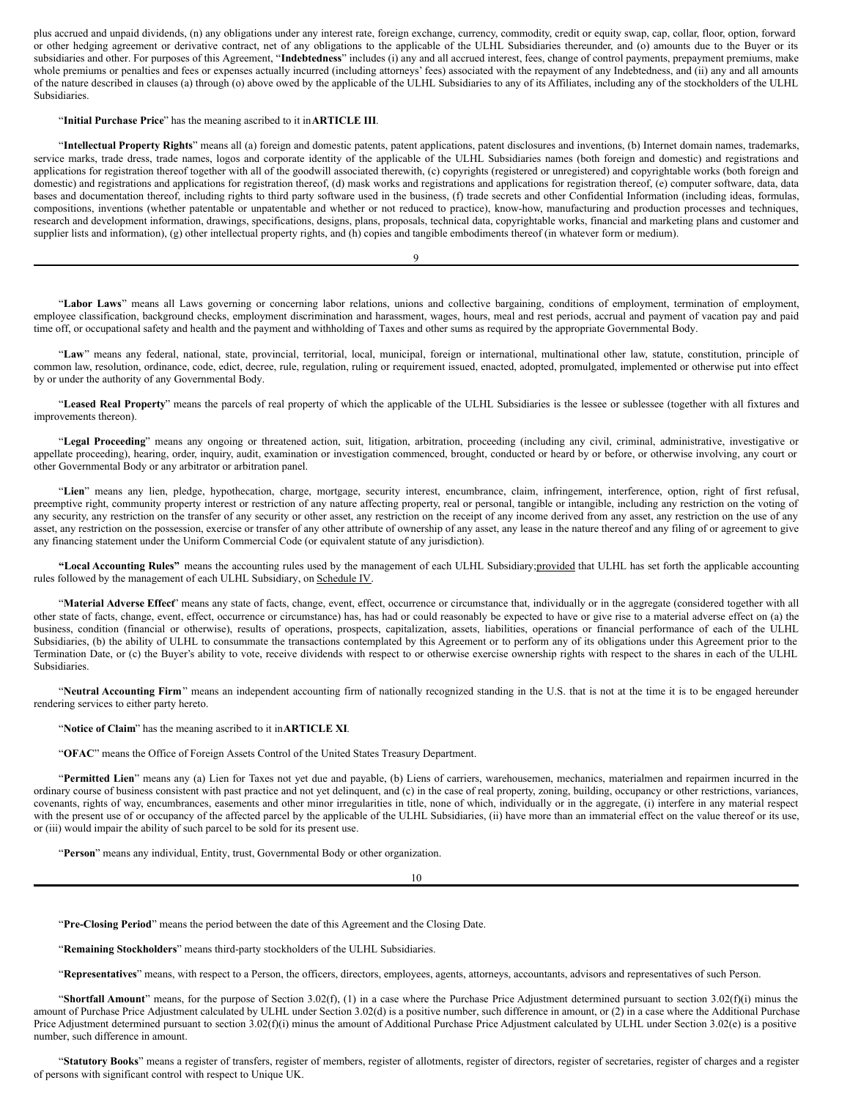plus accrued and unpaid dividends, (n) any obligations under any interest rate, foreign exchange, currency, commodity, credit or equity swap, cap, collar, floor, option, forward or other hedging agreement or derivative contract, net of any obligations to the applicable of the ULHL Subsidiaries thereunder, and (o) amounts due to the Buyer or its subsidiaries and other. For purposes of this Agreement, "**Indebtedness**" includes (i) any and all accrued interest, fees, change of control payments, prepayment premiums, make whole premiums or penalties and fees or expenses actually incurred (including attorneys' fees) associated with the repayment of any Indebtedness, and (ii) any and all amounts of the nature described in clauses (a) through (o) above owed by the applicable of the ULHL Subsidiaries to any of its Affiliates, including any of the stockholders of the ULHL Subsidiaries.

#### "**Initial Purchase Price**" has the meaning ascribed to it in**ARTICLE III**.

"**Intellectual Property Rights**" means all (a) foreign and domestic patents, patent applications, patent disclosures and inventions, (b) Internet domain names, trademarks, service marks, trade dress, trade names, logos and corporate identity of the applicable of the ULHL Subsidiaries names (both foreign and domestic) and registrations and applications for registration thereof together with all of the goodwill associated therewith, (c) copyrights (registered or unregistered) and copyrightable works (both foreign and domestic) and registrations and applications for registration thereof, (d) mask works and registrations and applications for registration thereof, (e) computer software, data, data bases and documentation thereof, including rights to third party software used in the business, (f) trade secrets and other Confidential Information (including ideas, formulas, compositions, inventions (whether patentable or unpatentable and whether or not reduced to practice), know-how, manufacturing and production processes and techniques, research and development information, drawings, specifications, designs, plans, proposals, technical data, copyrightable works, financial and marketing plans and customer and supplier lists and information), (g) other intellectual property rights, and (h) copies and tangible embodiments thereof (in whatever form or medium).

"**Labor Laws**" means all Laws governing or concerning labor relations, unions and collective bargaining, conditions of employment, termination of employment, employee classification, background checks, employment discrimination and harassment, wages, hours, meal and rest periods, accrual and payment of vacation pay and paid time off, or occupational safety and health and the payment and withholding of Taxes and other sums as required by the appropriate Governmental Body.

9

"**Law**" means any federal, national, state, provincial, territorial, local, municipal, foreign or international, multinational other law, statute, constitution, principle of common law, resolution, ordinance, code, edict, decree, rule, regulation, ruling or requirement issued, enacted, adopted, promulgated, implemented or otherwise put into effect by or under the authority of any Governmental Body.

"**Leased Real Property**" means the parcels of real property of which the applicable of the ULHL Subsidiaries is the lessee or sublessee (together with all fixtures and improvements thereon).

"**Legal Proceeding**" means any ongoing or threatened action, suit, litigation, arbitration, proceeding (including any civil, criminal, administrative, investigative or appellate proceeding), hearing, order, inquiry, audit, examination or investigation commenced, brought, conducted or heard by or before, or otherwise involving, any court or other Governmental Body or any arbitrator or arbitration panel.

"**Lien**" means any lien, pledge, hypothecation, charge, mortgage, security interest, encumbrance, claim, infringement, interference, option, right of first refusal, preemptive right, community property interest or restriction of any nature affecting property, real or personal, tangible or intangible, including any restriction on the voting of any security, any restriction on the transfer of any security or other asset, any restriction on the receipt of any income derived from any asset, any restriction on the use of any asset, any restriction on the possession, exercise or transfer of any other attribute of ownership of any asset, any lease in the nature thereof and any filing of or agreement to give any financing statement under the Uniform Commercial Code (or equivalent statute of any jurisdiction).

**"Local Accounting Rules"** means the accounting rules used by the management of each ULHL Subsidiary;provided that ULHL has set forth the applicable accounting rules followed by the management of each ULHL Subsidiary, on Schedule IV.

"Material Adverse Effect" means any state of facts, change, event, effect, occurrence or circumstance that, individually or in the aggregate (considered together with all other state of facts, change, event, effect, occurrence or circumstance) has, has had or could reasonably be expected to have or give rise to a material adverse effect on (a) the business, condition (financial or otherwise), results of operations, prospects, capitalization, assets, liabilities, operations or financial performance of each of the ULHL Subsidiaries, (b) the ability of ULHL to consummate the transactions contemplated by this Agreement or to perform any of its obligations under this Agreement prior to the Termination Date, or (c) the Buyer's ability to vote, receive dividends with respect to or otherwise exercise ownership rights with respect to the shares in each of the ULHL Subsidiaries.

"**Neutral Accounting Firm**" means an independent accounting firm of nationally recognized standing in the U.S. that is not at the time it is to be engaged hereunder rendering services to either party hereto.

"**Notice of Claim**" has the meaning ascribed to it in**ARTICLE XI**.

"**OFAC**" means the Office of Foreign Assets Control of the United States Treasury Department.

"**Permitted Lien**" means any (a) Lien for Taxes not yet due and payable, (b) Liens of carriers, warehousemen, mechanics, materialmen and repairmen incurred in the ordinary course of business consistent with past practice and not yet delinquent, and (c) in the case of real property, zoning, building, occupancy or other restrictions, variances, covenants, rights of way, encumbrances, easements and other minor irregularities in title, none of which, individually or in the aggregate, (i) interfere in any material respect with the present use of or occupancy of the affected parcel by the applicable of the ULHL Subsidiaries, (ii) have more than an immaterial effect on the value thereof or its use, or (iii) would impair the ability of such parcel to be sold for its present use.

"**Person**" means any individual, Entity, trust, Governmental Body or other organization.

10

"**Pre-Closing Period**" means the period between the date of this Agreement and the Closing Date.

"**Remaining Stockholders**" means third-party stockholders of the ULHL Subsidiaries.

"**Representatives**" means, with respect to a Person, the officers, directors, employees, agents, attorneys, accountants, advisors and representatives of such Person.

"**Shortfall Amount**" means, for the purpose of Section 3.02(f), (1) in a case where the Purchase Price Adjustment determined pursuant to section 3.02(f)(i) minus the amount of Purchase Price Adjustment calculated by ULHL under Section 3.02(d) is a positive number, such difference in amount, or (2) in a case where the Additional Purchase Price Adjustment determined pursuant to section 3.02(f)(i) minus the amount of Additional Purchase Price Adjustment calculated by ULHL under Section 3.02(e) is a positive number, such difference in amount.

"**Statutory Books**" means a register of transfers, register of members, register of allotments, register of directors, register of secretaries, register of charges and a register of persons with significant control with respect to Unique UK.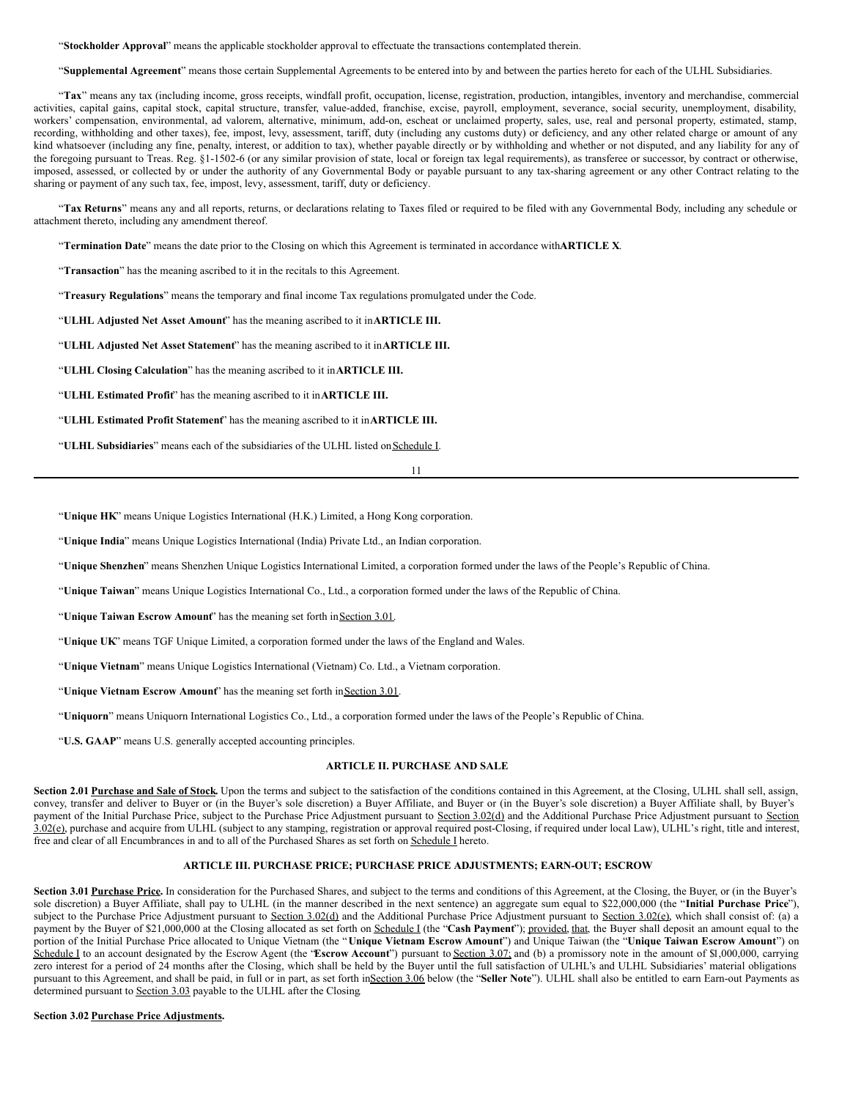"**Stockholder Approval**" means the applicable stockholder approval to effectuate the transactions contemplated therein.

"**Supplemental Agreement**" means those certain Supplemental Agreements to be entered into by and between the parties hereto for each of the ULHL Subsidiaries.

"**Tax**" means any tax (including income, gross receipts, windfall profit, occupation, license, registration, production, intangibles, inventory and merchandise, commercial activities, capital gains, capital stock, capital structure, transfer, value-added, franchise, excise, payroll, employment, severance, social security, unemployment, disability, workers' compensation, environmental, ad valorem, alternative, minimum, add-on, escheat or unclaimed property, sales, use, real and personal property, estimated, stamp, recording, withholding and other taxes), fee, impost, levy, assessment, tariff, duty (including any customs duty) or deficiency, and any other related charge or amount of any kind whatsoever (including any fine, penalty, interest, or addition to tax), whether payable directly or by withholding and whether or not disputed, and any liability for any of the foregoing pursuant to Treas. Reg. §1-1502-6 (or any similar provision of state, local or foreign tax legal requirements), as transferee or successor, by contract or otherwise, imposed, assessed, or collected by or under the authority of any Governmental Body or payable pursuant to any tax-sharing agreement or any other Contract relating to the sharing or payment of any such tax, fee, impost, levy, assessment, tariff, duty or deficiency.

"Tax Returns" means any and all reports, returns, or declarations relating to Taxes filed or required to be filed with any Governmental Body, including any schedule or attachment thereto, including any amendment thereof.

"**Termination Date**" means the date prior to the Closing on which this Agreement is terminated in accordance with**ARTICLE X**.

"**Transaction**" has the meaning ascribed to it in the recitals to this Agreement.

"**Treasury Regulations**" means the temporary and final income Tax regulations promulgated under the Code.

"**ULHL Adjusted Net Asset Amount**" has the meaning ascribed to it in**ARTICLE III.**

"**ULHL Adjusted Net Asset Statement**" has the meaning ascribed to it in**ARTICLE III.**

"**ULHL Closing Calculation**" has the meaning ascribed to it in**ARTICLE III.**

"**ULHL Estimated Profit**" has the meaning ascribed to it in**ARTICLE III.**

"**ULHL Estimated Profit Statement**" has the meaning ascribed to it in**ARTICLE III.**

"**ULHL Subsidiaries**" means each of the subsidiaries of the ULHL listed onSchedule I.

11

"**Unique HK**" means Unique Logistics International (H.K.) Limited, a Hong Kong corporation.

"**Unique India**" means Unique Logistics International (India) Private Ltd., an Indian corporation.

"**Unique Shenzhen**" means Shenzhen Unique Logistics International Limited, a corporation formed under the laws of the People's Republic of China.

"**Unique Taiwan**" means Unique Logistics International Co., Ltd., a corporation formed under the laws of the Republic of China.

"Unique Taiwan Escrow Amount" has the meaning set forth in Section 3.01.

"**Unique UK**" means TGF Unique Limited, a corporation formed under the laws of the England and Wales.

"**Unique Vietnam**" means Unique Logistics International (Vietnam) Co. Ltd., a Vietnam corporation.

"**Unique Vietnam Escrow Amount**" has the meaning set forth in Section 3.01.

"**Uniquorn**" means Uniquorn International Logistics Co., Ltd., a corporation formed under the laws of the People's Republic of China.

"**U.S. GAAP**" means U.S. generally accepted accounting principles.

#### **ARTICLE II. PURCHASE AND SALE**

**Section 2.01 Purchase and Sale of Stock.** Upon the terms and subject to the satisfaction of the conditions contained in this Agreement, at the Closing, ULHL shall sell, assign, convey, transfer and deliver to Buyer or (in the Buyer's sole discretion) a Buyer Affiliate, and Buyer or (in the Buyer's sole discretion) a Buyer Affiliate shall, by Buyer's payment of the Initial Purchase Price, subject to the Purchase Price Adjustment pursuant to Section 3.02(d) and the Additional Purchase Price Adjustment pursuant to Section 3.02(e), purchase and acquire from ULHL (subject to any stamping, registration or approval required post-Closing, if required under local Law), ULHL's right, title and interest, free and clear of all Encumbrances in and to all of the Purchased Shares as set forth on Schedule I hereto.

#### **ARTICLE III. PURCHASE PRICE; PURCHASE PRICE ADJUSTMENTS; EARN-OUT; ESCROW**

Section 3.01 Purchase Price. In consideration for the Purchased Shares, and subject to the terms and conditions of this Agreement, at the Closing, the Buyer, or (in the Buyer's sole discretion) a Buyer Affiliate, shall pay to ULHL (in the manner described in the next sentence) an aggregate sum equal to \$22,000,000 (the "**Initial Purchase Price**"), subject to the Purchase Price Adjustment pursuant to Section 3.02(d) and the Additional Purchase Price Adjustment pursuant to Section 3.02(e), which shall consist of: (a) a payment by the Buyer of \$21,000,000 at the Closing allocated as set forth on Schedule I (the "Cash Payment"); provided, that, the Buyer shall deposit an amount equal to the portion of the Initial Purchase Price allocated to Unique Vietnam (the "**Unique Vietnam Escrow Amount**") and Unique Taiwan (the "**Unique Taiwan Escrow Amount**") on Schedule I to an account designated by the Escrow Agent (the "Escrow Account") pursuant to Section 3.07; and (b) a promissory note in the amount of \$1,000,000, carrying zero interest for a period of 24 months after the Closing, which shall be held by the Buyer until the full satisfaction of ULHL's and ULHL Subsidiaries' material obligations pursuant to this Agreement, and shall be paid, in full or in part, as set forth inSection 3.06 below (the "**Seller Note**"). ULHL shall also be entitled to earn Earn-out Payments as determined pursuant to **Section 3.03** payable to the ULHL after the Closing.

#### **Section 3.02 Purchase Price Adjustments.**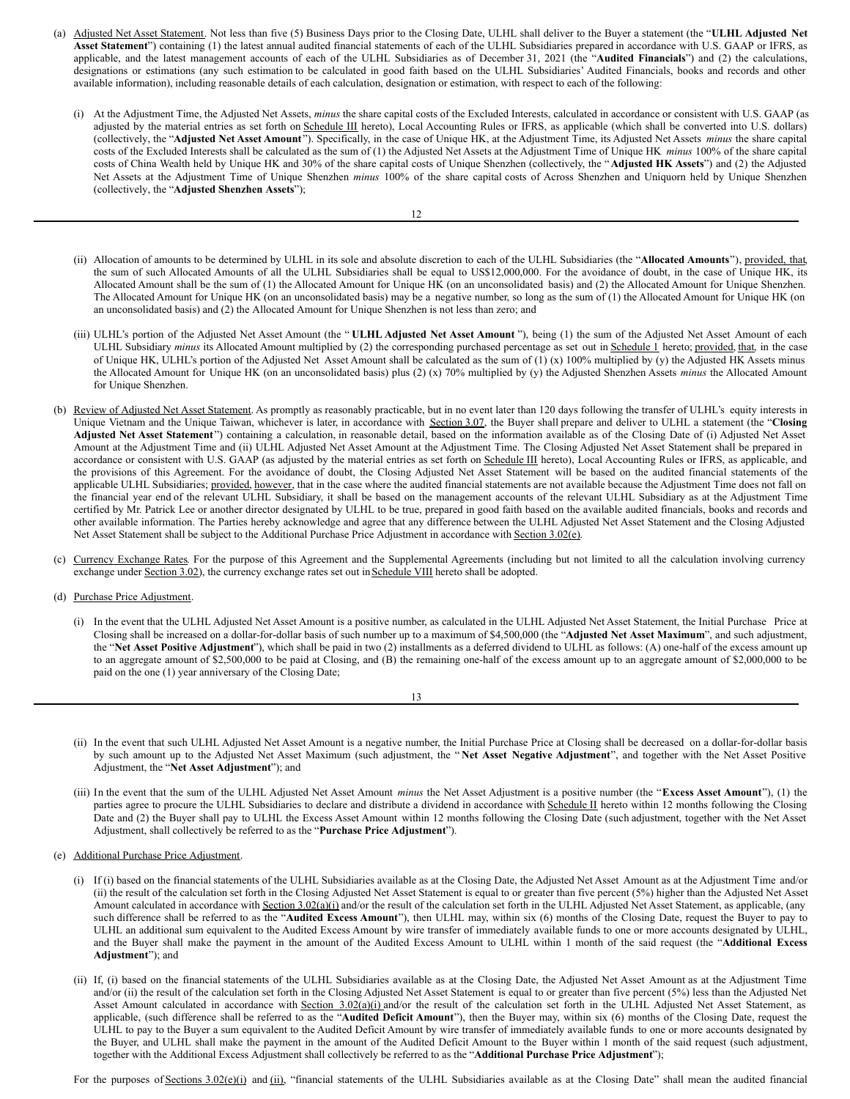- (a) Adjusted Net Asset Statement. Not less than five (5) Business Days prior to the Closing Date, ULHL shall deliver to the Buyer a statement (the "**ULHL Adjusted Net Asset Statement**") containing (1) the latest annual audited financial statements of each of the ULHL Subsidiaries prepared in accordance with U.S. GAAP or IFRS, as applicable, and the latest management accounts of each of the ULHL Subsidiaries as of December 31, 2021 (the "**Audited Financials**") and (2) the calculations, designations or estimations (any such estimation to be calculated in good faith based on the ULHL Subsidiaries' Audited Financials, books and records and other available information), including reasonable details of each calculation, designation or estimation, with respect to each of the following:
	- (i) At the Adjustment Time, the Adjusted Net Assets, *minus* the share capital costs of the Excluded Interests, calculated in accordance or consistent with U.S. GAAP (as adjusted by the material entries as set forth on Schedule III hereto), Local Accounting Rules or IFRS, as applicable (which shall be converted into U.S. dollars) (collectively, the "**Adjusted Net Asset Amount**"). Specifically, in the case of Unique HK, at the Adjustment Time, its Adjusted Net Assets *minus* the share capital costs of the Excluded Interests shall be calculated as the sum of (1) the Adjusted Net Assets at the Adjustment Time of Unique HK *minus* 100% of the share capital costs of China Wealth held by Unique HK and 30% of the share capital costs of Unique Shenzhen (collectively, the "**Adjusted HK Assets**") and (2) the Adjusted Net Assets at the Adjustment Time of Unique Shenzhen *minus* 100% of the share capital costs of Across Shenzhen and Uniquorn held by Unique Shenzhen (collectively, the "**Adjusted Shenzhen Assets**");

- (ii) Allocation of amounts to be determined by ULHL in its sole and absolute discretion to each of the ULHL Subsidiaries (the "**Allocated Amounts**"), provided, that, the sum of such Allocated Amounts of all the ULHL Subsidiaries shall be equal to US\$12,000,000. For the avoidance of doubt, in the case of Unique HK, its Allocated Amount shall be the sum of (1) the Allocated Amount for Unique HK (on an unconsolidated basis) and (2) the Allocated Amount for Unique Shenzhen. The Allocated Amount for Unique HK (on an unconsolidated basis) may be a negative number, so long as the sum of (1) the Allocated Amount for Unique HK (on an unconsolidated basis) and (2) the Allocated Amount for Unique Shenzhen is not less than zero; and
- (iii) ULHL's portion of the Adjusted Net Asset Amount (the " **ULHL Adjusted Net Asset Amount** "), being (1) the sum of the Adjusted Net Asset Amount of each ULHL Subsidiary *minus* its Allocated Amount multiplied by (2) the corresponding purchased percentage as set out in Schedule 1 hereto; provided, that, in the case of Unique HK, ULHL's portion of the Adjusted Net Asset Amount shall be calculated as the sum of (1) (x) 100% multiplied by (y) the Adjusted HK Assets minus the Allocated Amount for Unique HK (on an unconsolidated basis) plus (2) (x) 70% multiplied by (y) the Adjusted Shenzhen Assets *minus* the Allocated Amount for Unique Shenzhen.
- (b) Review of Adjusted Net Asset Statement. As promptly as reasonably practicable, but in no event later than 120 days following the transfer of ULHL's equity interests in Unique Vietnam and the Unique Taiwan, whichever is later, in accordance with Section 3.07, the Buyer shall prepare and deliver to ULHL a statement (the "**Closing Adjusted Net Asset Statement** ") containing a calculation, in reasonable detail, based on the information available as of the Closing Date of (i) Adjusted Net Asset Amount at the Adjustment Time and (ii) ULHL Adjusted Net Asset Amount at the Adjustment Time. The Closing Adjusted Net Asset Statement shall be prepared in accordance or consistent with U.S. GAAP (as adjusted by the material entries as set forth on Schedule III hereto), Local Accounting Rules or IFRS, as applicable, and the provisions of this Agreement. For the avoidance of doubt, the Closing Adjusted Net Asset Statement will be based on the audited financial statements of the applicable ULHL Subsidiaries; provided, however, that in the case where the audited financial statements are not available because the Adjustment Time does not fall on the financial year end of the relevant ULHL Subsidiary, it shall be based on the management accounts of the relevant ULHL Subsidiary as at the Adjustment Time certified by Mr. Patrick Lee or another director designated by ULHL to be true, prepared in good faith based on the available audited financials, books and records and other available information. The Parties hereby acknowledge and agree that any difference between the ULHL Adjusted Net Asset Statement and the Closing Adjusted Net Asset Statement shall be subject to the Additional Purchase Price Adjustment in accordance with Section 3.02(e).
- (c) Currency Exchange Rates. For the purpose of this Agreement and the Supplemental Agreements (including but not limited to all the calculation involving currency exchange under Section 3.02), the currency exchange rates set out in Schedule VIII hereto shall be adopted.
- (d) Purchase Price Adjustment.
	- (i) In the event that the ULHL Adjusted Net Asset Amount is a positive number, as calculated in the ULHL Adjusted Net Asset Statement, the Initial Purchase Price at Closing shall be increased on a dollar-for-dollar basis of such number up to a maximum of \$4,500,000 (the "**Adjusted Net Asset Maximum**", and such adjustment, the "**Net Asset Positive Adjustment**"), which shall be paid in two (2) installments as a deferred dividend to ULHL as follows: (A) one-half of the excess amount up to an aggregate amount of \$2,500,000 to be paid at Closing, and (B) the remaining one-half of the excess amount up to an aggregate amount of \$2,000,000 to be paid on the one (1) year anniversary of the Closing Date;

| I<br>I |  |
|--------|--|
| ×<br>v |  |

- (ii) In the event that such ULHL Adjusted Net Asset Amount is a negative number, the Initial Purchase Price at Closing shall be decreased on a dollar-for-dollar basis by such amount up to the Adjusted Net Asset Maximum (such adjustment, the " **Net Asset Negative Adjustment**", and together with the Net Asset Positive Adjustment, the "**Net Asset Adjustment**"); and
- (iii) In the event that the sum of the ULHL Adjusted Net Asset Amount *minus* the Net Asset Adjustment is a positive number (the "**Excess Asset Amount**"), (1) the parties agree to procure the ULHL Subsidiaries to declare and distribute a dividend in accordance with Schedule II hereto within 12 months following the Closing Date and (2) the Buyer shall pay to ULHL the Excess Asset Amount within 12 months following the Closing Date (such adjustment, together with the Net Asset Adjustment, shall collectively be referred to as the "**Purchase Price Adjustment**").
- (e) Additional Purchase Price Adjustment.
	- (i) If (i) based on the financial statements of the ULHL Subsidiaries available as at the Closing Date, the Adjusted Net Asset Amount as at the Adjustment Time and/or (ii) the result of the calculation set forth in the Closing Adjusted Net Asset Statement is equal to or greater than five percent (5%) higher than the Adjusted Net Asset Amount calculated in accordance with Section 3.02(a)(i) and/or the result of the calculation set forth in the ULHL Adjusted Net Asset Statement, as applicable, (any such difference shall be referred to as the "**Audited Excess Amount**"), then ULHL may, within six (6) months of the Closing Date, request the Buyer to pay to ULHL an additional sum equivalent to the Audited Excess Amount by wire transfer of immediately available funds to one or more accounts designated by ULHL, and the Buyer shall make the payment in the amount of the Audited Excess Amount to ULHL within 1 month of the said request (the "**Additional Excess Adjustment**"); and
	- (ii) If, (i) based on the financial statements of the ULHL Subsidiaries available as at the Closing Date, the Adjusted Net Asset Amount as at the Adjustment Time and/or (ii) the result of the calculation set forth in the Closing Adjusted Net Asset Statement is equal to or greater than five percent (5%) less than the Adjusted Net Asset Amount calculated in accordance with Section 3.02(a)(i) and/or the result of the calculation set forth in the ULHL Adjusted Net Asset Statement, as applicable, (such difference shall be referred to as the "**Audited Deficit Amount**"), then the Buyer may, within six (6) months of the Closing Date, request the ULHL to pay to the Buyer a sum equivalent to the Audited Deficit Amount by wire transfer of immediately available funds to one or more accounts designated by the Buyer, and ULHL shall make the payment in the amount of the Audited Deficit Amount to the Buyer within 1 month of the said request (such adjustment, together with the Additional Excess Adjustment shall collectively be referred to as the "**Additional Purchase Price Adjustment**");

For the purposes of Sections 3.02(e)(i) and (ii), "financial statements of the ULHL Subsidiaries available as at the Closing Date" shall mean the audited financial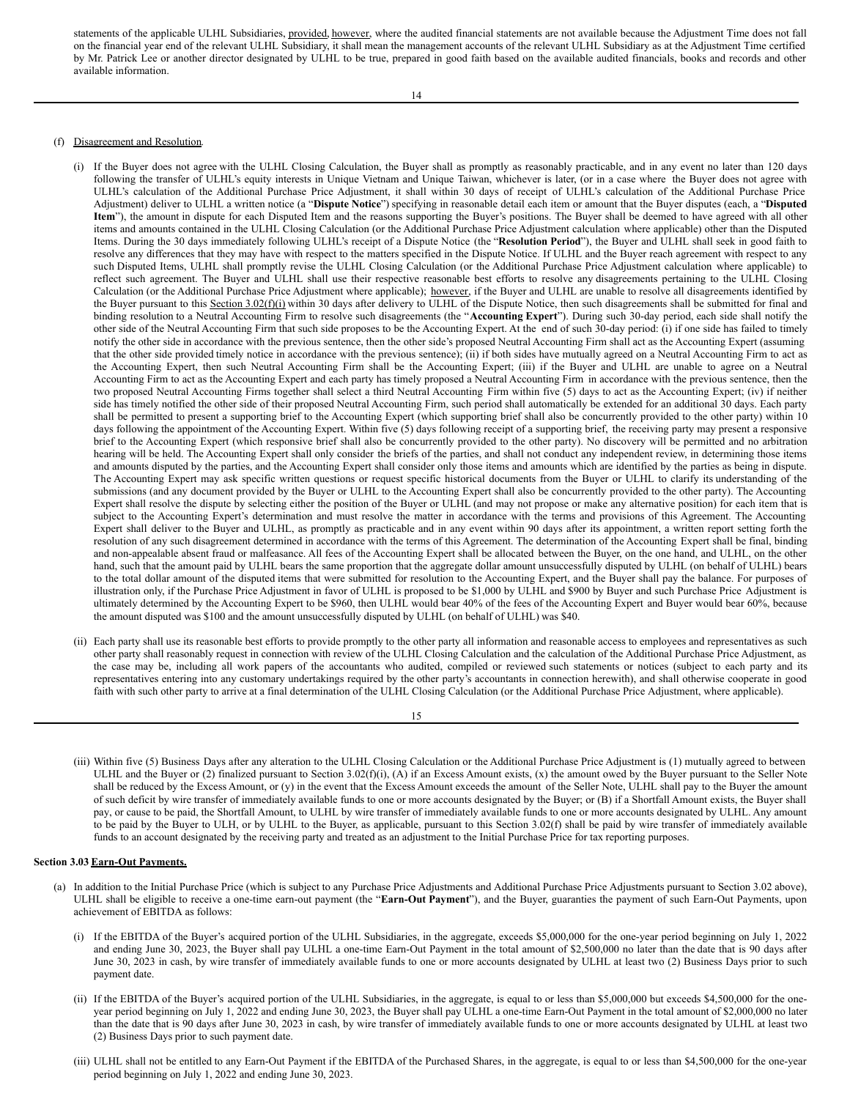statements of the applicable ULHL Subsidiaries, provided, however, where the audited financial statements are not available because the Adjustment Time does not fall on the financial year end of the relevant ULHL Subsidiary, it shall mean the management accounts of the relevant ULHL Subsidiary as at the Adjustment Time certified by Mr. Patrick Lee or another director designated by ULHL to be true, prepared in good faith based on the available audited financials, books and records and other available information.

#### (f) Disagreement and Resolution.

- (i) If the Buyer does not agree with the ULHL Closing Calculation, the Buyer shall as promptly as reasonably practicable, and in any event no later than 120 days following the transfer of ULHL's equity interests in Unique Vietnam and Unique Taiwan, whichever is later, (or in a case where the Buyer does not agree with ULHL's calculation of the Additional Purchase Price Adjustment, it shall within 30 days of receipt of ULHL's calculation of the Additional Purchase Price Adjustment) deliver to ULHL a written notice (a "**Dispute Notice**") specifying in reasonable detail each item or amount that the Buyer disputes (each, a "**Disputed Item**"), the amount in dispute for each Disputed Item and the reasons supporting the Buyer's positions. The Buyer shall be deemed to have agreed with all other items and amounts contained in the ULHL Closing Calculation (or the Additional Purchase Price Adjustment calculation where applicable) other than the Disputed Items. During the 30 days immediately following ULHL's receipt of a Dispute Notice (the "**Resolution Period**"), the Buyer and ULHL shall seek in good faith to resolve any differences that they may have with respect to the matters specified in the Dispute Notice. If ULHL and the Buyer reach agreement with respect to any such Disputed Items, ULHL shall promptly revise the ULHL Closing Calculation (or the Additional Purchase Price Adjustment calculation where applicable) to reflect such agreement. The Buyer and ULHL shall use their respective reasonable best efforts to resolve any disagreements pertaining to the ULHL Closing Calculation (or the Additional Purchase Price Adjustment where applicable); however, if the Buyer and ULHL are unable to resolve all disagreements identified by the Buyer pursuant to this Section 3.02(f)(i) within 30 days after delivery to ULHL of the Dispute Notice, then such disagreements shall be submitted for final and binding resolution to a Neutral Accounting Firm to resolve such disagreements (the "**Accounting Expert**"). During such 30-day period, each side shall notify the other side of the Neutral Accounting Firm that such side proposes to be the Accounting Expert. At the end of such 30-day period: (i) if one side has failed to timely notify the other side in accordance with the previous sentence, then the other side's proposed Neutral Accounting Firm shall act as the Accounting Expert (assuming that the other side provided timely notice in accordance with the previous sentence); (ii) if both sides have mutually agreed on a Neutral Accounting Firm to act as the Accounting Expert, then such Neutral Accounting Firm shall be the Accounting Expert; (iii) if the Buyer and ULHL are unable to agree on a Neutral Accounting Firm to act as the Accounting Expert and each party has timely proposed a Neutral Accounting Firm in accordance with the previous sentence, then the two proposed Neutral Accounting Firms together shall select a third Neutral Accounting Firm within five (5) days to act as the Accounting Expert; (iv) if neither side has timely notified the other side of their proposed Neutral Accounting Firm, such period shall automatically be extended for an additional 30 days. Each party shall be permitted to present a supporting brief to the Accounting Expert (which supporting brief shall also be concurrently provided to the other party) within 10 days following the appointment of the Accounting Expert. Within five (5) days following receipt of a supporting brief, the receiving party may present a responsive brief to the Accounting Expert (which responsive brief shall also be concurrently provided to the other party). No discovery will be permitted and no arbitration hearing will be held. The Accounting Expert shall only consider the briefs of the parties, and shall not conduct any independent review, in determining those items and amounts disputed by the parties, and the Accounting Expert shall consider only those items and amounts which are identified by the parties as being in dispute. The Accounting Expert may ask specific written questions or request specific historical documents from the Buyer or ULHL to clarify its understanding of the submissions (and any document provided by the Buyer or ULHL to the Accounting Expert shall also be concurrently provided to the other party). The Accounting Expert shall resolve the dispute by selecting either the position of the Buyer or ULHL (and may not propose or make any alternative position) for each item that is subject to the Accounting Expert's determination and must resolve the matter in accordance with the terms and provisions of this Agreement. The Accounting Expert shall deliver to the Buyer and ULHL, as promptly as practicable and in any event within 90 days after its appointment, a written report setting forth the resolution of any such disagreement determined in accordance with the terms of this Agreement. The determination of the Accounting Expert shall be final, binding and non-appealable absent fraud or malfeasance. All fees of the Accounting Expert shall be allocated between the Buyer, on the one hand, and ULHL, on the other hand, such that the amount paid by ULHL bears the same proportion that the aggregate dollar amount unsuccessfully disputed by ULHL (on behalf of ULHL) bears to the total dollar amount of the disputed items that were submitted for resolution to the Accounting Expert, and the Buyer shall pay the balance. For purposes of illustration only, if the Purchase Price Adjustment in favor of ULHL is proposed to be \$1,000 by ULHL and \$900 by Buyer and such Purchase Price Adjustment is ultimately determined by the Accounting Expert to be \$960, then ULHL would bear 40% of the fees of the Accounting Expert and Buyer would bear 60%, because the amount disputed was \$100 and the amount unsuccessfully disputed by ULHL (on behalf of ULHL) was \$40.
- (ii) Each party shall use its reasonable best efforts to provide promptly to the other party all information and reasonable access to employees and representatives as such other party shall reasonably request in connection with review of the ULHL Closing Calculation and the calculation of the Additional Purchase Price Adjustment, as the case may be, including all work papers of the accountants who audited, compiled or reviewed such statements or notices (subject to each party and its representatives entering into any customary undertakings required by the other party's accountants in connection herewith), and shall otherwise cooperate in good faith with such other party to arrive at a final determination of the ULHL Closing Calculation (or the Additional Purchase Price Adjustment, where applicable).

#### 15

(iii) Within five (5) Business Days after any alteration to the ULHL Closing Calculation or the Additional Purchase Price Adjustment is (1) mutually agreed to between ULHL and the Buyer or  $(2)$  finalized pursuant to Section  $3.02(f)(i)$ ,  $(A)$  if an Excess Amount exists,  $(x)$  the amount owed by the Buyer pursuant to the Seller Note shall be reduced by the Excess Amount, or (y) in the event that the Excess Amount exceeds the amount of the Seller Note, ULHL shall pay to the Buyer the amount of such deficit by wire transfer of immediately available funds to one or more accounts designated by the Buyer; or (B) if a Shortfall Amount exists, the Buyer shall pay, or cause to be paid, the Shortfall Amount, to ULHL by wire transfer of immediately available funds to one or more accounts designated by ULHL. Any amount to be paid by the Buyer to ULH, or by ULHL to the Buyer, as applicable, pursuant to this Section 3.02(f) shall be paid by wire transfer of immediately available funds to an account designated by the receiving party and treated as an adjustment to the Initial Purchase Price for tax reporting purposes.

### **Section 3.03 Earn-Out Payments.**

- (a) In addition to the Initial Purchase Price (which is subject to any Purchase Price Adjustments and Additional Purchase Price Adjustments pursuant to Section 3.02 above), ULHL shall be eligible to receive a one-time earn-out payment (the "**Earn-Out Payment**"), and the Buyer, guaranties the payment of such Earn-Out Payments, upon achievement of EBITDA as follows:
	- (i) If the EBITDA of the Buyer's acquired portion of the ULHL Subsidiaries, in the aggregate, exceeds \$5,000,000 for the one-year period beginning on July 1, 2022 and ending June 30, 2023, the Buyer shall pay ULHL a one-time Earn-Out Payment in the total amount of \$2,500,000 no later than the date that is 90 days after June 30, 2023 in cash, by wire transfer of immediately available funds to one or more accounts designated by ULHL at least two (2) Business Days prior to such payment date.
	- (ii) If the EBITDA of the Buyer's acquired portion of the ULHL Subsidiaries, in the aggregate, is equal to or less than \$5,000,000 but exceeds \$4,500,000 for the oneyear period beginning on July 1, 2022 and ending June 30, 2023, the Buyer shall pay ULHL a one-time Earn-Out Payment in the total amount of \$2,000,000 no later than the date that is 90 days after June 30, 2023 in cash, by wire transfer of immediately available funds to one or more accounts designated by ULHL at least two (2) Business Days prior to such payment date.
	- (iii) ULHL shall not be entitled to any Earn-Out Payment if the EBITDA of the Purchased Shares, in the aggregate, is equal to or less than \$4,500,000 for the one-year period beginning on July 1, 2022 and ending June 30, 2023.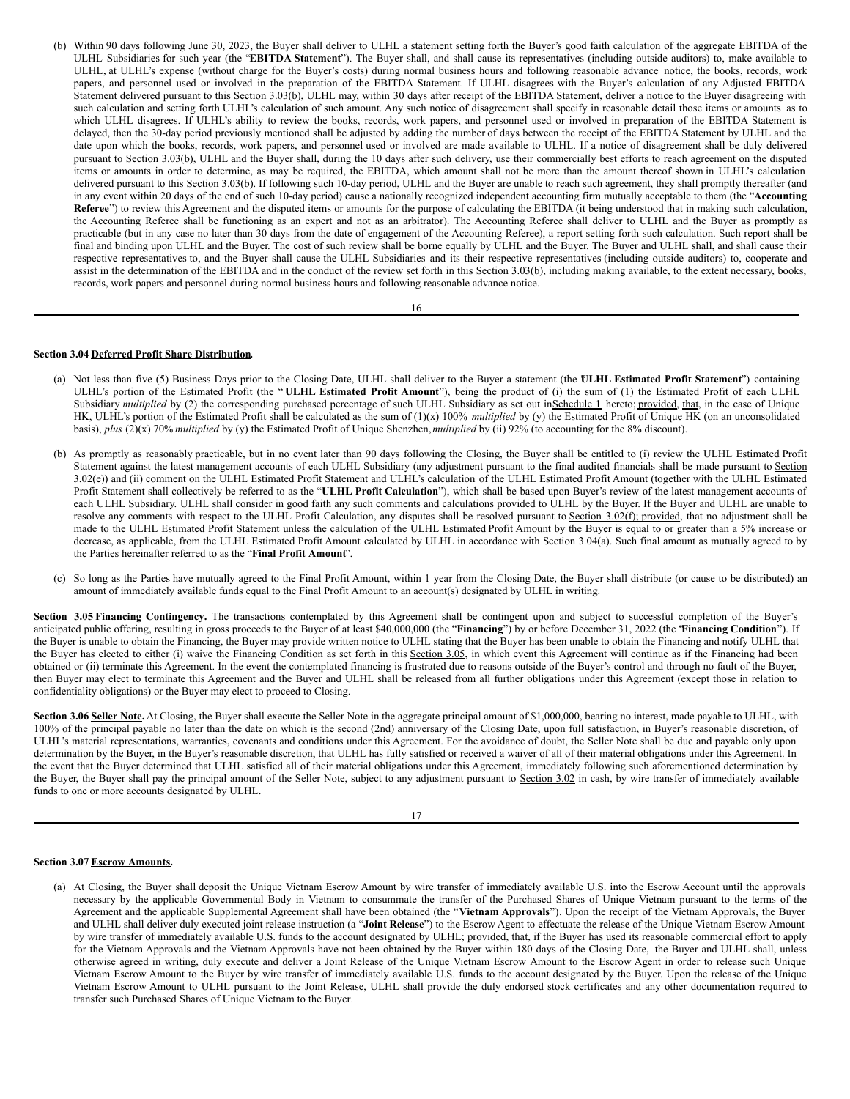(b) Within 90 days following June 30, 2023, the Buyer shall deliver to ULHL a statement setting forth the Buyer's good faith calculation of the aggregate EBITDA of the ULHL Subsidiaries for such year (the "**EBITDA Statement**"). The Buyer shall, and shall cause its representatives (including outside auditors) to, make available to ULHL, at ULHL's expense (without charge for the Buyer's costs) during normal business hours and following reasonable advance notice, the books, records, work papers, and personnel used or involved in the preparation of the EBITDA Statement. If ULHL disagrees with the Buyer's calculation of any Adjusted EBITDA Statement delivered pursuant to this Section 3.03(b), ULHL may, within 30 days after receipt of the EBITDA Statement, deliver a notice to the Buyer disagreeing with such calculation and setting forth ULHL's calculation of such amount. Any such notice of disagreement shall specify in reasonable detail those items or amounts as to which ULHL disagrees. If ULHL's ability to review the books, records, work papers, and personnel used or involved in preparation of the EBITDA Statement is delayed, then the 30-day period previously mentioned shall be adjusted by adding the number of days between the receipt of the EBITDA Statement by ULHL and the date upon which the books, records, work papers, and personnel used or involved are made available to ULHL. If a notice of disagreement shall be duly delivered pursuant to Section 3.03(b), ULHL and the Buyer shall, during the 10 days after such delivery, use their commercially best efforts to reach agreement on the disputed items or amounts in order to determine, as may be required, the EBITDA, which amount shall not be more than the amount thereof shown in ULHL's calculation delivered pursuant to this Section 3.03(b). If following such 10-day period, ULHL and the Buyer are unable to reach such agreement, they shall promptly thereafter (and in any event within 20 days of the end of such 10-day period) cause a nationally recognized independent accounting firm mutually acceptable to them (the "**Accounting Referee**") to review this Agreement and the disputed items or amounts for the purpose of calculating the EBITDA (it being understood that in making such calculation, the Accounting Referee shall be functioning as an expert and not as an arbitrator). The Accounting Referee shall deliver to ULHL and the Buyer as promptly as practicable (but in any case no later than 30 days from the date of engagement of the Accounting Referee), a report setting forth such calculation. Such report shall be final and binding upon ULHL and the Buyer. The cost of such review shall be borne equally by ULHL and the Buyer. The Buyer and ULHL shall, and shall cause their respective representatives to, and the Buyer shall cause the ULHL Subsidiaries and its their respective representatives (including outside auditors) to, cooperate and assist in the determination of the EBITDA and in the conduct of the review set forth in this Section 3.03(b), including making available, to the extent necessary, books, records, work papers and personnel during normal business hours and following reasonable advance notice.

#### 16

#### **Section 3.04 Deferred Profit Share Distribution.**

- (a) Not less than five (5) Business Days prior to the Closing Date, ULHL shall deliver to the Buyer a statement (the "**ULHL Estimated Profit Statement**") containing ULHL's portion of the Estimated Profit (the " **ULHL Estimated Profit Amount**"), being the product of (i) the sum of (1) the Estimated Profit of each ULHL Subsidiary *multiplied* by (2) the corresponding purchased percentage of such ULHL Subsidiary as set out in Schedule 1 hereto; provided, that, in the case of Unique HK, ULHL's portion of the Estimated Profit shall be calculated as the sum of (1)(x) 100% *multiplied* by (y) the Estimated Profit of Unique HK (on an unconsolidated basis), *plus* (2)(x) 70% *multiplied* by (y) the Estimated Profit of Unique Shenzhen,*multiplied* by (ii) 92% (to accounting for the 8% discount).
- (b) As promptly as reasonably practicable, but in no event later than 90 days following the Closing, the Buyer shall be entitled to (i) review the ULHL Estimated Profit Statement against the latest management accounts of each ULHL Subsidiary (any adjustment pursuant to the final audited financials shall be made pursuant to Section 3.02(e)) and (ii) comment on the ULHL Estimated Profit Statement and ULHL's calculation of the ULHL Estimated Profit Amount (together with the ULHL Estimated Profit Statement shall collectively be referred to as the "**ULHL Profit Calculation**"), which shall be based upon Buyer's review of the latest management accounts of each ULHL Subsidiary. ULHL shall consider in good faith any such comments and calculations provided to ULHL by the Buyer. If the Buyer and ULHL are unable to resolve any comments with respect to the ULHL Profit Calculation, any disputes shall be resolved pursuant to Section 3.02(f); provided, that no adjustment shall be made to the ULHL Estimated Profit Statement unless the calculation of the ULHL Estimated Profit Amount by the Buyer is equal to or greater than a 5% increase or decrease, as applicable, from the ULHL Estimated Profit Amount calculated by ULHL in accordance with Section 3.04(a). Such final amount as mutually agreed to by the Parties hereinafter referred to as the "**Final Profit Amount**".
- (c) So long as the Parties have mutually agreed to the Final Profit Amount, within 1 year from the Closing Date, the Buyer shall distribute (or cause to be distributed) an amount of immediately available funds equal to the Final Profit Amount to an account(s) designated by ULHL in writing.

Section 3.05 Financing Contingency. The transactions contemplated by this Agreement shall be contingent upon and subject to successful completion of the Buyer's anticipated public offering, resulting in gross proceeds to the Buyer of at least \$40,000,000 (the "**Financing**") by or before December 31, 2022 (the "**Financing Condition**"). If the Buyer is unable to obtain the Financing, the Buyer may provide written notice to ULHL stating that the Buyer has been unable to obtain the Financing and notify ULHL that the Buyer has elected to either (i) waive the Financing Condition as set forth in this Section 3.05, in which event this Agreement will continue as if the Financing had been obtained or (ii) terminate this Agreement. In the event the contemplated financing is frustrated due to reasons outside of the Buyer's control and through no fault of the Buyer, then Buyer may elect to terminate this Agreement and the Buyer and ULHL shall be released from all further obligations under this Agreement (except those in relation to confidentiality obligations) or the Buyer may elect to proceed to Closing.

**Section 3.06 Seller Note.** At Closing, the Buyer shall execute the Seller Note in the aggregate principal amount of \$1,000,000, bearing no interest, made payable to ULHL, with 100% of the principal payable no later than the date on which is the second (2nd) anniversary of the Closing Date, upon full satisfaction, in Buyer's reasonable discretion, of ULHL's material representations, warranties, covenants and conditions under this Agreement. For the avoidance of doubt, the Seller Note shall be due and payable only upon determination by the Buyer, in the Buyer's reasonable discretion, that ULHL has fully satisfied or received a waiver of all of their material obligations under this Agreement. In the event that the Buyer determined that ULHL satisfied all of their material obligations under this Agreement, immediately following such aforementioned determination by the Buyer, the Buyer shall pay the principal amount of the Seller Note, subject to any adjustment pursuant to Section 3.02 in cash, by wire transfer of immediately available funds to one or more accounts designated by ULHL.

#### 17

#### **Section 3.07 Escrow Amounts.**

(a) At Closing, the Buyer shall deposit the Unique Vietnam Escrow Amount by wire transfer of immediately available U.S. into the Escrow Account until the approvals necessary by the applicable Governmental Body in Vietnam to consummate the transfer of the Purchased Shares of Unique Vietnam pursuant to the terms of the Agreement and the applicable Supplemental Agreement shall have been obtained (the "**Vietnam Approvals**"). Upon the receipt of the Vietnam Approvals, the Buyer and ULHL shall deliver duly executed joint release instruction (a "**Joint Release**") to the Escrow Agent to effectuate the release of the Unique Vietnam Escrow Amount by wire transfer of immediately available U.S. funds to the account designated by ULHL; provided, that, if the Buyer has used its reasonable commercial effort to apply for the Vietnam Approvals and the Vietnam Approvals have not been obtained by the Buyer within 180 days of the Closing Date, the Buyer and ULHL shall, unless otherwise agreed in writing, duly execute and deliver a Joint Release of the Unique Vietnam Escrow Amount to the Escrow Agent in order to release such Unique Vietnam Escrow Amount to the Buyer by wire transfer of immediately available U.S. funds to the account designated by the Buyer. Upon the release of the Unique Vietnam Escrow Amount to ULHL pursuant to the Joint Release, ULHL shall provide the duly endorsed stock certificates and any other documentation required to transfer such Purchased Shares of Unique Vietnam to the Buyer.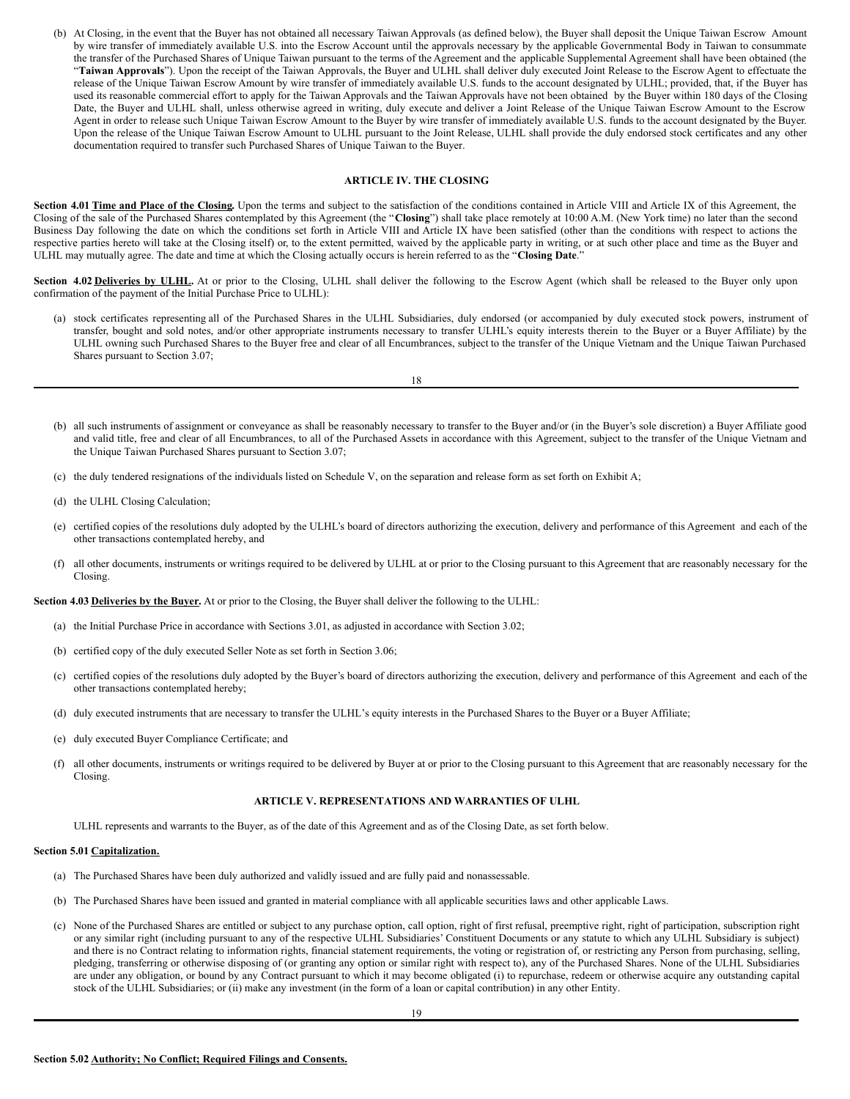(b) At Closing, in the event that the Buyer has not obtained all necessary Taiwan Approvals (as defined below), the Buyer shall deposit the Unique Taiwan Escrow Amount by wire transfer of immediately available U.S. into the Escrow Account until the approvals necessary by the applicable Governmental Body in Taiwan to consummate the transfer of the Purchased Shares of Unique Taiwan pursuant to the terms of the Agreement and the applicable Supplemental Agreement shall have been obtained (the "Taiwan Approvals"). Upon the receipt of the Taiwan Approvals, the Buyer and ULHL shall deliver duly executed Joint Release to the Escrow Agent to effectuate the release of the Unique Taiwan Escrow Amount by wire transfer of immediately available U.S. funds to the account designated by ULHL; provided, that, if the Buyer has used its reasonable commercial effort to apply for the Taiwan Approvals and the Taiwan Approvals have not been obtained by the Buyer within 180 days of the Closing Date, the Buyer and ULHL shall, unless otherwise agreed in writing, duly execute and deliver a Joint Release of the Unique Taiwan Escrow Amount to the Escrow Agent in order to release such Unique Taiwan Escrow Amount to the Buyer by wire transfer of immediately available U.S. funds to the account designated by the Buyer. Upon the release of the Unique Taiwan Escrow Amount to ULHL pursuant to the Joint Release, ULHL shall provide the duly endorsed stock certificates and any other documentation required to transfer such Purchased Shares of Unique Taiwan to the Buyer.

#### **ARTICLE IV. THE CLOSING**

Section 4.01 Time and Place of the Closing. Upon the terms and subject to the satisfaction of the conditions contained in Article VIII and Article IX of this Agreement, the Closing of the sale of the Purchased Shares contemplated by this Agreement (the "**Closing**") shall take place remotely at 10:00 A.M. (New York time) no later than the second Business Day following the date on which the conditions set forth in Article VIII and Article IX have been satisfied (other than the conditions with respect to actions the respective parties hereto will take at the Closing itself) or, to the extent permitted, waived by the applicable party in writing, or at such other place and time as the Buyer and ULHL may mutually agree. The date and time at which the Closing actually occurs is herein referred to as the "**Closing Date**."

**Section 4.02 Deliveries by ULHL.** At or prior to the Closing, ULHL shall deliver the following to the Escrow Agent (which shall be released to the Buyer only upon confirmation of the payment of the Initial Purchase Price to ULHL):

(a) stock certificates representing all of the Purchased Shares in the ULHL Subsidiaries, duly endorsed (or accompanied by duly executed stock powers, instrument of transfer, bought and sold notes, and/or other appropriate instruments necessary to transfer ULHL's equity interests therein to the Buyer or a Buyer Affiliate) by the ULHL owning such Purchased Shares to the Buyer free and clear of all Encumbrances, subject to the transfer of the Unique Vietnam and the Unique Taiwan Purchased Shares pursuant to Section 3.07;

|  | I<br>× |
|--|--------|
|  | w<br>۹ |

- (b) all such instruments of assignment or conveyance as shall be reasonably necessary to transfer to the Buyer and/or (in the Buyer's sole discretion) a Buyer Affiliate good and valid title, free and clear of all Encumbrances, to all of the Purchased Assets in accordance with this Agreement, subject to the transfer of the Unique Vietnam and the Unique Taiwan Purchased Shares pursuant to Section 3.07;
- (c) the duly tendered resignations of the individuals listed on Schedule V, on the separation and release form as set forth on Exhibit A;
- (d) the ULHL Closing Calculation;
- (e) certified copies of the resolutions duly adopted by the ULHL's board of directors authorizing the execution, delivery and performance of this Agreement and each of the other transactions contemplated hereby, and
- (f) all other documents, instruments or writings required to be delivered by ULHL at or prior to the Closing pursuant to this Agreement that are reasonably necessary for the Closing.

**Section 4.03 Deliveries by the Buyer.** At or prior to the Closing, the Buyer shall deliver the following to the ULHL:

- (a) the Initial Purchase Price in accordance with Sections 3.01, as adjusted in accordance with Section 3.02;
- (b) certified copy of the duly executed Seller Note as set forth in Section 3.06;
- (c) certified copies of the resolutions duly adopted by the Buyer's board of directors authorizing the execution, delivery and performance of this Agreement and each of the other transactions contemplated hereby;
- (d) duly executed instruments that are necessary to transfer the ULHL's equity interests in the Purchased Shares to the Buyer or a Buyer Affiliate;
- (e) duly executed Buyer Compliance Certificate; and
- (f) all other documents, instruments or writings required to be delivered by Buyer at or prior to the Closing pursuant to this Agreement that are reasonably necessary for the Closing.

#### **ARTICLE V. REPRESENTATIONS AND WARRANTIES OF ULHL**

ULHL represents and warrants to the Buyer, as of the date of this Agreement and as of the Closing Date, as set forth below.

#### **Section 5.01 Capitalization.**

- (a) The Purchased Shares have been duly authorized and validly issued and are fully paid and nonassessable.
- (b) The Purchased Shares have been issued and granted in material compliance with all applicable securities laws and other applicable Laws.
- (c) None of the Purchased Shares are entitled or subject to any purchase option, call option, right of first refusal, preemptive right, right of participation, subscription right or any similar right (including pursuant to any of the respective ULHL Subsidiaries' Constituent Documents or any statute to which any ULHL Subsidiary is subject) and there is no Contract relating to information rights, financial statement requirements, the voting or registration of, or restricting any Person from purchasing, selling, pledging, transferring or otherwise disposing of (or granting any option or similar right with respect to), any of the Purchased Shares. None of the ULHL Subsidiaries are under any obligation, or bound by any Contract pursuant to which it may become obligated (i) to repurchase, redeem or otherwise acquire any outstanding capital stock of the ULHL Subsidiaries; or (ii) make any investment (in the form of a loan or capital contribution) in any other Entity.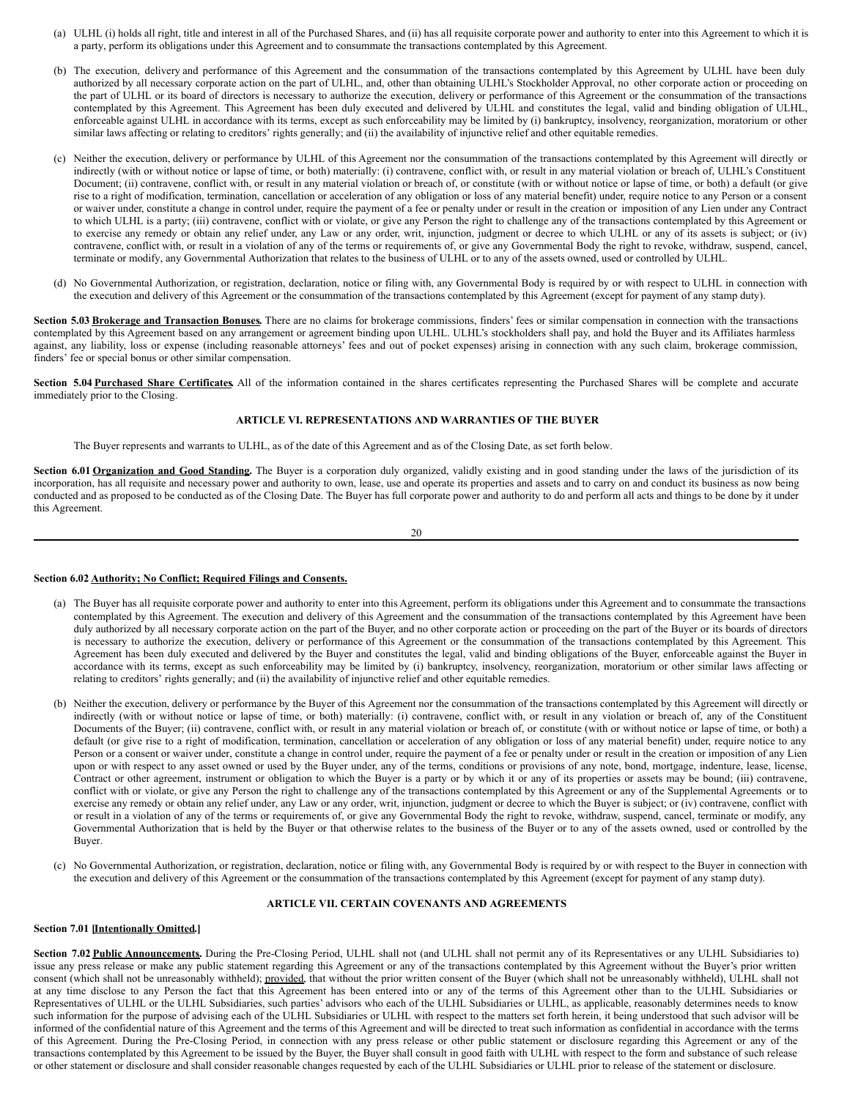- (a) ULHL (i) holds all right, title and interest in all of the Purchased Shares, and (ii) has all requisite corporate power and authority to enter into this Agreement to which it is a party, perform its obligations under this Agreement and to consummate the transactions contemplated by this Agreement.
- (b) The execution, delivery and performance of this Agreement and the consummation of the transactions contemplated by this Agreement by ULHL have been duly authorized by all necessary corporate action on the part of ULHL, and, other than obtaining ULHL's Stockholder Approval, no other corporate action or proceeding on the part of ULHL or its board of directors is necessary to authorize the execution, delivery or performance of this Agreement or the consummation of the transactions contemplated by this Agreement. This Agreement has been duly executed and delivered by ULHL and constitutes the legal, valid and binding obligation of ULHL, enforceable against ULHL in accordance with its terms, except as such enforceability may be limited by (i) bankruptcy, insolvency, reorganization, moratorium or other similar laws affecting or relating to creditors' rights generally; and (ii) the availability of injunctive relief and other equitable remedies.
- (c) Neither the execution, delivery or performance by ULHL of this Agreement nor the consummation of the transactions contemplated by this Agreement will directly or indirectly (with or without notice or lapse of time, or both) materially: (i) contravene, conflict with, or result in any material violation or breach of, ULHL's Constituent Document; (ii) contravene, conflict with, or result in any material violation or breach of, or constitute (with or without notice or lapse of time, or both) a default (or give rise to a right of modification, termination, cancellation or acceleration of any obligation or loss of any material benefit) under, require notice to any Person or a consent or waiver under, constitute a change in control under, require the payment of a fee or penalty under or result in the creation or imposition of any Lien under any Contract to which ULHL is a party; (iii) contravene, conflict with or violate, or give any Person the right to challenge any of the transactions contemplated by this Agreement or to exercise any remedy or obtain any relief under, any Law or any order, writ, injunction, judgment or decree to which ULHL or any of its assets is subject; or (iv) contravene, conflict with, or result in a violation of any of the terms or requirements of, or give any Governmental Body the right to revoke, withdraw, suspend, cancel, terminate or modify, any Governmental Authorization that relates to the business of ULHL or to any of the assets owned, used or controlled by ULHL.
- (d) No Governmental Authorization, or registration, declaration, notice or filing with, any Governmental Body is required by or with respect to ULHL in connection with the execution and delivery of this Agreement or the consummation of the transactions contemplated by this Agreement (except for payment of any stamp duty).

**Section 5.03 Brokerage and Transaction Bonuses.** There are no claims for brokerage commissions, finders' fees or similar compensation in connection with the transactions contemplated by this Agreement based on any arrangement or agreement binding upon ULHL. ULHL's stockholders shall pay, and hold the Buyer and its Affiliates harmless against, any liability, loss or expense (including reasonable attorneys' fees and out of pocket expenses) arising in connection with any such claim, brokerage commission, finders' fee or special bonus or other similar compensation.

**Section 5.04 Purchased Share Certificates.** All of the information contained in the shares certificates representing the Purchased Shares will be complete and accurate immediately prior to the Closing.

#### **ARTICLE VI. REPRESENTATIONS AND WARRANTIES OF THE BUYER**

The Buyer represents and warrants to ULHL, as of the date of this Agreement and as of the Closing Date, as set forth below.

**Section 6.01 Organization and Good Standing.** The Buyer is a corporation duly organized, validly existing and in good standing under the laws of the jurisdiction of its incorporation, has all requisite and necessary power and authority to own, lease, use and operate its properties and assets and to carry on and conduct its business as now being conducted and as proposed to be conducted as of the Closing Date. The Buyer has full corporate power and authority to do and perform all acts and things to be done by it under this Agreement.

#### 20

#### **Section 6.02 Authority; No Conflict; Required Filings and Consents.**

- (a) The Buyer has all requisite corporate power and authority to enter into this Agreement, perform its obligations under this Agreement and to consummate the transactions contemplated by this Agreement. The execution and delivery of this Agreement and the consummation of the transactions contemplated by this Agreement have been duly authorized by all necessary corporate action on the part of the Buyer, and no other corporate action or proceeding on the part of the Buyer or its boards of directors is necessary to authorize the execution, delivery or performance of this Agreement or the consummation of the transactions contemplated by this Agreement. This Agreement has been duly executed and delivered by the Buyer and constitutes the legal, valid and binding obligations of the Buyer, enforceable against the Buyer in accordance with its terms, except as such enforceability may be limited by (i) bankruptcy, insolvency, reorganization, moratorium or other similar laws affecting or relating to creditors' rights generally; and (ii) the availability of injunctive relief and other equitable remedies.
- (b) Neither the execution, delivery or performance by the Buyer of this Agreement nor the consummation of the transactions contemplated by this Agreement will directly or indirectly (with or without notice or lapse of time, or both) materially: (i) contravene, conflict with, or result in any violation or breach of, any of the Constituent Documents of the Buyer; (ii) contravene, conflict with, or result in any material violation or breach of, or constitute (with or without notice or lapse of time, or both) a default (or give rise to a right of modification, termination, cancellation or acceleration of any obligation or loss of any material benefit) under, require notice to any Person or a consent or waiver under, constitute a change in control under, require the payment of a fee or penalty under or result in the creation or imposition of any Lien upon or with respect to any asset owned or used by the Buyer under, any of the terms, conditions or provisions of any note, bond, mortgage, indenture, lease, license, Contract or other agreement, instrument or obligation to which the Buyer is a party or by which it or any of its properties or assets may be bound; (iii) contravene, conflict with or violate, or give any Person the right to challenge any of the transactions contemplated by this Agreement or any of the Supplemental Agreements or to exercise any remedy or obtain any relief under, any Law or any order, writ, injunction, judgment or decree to which the Buyer is subject; or (iv) contravene, conflict with or result in a violation of any of the terms or requirements of, or give any Governmental Body the right to revoke, withdraw, suspend, cancel, terminate or modify, any Governmental Authorization that is held by the Buyer or that otherwise relates to the business of the Buyer or to any of the assets owned, used or controlled by the Buyer.
- (c) No Governmental Authorization, or registration, declaration, notice or filing with, any Governmental Body is required by or with respect to the Buyer in connection with the execution and delivery of this Agreement or the consummation of the transactions contemplated by this Agreement (except for payment of any stamp duty).

#### **ARTICLE VII. CERTAIN COVENANTS AND AGREEMENTS**

#### **Section 7.01 [Intentionally Omitted.]**

Section 7.02 Public Announcements. During the Pre-Closing Period, ULHL shall not (and ULHL shall not permit any of its Representatives or any ULHL Subsidiaries to) issue any press release or make any public statement regarding this Agreement or any of the transactions contemplated by this Agreement without the Buyer's prior written consent (which shall not be unreasonably withheld); provided, that without the prior written consent of the Buyer (which shall not be unreasonably withheld), ULHL shall not at any time disclose to any Person the fact that this Agreement has been entered into or any of the terms of this Agreement other than to the ULHL Subsidiaries or Representatives of ULHL or the ULHL Subsidiaries, such parties' advisors who each of the ULHL Subsidiaries or ULHL, as applicable, reasonably determines needs to know such information for the purpose of advising each of the ULHL Subsidiaries or ULHL with respect to the matters set forth herein, it being understood that such advisor will be informed of the confidential nature of this Agreement and the terms of this Agreement and will be directed to treat such information as confidential in accordance with the terms of this Agreement. During the Pre-Closing Period, in connection with any press release or other public statement or disclosure regarding this Agreement or any of the transactions contemplated by this Agreement to be issued by the Buyer, the Buyer shall consult in good faith with ULHL with respect to the form and substance of such release or other statement or disclosure and shall consider reasonable changes requested by each of the ULHL Subsidiaries or ULHL prior to release of the statement or disclosure.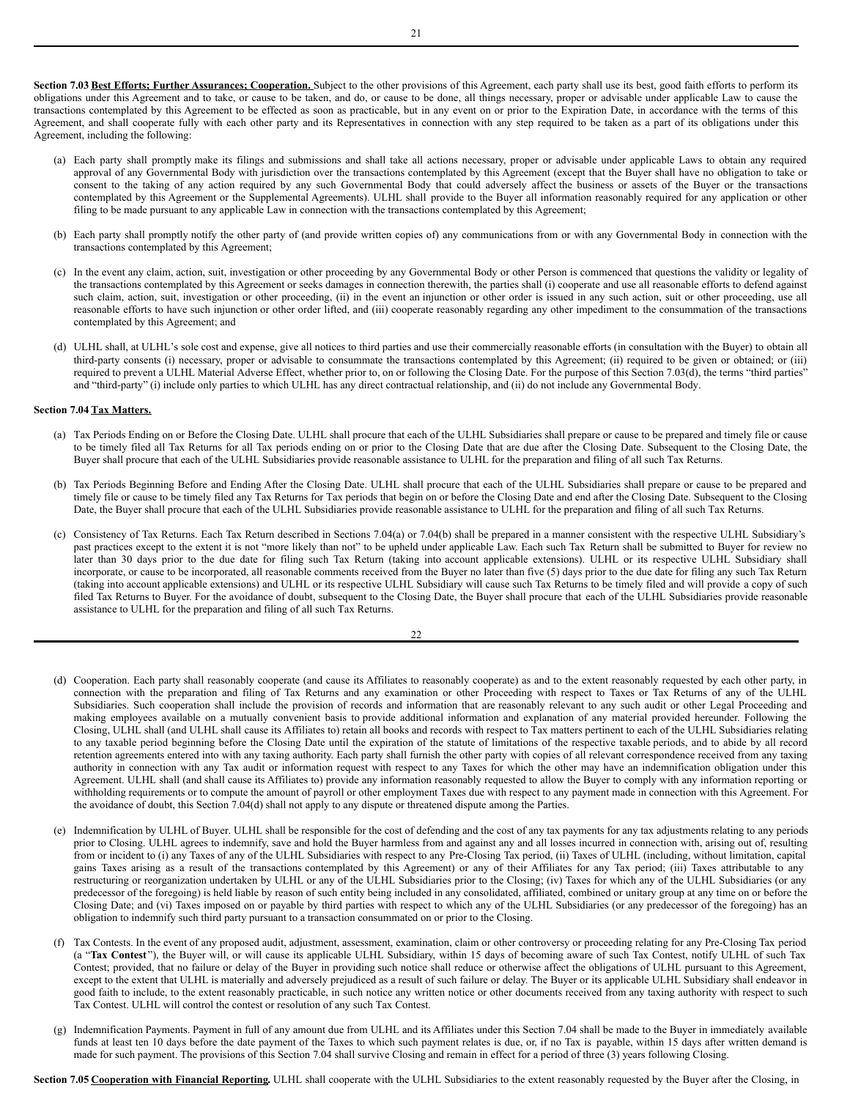<span id="page-13-0"></span>**Section 7.03 Best Efforts; Further Assurances; Cooperation.** Subject to the other provisions of this Agreement, each party shall use its best, good faith efforts to perform its obligations under this Agreement and to take, or cause to be taken, and do, or cause to be done, all things necessary, proper or advisable under applicable Law to cause the transactions contemplated by this Agreement to be effected as soon as practicable, but in any event on or prior to the Expiration Date, in accordance with the terms of this Agreement, and shall cooperate fully with each other party and its Representatives in connection with any step required to be taken as a part of its obligations under this Agreement, including the following:

- (a) Each party shall promptly make its filings and submissions and shall take all actions necessary, proper or advisable under applicable Laws to obtain any required approval of any Governmental Body with jurisdiction over the transactions contemplated by this Agreement (except that the Buyer shall have no obligation to take or consent to the taking of any action required by any such Governmental Body that could adversely affect the business or assets of the Buyer or the transactions contemplated by this Agreement or the Supplemental Agreements). ULHL shall provide to the Buyer all information reasonably required for any application or other filing to be made pursuant to any applicable Law in connection with the transactions contemplated by this Agreement;
- (b) Each party shall promptly notify the other party of (and provide written copies of) any communications from or with any Governmental Body in connection with the transactions contemplated by this Agreement;
- (c) In the event any claim, action, suit, investigation or other proceeding by any Governmental Body or other Person is commenced that questions the validity or legality of the transactions contemplated by this Agreement or seeks damages in connection therewith, the parties shall (i) cooperate and use all reasonable efforts to defend against such claim, action, suit, investigation or other proceeding, (ii) in the event an injunction or other order is issued in any such action, suit or other proceeding, use all reasonable efforts to have such injunction or other order lifted, and (iii) cooperate reasonably regarding any other impediment to the consummation of the transactions contemplated by this Agreement; and
- (d) ULHL shall, at ULHL's sole cost and expense, give all notices to third parties and use their commercially reasonable efforts (in consultation with the Buyer) to obtain all third-party consents (i) necessary, proper or advisable to consummate the transactions contemplated by this Agreement; (ii) required to be given or obtained; or (iii) required to prevent a ULHL Material Adverse Effect, whether prior to, on or following the Closing Date. For the purpose of this Section 7.03(d), the terms "third parties" and "third-party" (i) include only parties to which ULHL has any direct contractual relationship, and (ii) do not include any Governmental Body.

#### **Section 7.04 Tax Matters.**

- (a) Tax Periods Ending on or Before the Closing Date. ULHL shall procure that each of the ULHL Subsidiaries shall prepare or cause to be prepared and timely file or cause to be timely filed all Tax Returns for all Tax periods ending on or prior to the Closing Date that are due after the Closing Date. Subsequent to the Closing Date, the Buyer shall procure that each of the ULHL Subsidiaries provide reasonable assistance to ULHL for the preparation and filing of all such Tax Returns.
- (b) Tax Periods Beginning Before and Ending After the Closing Date. ULHL shall procure that each of the ULHL Subsidiaries shall prepare or cause to be prepared and timely file or cause to be timely filed any Tax Returns for Tax periods that begin on or before the Closing Date and end after the Closing Date. Subsequent to the Closing Date, the Buyer shall procure that each of the ULHL Subsidiaries provide reasonable assistance to ULHL for the preparation and filing of all such Tax Returns.
- (c) Consistency of Tax Returns. Each Tax Return described in Sections 7.04(a) or 7.04(b) shall be prepared in a manner consistent with the respective ULHL Subsidiary's past practices except to the extent it is not "more likely than not" to be upheld under applicable Law. Each such Tax Return shall be submitted to Buyer for review no later than 30 days prior to the due date for filing such Tax Return (taking into account applicable extensions). ULHL or its respective ULHL Subsidiary shall incorporate, or cause to be incorporated, all reasonable comments received from the Buyer no later than five (5) days prior to the due date for filing any such Tax Return (taking into account applicable extensions) and ULHL or its respective ULHL Subsidiary will cause such Tax Returns to be timely filed and will provide a copy of such filed Tax Returns to Buyer. For the avoidance of doubt, subsequent to the Closing Date, the Buyer shall procure that each of the ULHL Subsidiaries provide reasonable assistance to ULHL for the preparation and filing of all such Tax Returns.

#### 22

- (d) Cooperation. Each party shall reasonably cooperate (and cause its Affiliates to reasonably cooperate) as and to the extent reasonably requested by each other party, in connection with the preparation and filing of Tax Returns and any examination or other Proceeding with respect to Taxes or Tax Returns of any of the ULHL Subsidiaries. Such cooperation shall include the provision of records and information that are reasonably relevant to any such audit or other Legal Proceeding and making employees available on a mutually convenient basis to provide additional information and explanation of any material provided hereunder. Following the Closing, ULHL shall (and ULHL shall cause its Affiliates to) retain all books and records with respect to Tax matters pertinent to each of the ULHL Subsidiaries relating to any taxable period beginning before the Closing Date until the expiration of the statute of limitations of the respective taxable periods, and to abide by all record retention agreements entered into with any taxing authority. Each party shall furnish the other party with copies of all relevant correspondence received from any taxing authority in connection with any Tax audit or information request with respect to any Taxes for which the other may have an indemnification obligation under this Agreement. ULHL shall (and shall cause its Affiliates to) provide any information reasonably requested to allow the Buyer to comply with any information reporting or withholding requirements or to compute the amount of payroll or other employment Taxes due with respect to any payment made in connection with this Agreement. For the avoidance of doubt, this Section 7.04(d) shall not apply to any dispute or threatened dispute among the Parties.
- (e) Indemnification by ULHL of Buyer. ULHL shall be responsible for the cost of defending and the cost of any tax payments for any tax adjustments relating to any periods prior to Closing. ULHL agrees to indemnify, save and hold the Buyer harmless from and against any and all losses incurred in connection with, arising out of, resulting from or incident to (i) any Taxes of any of the ULHL Subsidiaries with respect to any Pre-Closing Tax period, (ii) Taxes of ULHL (including, without limitation, capital gains Taxes arising as a result of the transactions contemplated by this Agreement) or any of their Affiliates for any Tax period; (iii) Taxes attributable to any restructuring or reorganization undertaken by ULHL or any of the ULHL Subsidiaries prior to the Closing; (iv) Taxes for which any of the ULHL Subsidiaries (or any predecessor of the foregoing) is held liable by reason of such entity being included in any consolidated, affiliated, combined or unitary group at any time on or before the Closing Date; and (vi) Taxes imposed on or payable by third parties with respect to which any of the ULHL Subsidiaries (or any predecessor of the foregoing) has an obligation to indemnify such third party pursuant to a transaction consummated on or prior to the Closing.
- (f) Tax Contests. In the event of any proposed audit, adjustment, assessment, examination, claim or other controversy or proceeding relating for any Pre-Closing Tax period (a "**Tax Contest** "), the Buyer will, or will cause its applicable ULHL Subsidiary, within 15 days of becoming aware of such Tax Contest, notify ULHL of such Tax Contest; provided, that no failure or delay of the Buyer in providing such notice shall reduce or otherwise affect the obligations of ULHL pursuant to this Agreement, except to the extent that ULHL is materially and adversely prejudiced as a result of such failure or delay. The Buyer or its applicable ULHL Subsidiary shall endeavor in good faith to include, to the extent reasonably practicable, in such notice any written notice or other documents received from any taxing authority with respect to such Tax Contest. ULHL will control the contest or resolution of any such Tax Contest.
- (g) Indemnification Payments. Payment in full of any amount due from ULHL and its Affiliates under this Section 7.04 shall be made to the Buyer in immediately available funds at least ten 10 days before the date payment of the Taxes to which such payment relates is due, or, if no Tax is payable, within 15 days after written demand is made for such payment. The provisions of this Section 7.04 shall survive Closing and remain in effect for a period of three (3) years following Closing.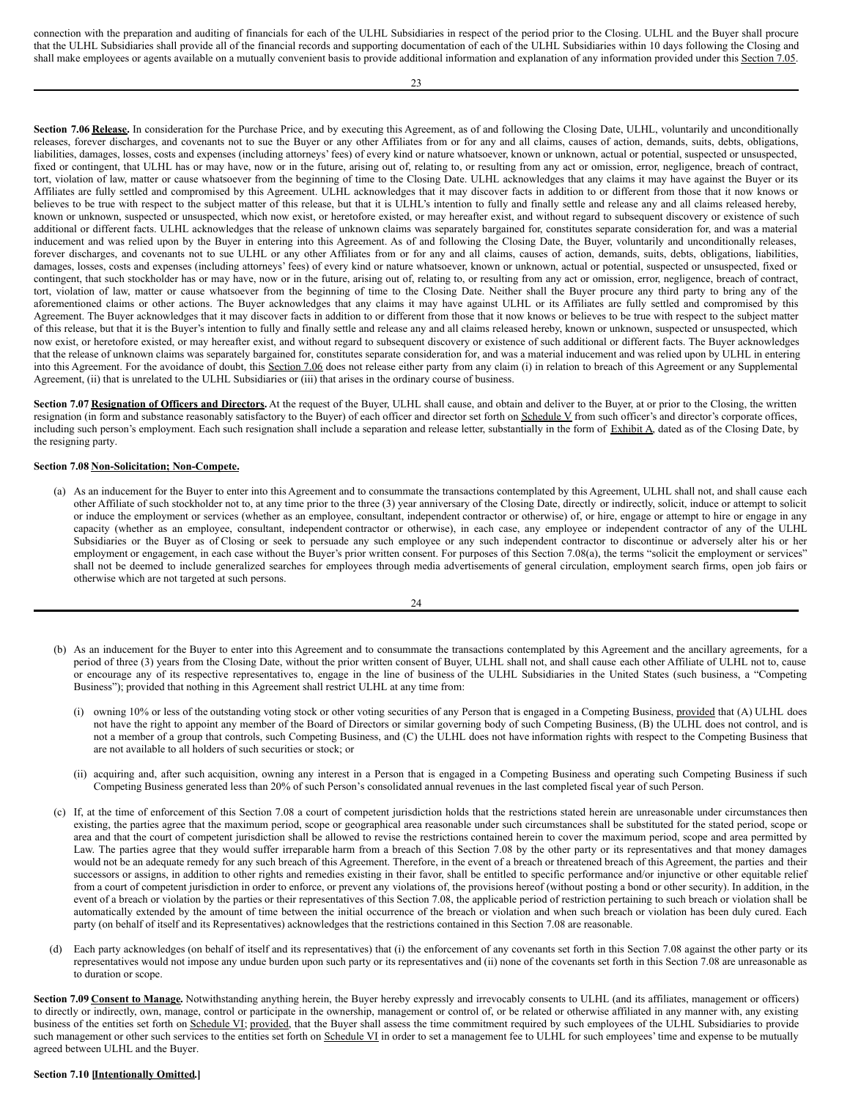connection with the preparation and auditing of financials for each of the ULHL Subsidiaries in respect of the period prior to the Closing. ULHL and the Buyer shall procure that the ULHL Subsidiaries shall provide all of the financial records and supporting documentation of each of the ULHL Subsidiaries within 10 days following the Closing and shall make employees or agents available on a mutually convenient basis to provide additional information and explanation of any information provided under this Section 7.05.

23

**Section 7.06 Release.** In consideration for the Purchase Price, and by executing this Agreement, as of and following the Closing Date, ULHL, voluntarily and unconditionally releases, forever discharges, and covenants not to sue the Buyer or any other Affiliates from or for any and all claims, causes of action, demands, suits, debts, obligations, liabilities, damages, losses, costs and expenses (including attorneys' fees) of every kind or nature whatsoever, known or unknown, actual or potential, suspected or unsuspected, fixed or contingent, that ULHL has or may have, now or in the future, arising out of, relating to, or resulting from any act or omission, error, negligence, breach of contract, tort, violation of law, matter or cause whatsoever from the beginning of time to the Closing Date. ULHL acknowledges that any claims it may have against the Buyer or its Affiliates are fully settled and compromised by this Agreement. ULHL acknowledges that it may discover facts in addition to or different from those that it now knows or believes to be true with respect to the subject matter of this release, but that it is ULHL's intention to fully and finally settle and release any and all claims released hereby, known or unknown, suspected or unsuspected, which now exist, or heretofore existed, or may hereafter exist, and without regard to subsequent discovery or existence of such additional or different facts. ULHL acknowledges that the release of unknown claims was separately bargained for, constitutes separate consideration for, and was a material inducement and was relied upon by the Buyer in entering into this Agreement. As of and following the Closing Date, the Buyer, voluntarily and unconditionally releases, forever discharges, and covenants not to sue ULHL or any other Affiliates from or for any and all claims, causes of action, demands, suits, debts, obligations, liabilities, damages, losses, costs and expenses (including attorneys' fees) of every kind or nature whatsoever, known or unknown, actual or potential, suspected or unsuspected, fixed or contingent, that such stockholder has or may have, now or in the future, arising out of, relating to, or resulting from any act or omission, error, negligence, breach of contract, tort, violation of law, matter or cause whatsoever from the beginning of time to the Closing Date. Neither shall the Buyer procure any third party to bring any of the aforementioned claims or other actions. The Buyer acknowledges that any claims it may have against ULHL or its Affiliates are fully settled and compromised by this Agreement. The Buyer acknowledges that it may discover facts in addition to or different from those that it now knows or believes to be true with respect to the subject matter of this release, but that it is the Buyer's intention to fully and finally settle and release any and all claims released hereby, known or unknown, suspected or unsuspected, which now exist, or heretofore existed, or may hereafter exist, and without regard to subsequent discovery or existence of such additional or different facts. The Buyer acknowledges that the release of unknown claims was separately bargained for, constitutes separate consideration for, and was a material inducement and was relied upon by ULHL in entering into this Agreement. For the avoidance of doubt, this Section 7.06 does not release either party from any claim (i) in relation to breach of this Agreement or any Supplemental Agreement, (ii) that is unrelated to the ULHL Subsidiaries or (iii) that arises in the ordinary course of business.

**Section 7.07 Resignation of Officers and Directors.** At the request of the Buyer, ULHL shall cause, and obtain and deliver to the Buyer, at or prior to the Closing, the written resignation (in form and substance reasonably satisfactory to the Buyer) of each officer and director set forth on Schedule V from such officer's and director's corporate offices, including such person's employment. Each such resignation shall include a separation and release letter, substantially in the form of Exhibit A, dated as of the Closing Date, by the resigning party.

#### **Section 7.08 Non-Solicitation; Non-Compete.**

(a) As an inducement for the Buyer to enter into this Agreement and to consummate the transactions contemplated by this Agreement, ULHL shall not, and shall cause each other Affiliate of such stockholder not to, at any time prior to the three (3) year anniversary of the Closing Date, directly or indirectly, solicit, induce or attempt to solicit or induce the employment or services (whether as an employee, consultant, independent contractor or otherwise) of, or hire, engage or attempt to hire or engage in any capacity (whether as an employee, consultant, independent contractor or otherwise), in each case, any employee or independent contractor of any of the ULHL Subsidiaries or the Buyer as of Closing or seek to persuade any such employee or any such independent contractor to discontinue or adversely alter his or her employment or engagement, in each case without the Buyer's prior written consent. For purposes of this Section 7.08(a), the terms "solicit the employment or services" shall not be deemed to include generalized searches for employees through media advertisements of general circulation, employment search firms, open job fairs or otherwise which are not targeted at such persons.

| I |
|---|
|---|

- (b) As an inducement for the Buyer to enter into this Agreement and to consummate the transactions contemplated by this Agreement and the ancillary agreements, for a period of three (3) years from the Closing Date, without the prior written consent of Buyer, ULHL shall not, and shall cause each other Affiliate of ULHL not to, cause or encourage any of its respective representatives to, engage in the line of business of the ULHL Subsidiaries in the United States (such business, a "Competing Business"); provided that nothing in this Agreement shall restrict ULHL at any time from:
	- (i) owning 10% or less of the outstanding voting stock or other voting securities of any Person that is engaged in a Competing Business, provided that (A) ULHL does not have the right to appoint any member of the Board of Directors or similar governing body of such Competing Business, (B) the ULHL does not control, and is not a member of a group that controls, such Competing Business, and (C) the ULHL does not have information rights with respect to the Competing Business that are not available to all holders of such securities or stock; or
	- (ii) acquiring and, after such acquisition, owning any interest in a Person that is engaged in a Competing Business and operating such Competing Business if such Competing Business generated less than 20% of such Person's consolidated annual revenues in the last completed fiscal year of such Person.
- (c) If, at the time of enforcement of this Section 7.08 a court of competent jurisdiction holds that the restrictions stated herein are unreasonable under circumstances then existing, the parties agree that the maximum period, scope or geographical area reasonable under such circumstances shall be substituted for the stated period, scope or area and that the court of competent jurisdiction shall be allowed to revise the restrictions contained herein to cover the maximum period, scope and area permitted by Law. The parties agree that they would suffer irreparable harm from a breach of this Section 7.08 by the other party or its representatives and that money damages would not be an adequate remedy for any such breach of this Agreement. Therefore, in the event of a breach or threatened breach of this Agreement, the parties and their successors or assigns, in addition to other rights and remedies existing in their favor, shall be entitled to specific performance and/or injunctive or other equitable relief from a court of competent jurisdiction in order to enforce, or prevent any violations of, the provisions hereof (without posting a bond or other security). In addition, in the event of a breach or violation by the parties or their representatives of this Section 7.08, the applicable period of restriction pertaining to such breach or violation shall be automatically extended by the amount of time between the initial occurrence of the breach or violation and when such breach or violation has been duly cured. Each party (on behalf of itself and its Representatives) acknowledges that the restrictions contained in this Section 7.08 are reasonable.
- (d) Each party acknowledges (on behalf of itself and its representatives) that (i) the enforcement of any covenants set forth in this Section 7.08 against the other party or its representatives would not impose any undue burden upon such party or its representatives and (ii) none of the covenants set forth in this Section 7.08 are unreasonable as to duration or scope.

**Section 7.09 Consent to Manage.** Notwithstanding anything herein, the Buyer hereby expressly and irrevocably consents to ULHL (and its affiliates, management or officers) to directly or indirectly, own, manage, control or participate in the ownership, management or control of, or be related or otherwise affiliated in any manner with, any existing business of the entities set forth on Schedule VI; provided, that the Buyer shall assess the time commitment required by such employees of the ULHL Subsidiaries to provide such management or other such services to the entities set forth on Schedule VI in order to set a management fee to ULHL for such employees' time and expense to be mutually agreed between ULHL and the Buyer.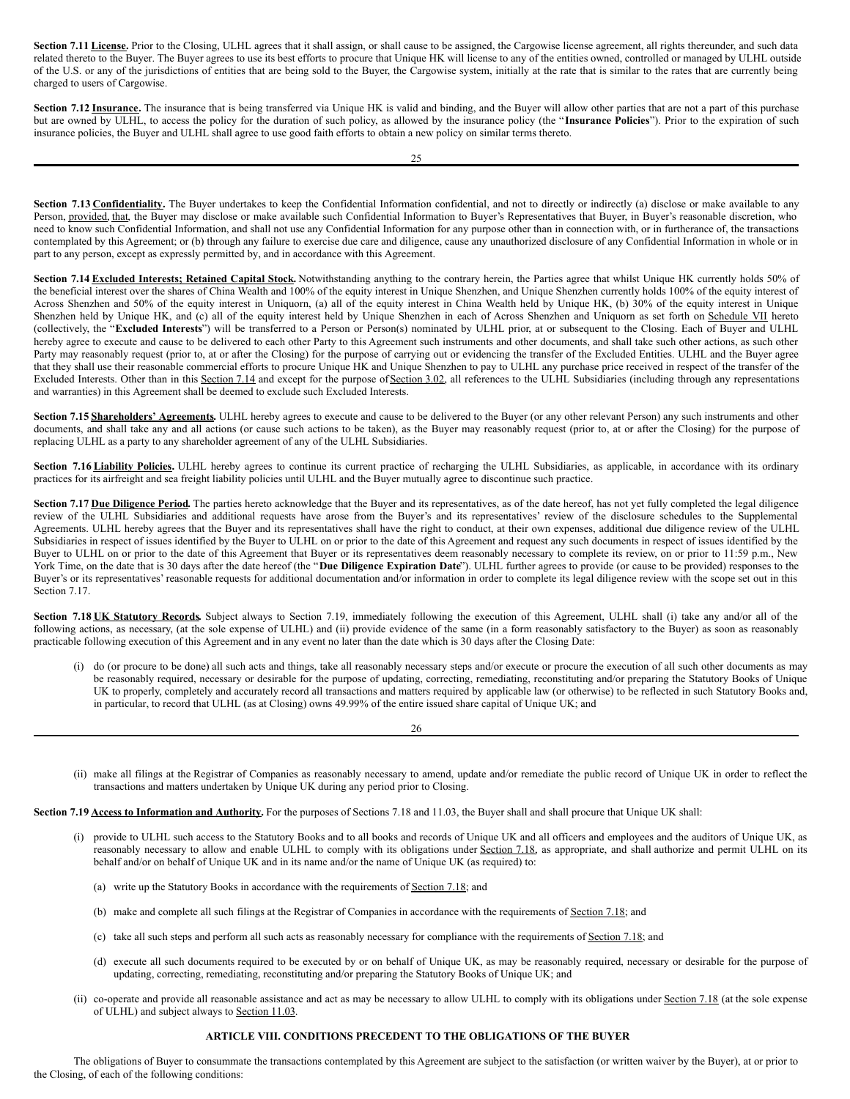Section 7.11 License. Prior to the Closing, ULHL agrees that it shall assign, or shall cause to be assigned, the Cargowise license agreement, all rights thereunder, and such data related thereto to the Buyer. The Buyer agrees to use its best efforts to procure that Unique HK will license to any of the entities owned, controlled or managed by ULHL outside of the U.S. or any of the jurisdictions of entities that are being sold to the Buyer, the Cargowise system, initially at the rate that is similar to the rates that are currently being charged to users of Cargowise.

Section 7.12 Insurance. The insurance that is being transferred via Unique HK is valid and binding, and the Buyer will allow other parties that are not a part of this purchase but are owned by ULHL, to access the policy for the duration of such policy, as allowed by the insurance policy (the "**Insurance Policies**"). Prior to the expiration of such insurance policies, the Buyer and ULHL shall agree to use good faith efforts to obtain a new policy on similar terms thereto.

Section 7.13 Confidentiality. The Buyer undertakes to keep the Confidential Information confidential, and not to directly or indirectly (a) disclose or make available to any Person, provided, that, the Buyer may disclose or make available such Confidential Information to Buyer's Representatives that Buyer, in Buyer's reasonable discretion, who need to know such Confidential Information, and shall not use any Confidential Information for any purpose other than in connection with, or in furtherance of, the transactions contemplated by this Agreement; or (b) through any failure to exercise due care and diligence, cause any unauthorized disclosure of any Confidential Information in whole or in part to any person, except as expressly permitted by, and in accordance with this Agreement.

**Section 7.14 Excluded Interests; Retained Capital Stock.** Notwithstanding anything to the contrary herein, the Parties agree that whilst Unique HK currently holds 50% of the beneficial interest over the shares of China Wealth and 100% of the equity interest in Unique Shenzhen, and Unique Shenzhen currently holds 100% of the equity interest of Across Shenzhen and 50% of the equity interest in Uniquorn, (a) all of the equity interest in China Wealth held by Unique HK, (b) 30% of the equity interest in Unique Shenzhen held by Unique HK, and (c) all of the equity interest held by Unique Shenzhen in each of Across Shenzhen and Uniquorn as set forth on Schedule VII hereto (collectively, the "**Excluded Interests**") will be transferred to a Person or Person(s) nominated by ULHL prior, at or subsequent to the Closing. Each of Buyer and ULHL hereby agree to execute and cause to be delivered to each other Party to this Agreement such instruments and other documents, and shall take such other actions, as such other Party may reasonably request (prior to, at or after the Closing) for the purpose of carrying out or evidencing the transfer of the Excluded Entities. ULHL and the Buyer agree that they shall use their reasonable commercial efforts to procure Unique HK and Unique Shenzhen to pay to ULHL any purchase price received in respect of the transfer of the Excluded Interests. Other than in this Section 7.14 and except for the purpose of Section 3.02, all references to the ULHL Subsidiaries (including through any representations and warranties) in this Agreement shall be deemed to exclude such Excluded Interests.

**Section 7.15 Shareholders' Agreements.** ULHL hereby agrees to execute and cause to be delivered to the Buyer (or any other relevant Person) any such instruments and other documents, and shall take any and all actions (or cause such actions to be taken), as the Buyer may reasonably request (prior to, at or after the Closing) for the purpose of replacing ULHL as a party to any shareholder agreement of any of the ULHL Subsidiaries.

Section 7.16 **Liability Policies**. ULHL hereby agrees to continue its current practice of recharging the ULHL Subsidiaries, as applicable, in accordance with its ordinary practices for its airfreight and sea freight liability policies until ULHL and the Buyer mutually agree to discontinue such practice.

Section **7.17** Due Diligence Period. The parties hereto acknowledge that the Buyer and its representatives, as of the date hereof, has not yet fully completed the legal diligence review of the ULHL Subsidiaries and additional requests have arose from the Buyer's and its representatives' review of the disclosure schedules to the Supplemental Agreements. ULHL hereby agrees that the Buyer and its representatives shall have the right to conduct, at their own expenses, additional due diligence review of the ULHL Subsidiaries in respect of issues identified by the Buyer to ULHL on or prior to the date of this Agreement and request any such documents in respect of issues identified by the Buyer to ULHL on or prior to the date of this Agreement that Buyer or its representatives deem reasonably necessary to complete its review, on or prior to 11:59 p.m., New York Time, on the date that is 30 days after the date hereof (the "Due Diligence Expiration Date"). ULHL further agrees to provide (or cause to be provided) responses to the Buyer's or its representatives' reasonable requests for additional documentation and/or information in order to complete its legal diligence review with the scope set out in this Section 7.17.

Section 7.18 UK Statutory Records. Subject always to Section 7.19, immediately following the execution of this Agreement, ULHL shall (i) take any and/or all of the following actions, as necessary, (at the sole expense of ULHL) and (ii) provide evidence of the same (in a form reasonably satisfactory to the Buyer) as soon as reasonably practicable following execution of this Agreement and in any event no later than the date which is 30 days after the Closing Date:

(i) do (or procure to be done) all such acts and things, take all reasonably necessary steps and/or execute or procure the execution of all such other documents as may be reasonably required, necessary or desirable for the purpose of updating, correcting, remediating, reconstituting and/or preparing the Statutory Books of Unique UK to properly, completely and accurately record all transactions and matters required by applicable law (or otherwise) to be reflected in such Statutory Books and, in particular, to record that ULHL (as at Closing) owns 49.99% of the entire issued share capital of Unique UK; and

26

(ii) make all filings at the Registrar of Companies as reasonably necessary to amend, update and/or remediate the public record of Unique UK in order to reflect the transactions and matters undertaken by Unique UK during any period prior to Closing.

**Section 7.19 Access to Information and Authority.** For the purposes of Sections 7.18 and 11.03, the Buyer shall and shall procure that Unique UK shall:

- (i) provide to ULHL such access to the Statutory Books and to all books and records of Unique UK and all officers and employees and the auditors of Unique UK, as reasonably necessary to allow and enable ULHL to comply with its obligations under Section 7.18, as appropriate, and shall authorize and permit ULHL on its behalf and/or on behalf of Unique UK and in its name and/or the name of Unique UK (as required) to:
	- (a) write up the Statutory Books in accordance with the requirements of Section 7.18; and
	- (b) make and complete all such filings at the Registrar of Companies in accordance with the requirements of Section 7.18; and
	- (c) take all such steps and perform all such acts as reasonably necessary for compliance with the requirements of Section 7.18; and
	- (d) execute all such documents required to be executed by or on behalf of Unique UK, as may be reasonably required, necessary or desirable for the purpose of updating, correcting, remediating, reconstituting and/or preparing the Statutory Books of Unique UK; and
- (ii) co-operate and provide all reasonable assistance and act as may be necessary to allow ULHL to comply with its obligations under Section 7.18 (at the sole expense of ULHL) and subject always to Section 11.03.

# **ARTICLE VIII. CONDITIONS PRECEDENT TO THE OBLIGATIONS OF THE BUYER**

The obligations of Buyer to consummate the transactions contemplated by this Agreement are subject to the satisfaction (or written waiver by the Buyer), at or prior to the Closing, of each of the following conditions: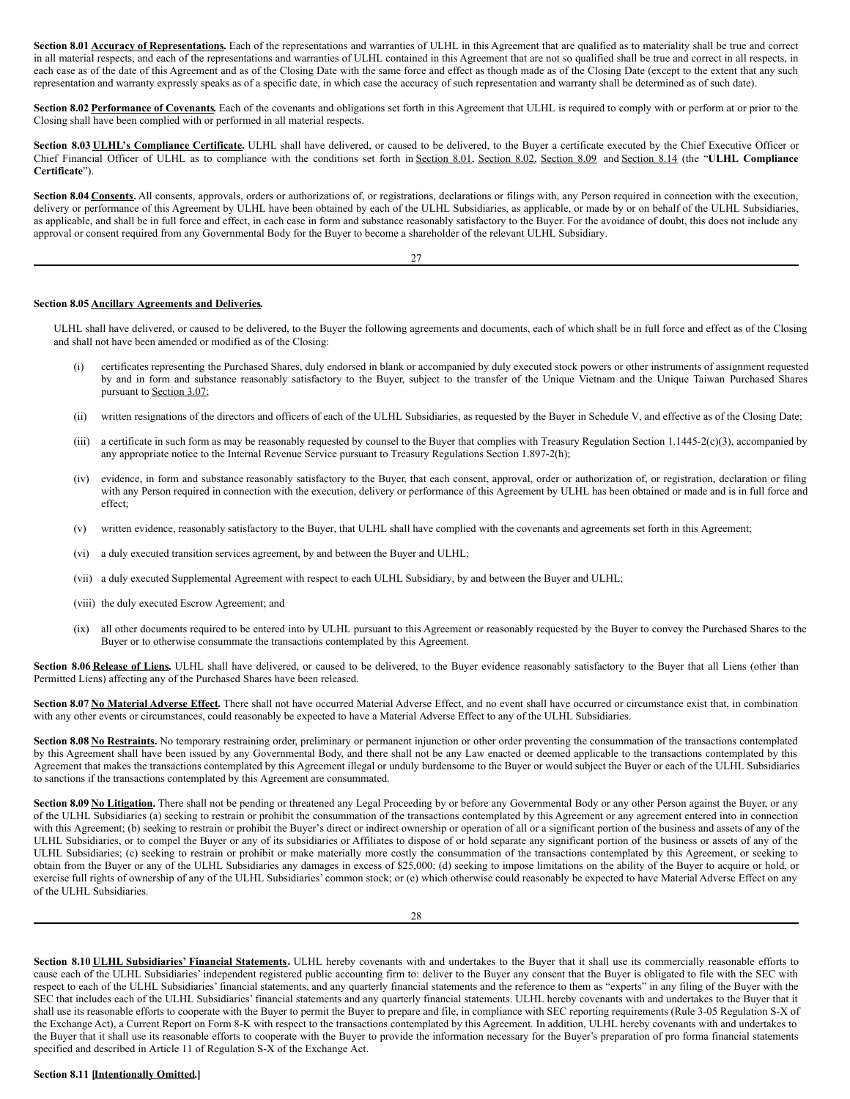**Section 8.01 Accuracy of Representations.** Each of the representations and warranties of ULHL in this Agreement that are qualified as to materiality shall be true and correct in all material respects, and each of the representations and warranties of ULHL contained in this Agreement that are not so qualified shall be true and correct in all respects, in each case as of the date of this Agreement and as of the Closing Date with the same force and effect as though made as of the Closing Date (except to the extent that any such representation and warranty expressly speaks as of a specific date, in which case the accuracy of such representation and warranty shall be determined as of such date).

Section 8.02 Performance of Covenants. Each of the covenants and obligations set forth in this Agreement that ULHL is required to comply with or perform at or prior to the Closing shall have been complied with or performed in all material respects.

**Section 8.03 ULHL's Compliance Certificate.** ULHL shall have delivered, or caused to be delivered, to the Buyer a certificate executed by the Chief Executive Officer or Chief Financial Officer of ULHL as to compliance with the conditions set forth in Section 8.01, Section 8.02, Section 8.09 and Section 8.14 (the "**ULHL Compliance Certificate**").

Section 8.04 Consents. All consents, approvals, orders or authorizations of, or registrations, declarations or filings with, any Person required in connection with the execution, delivery or performance of this Agreement by ULHL have been obtained by each of the ULHL Subsidiaries, as applicable, or made by or on behalf of the ULHL Subsidiaries, as applicable, and shall be in full force and effect, in each case in form and substance reasonably satisfactory to the Buyer. For the avoidance of doubt, this does not include any approval or consent required from any Governmental Body for the Buyer to become a shareholder of the relevant ULHL Subsidiary.

27

#### **Section 8.05 Ancillary Agreements and Deliveries.**

ULHL shall have delivered, or caused to be delivered, to the Buyer the following agreements and documents, each of which shall be in full force and effect as of the Closing and shall not have been amended or modified as of the Closing:

- (i) certificates representing the Purchased Shares, duly endorsed in blank or accompanied by duly executed stock powers or other instruments of assignment requested by and in form and substance reasonably satisfactory to the Buyer, subject to the transfer of the Unique Vietnam and the Unique Taiwan Purchased Shares pursuant to Section 3.07;
- (ii) written resignations of the directors and officers of each of the ULHL Subsidiaries, as requested by the Buyer in Schedule V, and effective as of the Closing Date;
- (iii) a certificate in such form as may be reasonably requested by counsel to the Buyer that complies with Treasury Regulation Section 1.1445-2(c)(3), accompanied by any appropriate notice to the Internal Revenue Service pursuant to Treasury Regulations Section 1.897-2(h);
- (iv) evidence, in form and substance reasonably satisfactory to the Buyer, that each consent, approval, order or authorization of, or registration, declaration or filing with any Person required in connection with the execution, delivery or performance of this Agreement by ULHL has been obtained or made and is in full force and effect;
- (v) written evidence, reasonably satisfactory to the Buyer, that ULHL shall have complied with the covenants and agreements set forth in this Agreement;
- (vi) a duly executed transition services agreement, by and between the Buyer and ULHL;
- (vii) a duly executed Supplemental Agreement with respect to each ULHL Subsidiary, by and between the Buyer and ULHL;
- (viii) the duly executed Escrow Agreement; and
- (ix) all other documents required to be entered into by ULHL pursuant to this Agreement or reasonably requested by the Buyer to convey the Purchased Shares to the Buyer or to otherwise consummate the transactions contemplated by this Agreement.

Section 8.06 Release of Liens. ULHL shall have delivered, or caused to be delivered, to the Buyer evidence reasonably satisfactory to the Buyer that all Liens (other than Permitted Liens) affecting any of the Purchased Shares have been released.

**Section 8.07 No Material Adverse Effect.** There shall not have occurred Material Adverse Effect, and no event shall have occurred or circumstance exist that, in combination with any other events or circumstances, could reasonably be expected to have a Material Adverse Effect to any of the ULHL Subsidiaries.

Section 8.08 No Restraints. No temporary restraining order, preliminary or permanent injunction or other order preventing the consummation of the transactions contemplated by this Agreement shall have been issued by any Governmental Body, and there shall not be any Law enacted or deemed applicable to the transactions contemplated by this Agreement that makes the transactions contemplated by this Agreement illegal or unduly burdensome to the Buyer or would subject the Buyer or each of the ULHL Subsidiaries to sanctions if the transactions contemplated by this Agreement are consummated.

Section 8.09 No Litigation. There shall not be pending or threatened any Legal Proceeding by or before any Governmental Body or any other Person against the Buyer, or any of the ULHL Subsidiaries (a) seeking to restrain or prohibit the consummation of the transactions contemplated by this Agreement or any agreement entered into in connection with this Agreement; (b) seeking to restrain or prohibit the Buyer's direct or indirect ownership or operation of all or a significant portion of the business and assets of any of the ULHL Subsidiaries, or to compel the Buyer or any of its subsidiaries or Affiliates to dispose of or hold separate any significant portion of the business or assets of any of the ULHL Subsidiaries; (c) seeking to restrain or prohibit or make materially more costly the consummation of the transactions contemplated by this Agreement, or seeking to obtain from the Buyer or any of the ULHL Subsidiaries any damages in excess of \$25,000; (d) seeking to impose limitations on the ability of the Buyer to acquire or hold, or exercise full rights of ownership of any of the ULHL Subsidiaries' common stock; or (e) which otherwise could reasonably be expected to have Material Adverse Effect on any of the ULHL Subsidiaries.

**Section 8.10 ULHL Subsidiaries' Financial Statements.** ULHL hereby covenants with and undertakes to the Buyer that it shall use its commercially reasonable efforts to cause each of the ULHL Subsidiaries' independent registered public accounting firm to: deliver to the Buyer any consent that the Buyer is obligated to file with the SEC with respect to each of the ULHL Subsidiaries' financial statements, and any quarterly financial statements and the reference to them as "experts" in any filing of the Buyer with the SEC that includes each of the ULHL Subsidiaries' financial statements and any quarterly financial statements. ULHL hereby covenants with and undertakes to the Buyer that it shall use its reasonable efforts to cooperate with the Buyer to permit the Buyer to prepare and file, in compliance with SEC reporting requirements (Rule 3-05 Regulation S-X of the Exchange Act), a Current Report on Form 8-K with respect to the transactions contemplated by this Agreement. In addition, ULHL hereby covenants with and undertakes to the Buyer that it shall use its reasonable efforts to cooperate with the Buyer to provide the information necessary for the Buyer's preparation of pro forma financial statements specified and described in Article 11 of Regulation S-X of the Exchange Act.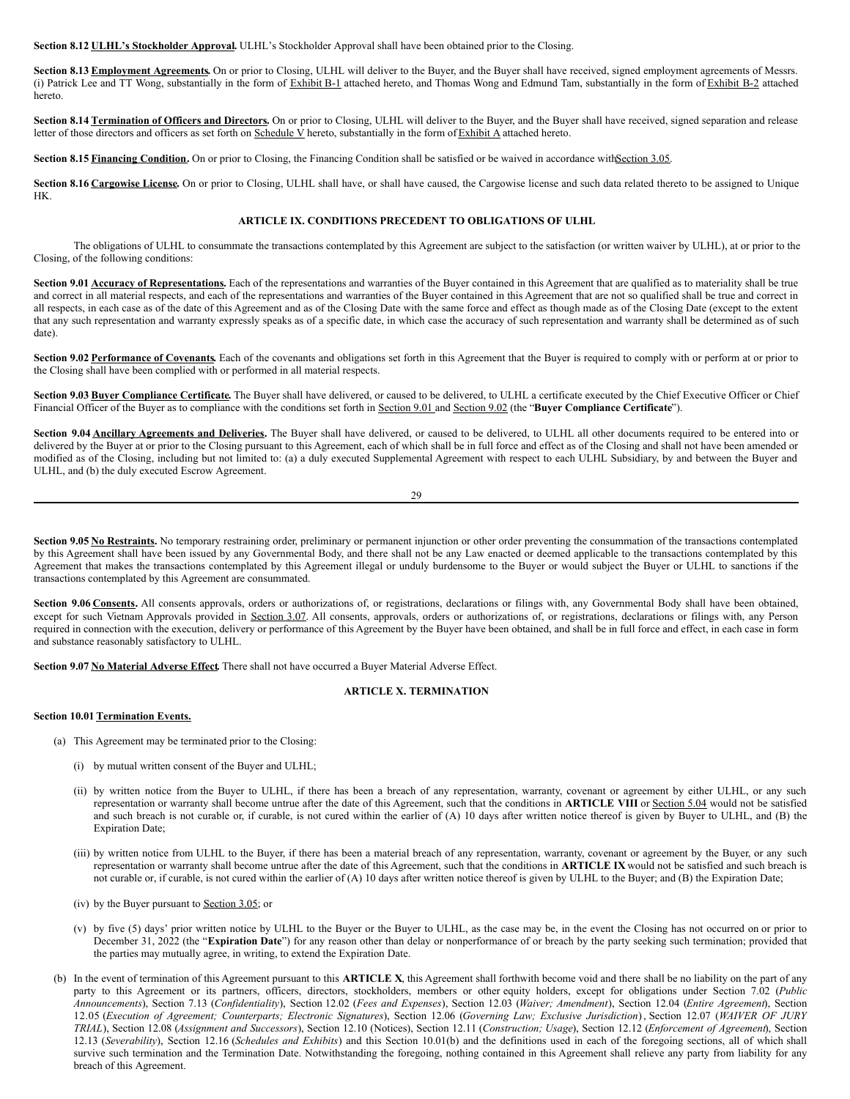**Section 8.12 ULHL's Stockholder Approval.** ULHL's Stockholder Approval shall have been obtained prior to the Closing.

**Section 8.13 Employment Agreements.** On or prior to Closing, ULHL will deliver to the Buyer, and the Buyer shall have received, signed employment agreements of Messrs. (i) Patrick Lee and TT Wong, substantially in the form of Exhibit B-1 attached hereto, and Thomas Wong and Edmund Tam, substantially in the form of Exhibit B-2 attached hereto.

**Section 8.14 Termination of Officers and Directors.** On or prior to Closing, ULHL will deliver to the Buyer, and the Buyer shall have received, signed separation and release letter of those directors and officers as set forth on  $S$ chedule V hereto, substantially in the form of  $\overline{Exhibit}$  A attached hereto.

**Section 8.15 Financing Condition.** On or prior to Closing, the Financing Condition shall be satisfied or be waived in accordance withSection 3.05.

**Section 8.16 Cargowise License.** On or prior to Closing, ULHL shall have, or shall have caused, the Cargowise license and such data related thereto to be assigned to Unique HK.

#### **ARTICLE IX. CONDITIONS PRECEDENT TO OBLIGATIONS OF ULHL**

The obligations of ULHL to consummate the transactions contemplated by this Agreement are subject to the satisfaction (or written waiver by ULHL), at or prior to the Closing, of the following conditions:

Section 9.01 **Accuracy of Representations**. Each of the representations and warranties of the Buyer contained in this Agreement that are qualified as to materiality shall be true and correct in all material respects, and each of the representations and warranties of the Buyer contained in this Agreement that are not so qualified shall be true and correct in all respects, in each case as of the date of this Agreement and as of the Closing Date with the same force and effect as though made as of the Closing Date (except to the extent that any such representation and warranty expressly speaks as of a specific date, in which case the accuracy of such representation and warranty shall be determined as of such date).

Section 9.02 Performance of Covenants. Each of the covenants and obligations set forth in this Agreement that the Buyer is required to comply with or perform at or prior to the Closing shall have been complied with or performed in all material respects.

**Section 9.03 Buyer Compliance Certificate.** The Buyer shall have delivered, or caused to be delivered, to ULHL a certificate executed by the Chief Executive Officer or Chief Financial Officer of the Buyer as to compliance with the conditions set forth in Section 9.01 and Section 9.02 (the "**Buyer Compliance Certificate**").

**Section 9.04 Ancillary Agreements and Deliveries.** The Buyer shall have delivered, or caused to be delivered, to ULHL all other documents required to be entered into or delivered by the Buyer at or prior to the Closing pursuant to this Agreement, each of which shall be in full force and effect as of the Closing and shall not have been amended or modified as of the Closing, including but not limited to: (a) a duly executed Supplemental Agreement with respect to each ULHL Subsidiary, by and between the Buyer and ULHL, and (b) the duly executed Escrow Agreement.

29

Section 9.05 No Restraints. No temporary restraining order, preliminary or permanent injunction or other order preventing the consummation of the transactions contemplated by this Agreement shall have been issued by any Governmental Body, and there shall not be any Law enacted or deemed applicable to the transactions contemplated by this Agreement that makes the transactions contemplated by this Agreement illegal or unduly burdensome to the Buyer or would subject the Buyer or ULHL to sanctions if the transactions contemplated by this Agreement are consummated.

Section 9.06 Consents. All consents approvals, orders or authorizations of, or registrations, declarations or filings with, any Governmental Body shall have been obtained, except for such Vietnam Approvals provided in Section 3.07. All consents, approvals, orders or authorizations of, or registrations, declarations or filings with, any Person required in connection with the execution, delivery or performance of this Agreement by the Buyer have been obtained, and shall be in full force and effect, in each case in form and substance reasonably satisfactory to ULHL.

**Section 9.07 No Material Adverse Effect.** There shall not have occurred a Buyer Material Adverse Effect.

#### **ARTICLE X. TERMINATION**

#### **Section 10.01 Termination Events.**

- (a) This Agreement may be terminated prior to the Closing:
	- (i) by mutual written consent of the Buyer and ULHL;
	- (ii) by written notice from the Buyer to ULHL, if there has been a breach of any representation, warranty, covenant or agreement by either ULHL, or any such representation or warranty shall become untrue after the date of this Agreement, such that the conditions in **ARTICLE VIII** or Section 5.04 would not be satisfied and such breach is not curable or, if curable, is not cured within the earlier of (A) 10 days after written notice thereof is given by Buyer to ULHL, and (B) the Expiration Date;
	- (iii) by written notice from ULHL to the Buyer, if there has been a material breach of any representation, warranty, covenant or agreement by the Buyer, or any such representation or warranty shall become untrue after the date of this Agreement, such that the conditions in **ARTICLE IX** would not be satisfied and such breach is not curable or, if curable, is not cured within the earlier of (A) 10 days after written notice thereof is given by ULHL to the Buyer; and (B) the Expiration Date;
	- (iv) by the Buyer pursuant to Section 3.05; or
	- (v) by five (5) days' prior written notice by ULHL to the Buyer or the Buyer to ULHL, as the case may be, in the event the Closing has not occurred on or prior to December 31, 2022 (the "**Expiration Date**") for any reason other than delay or nonperformance of or breach by the party seeking such termination; provided that the parties may mutually agree, in writing, to extend the Expiration Date.
- (b) In the event of termination of this Agreement pursuant to this **ARTICLE X**, this Agreement shall forthwith become void and there shall be no liability on the part of any party to this Agreement or its partners, officers, directors, stockholders, members or other equity holders, except for obligations under Section 7.02 (*Public Announcements*), Section 7.13 (*Confidentiality*), Section 12.02 (*Fees and Expenses*), Section 12.03 (*Waiver; Amendment*), Section 12.04 (*Entire Agreement*), Section 12.05 (Execution of Agreement; Counterparts; Electronic Signatures), Section 12.06 (Governing Law; Exclusive Jurisdiction), Section 12.07 (WAIVER OF JURY TRIAL), Section 12.08 (Assignment and Successors), Section 12.10 (Notices), Section 12.11 (Construction; Usage), Section 12.12 (Enforcement of Agreement), Section 12.13 (*Severability*), Section 12.16 (*Schedules and Exhibits*) and this Section 10.01(b) and the definitions used in each of the foregoing sections, all of which shall survive such termination and the Termination Date. Notwithstanding the foregoing, nothing contained in this Agreement shall relieve any party from liability for any breach of this Agreement.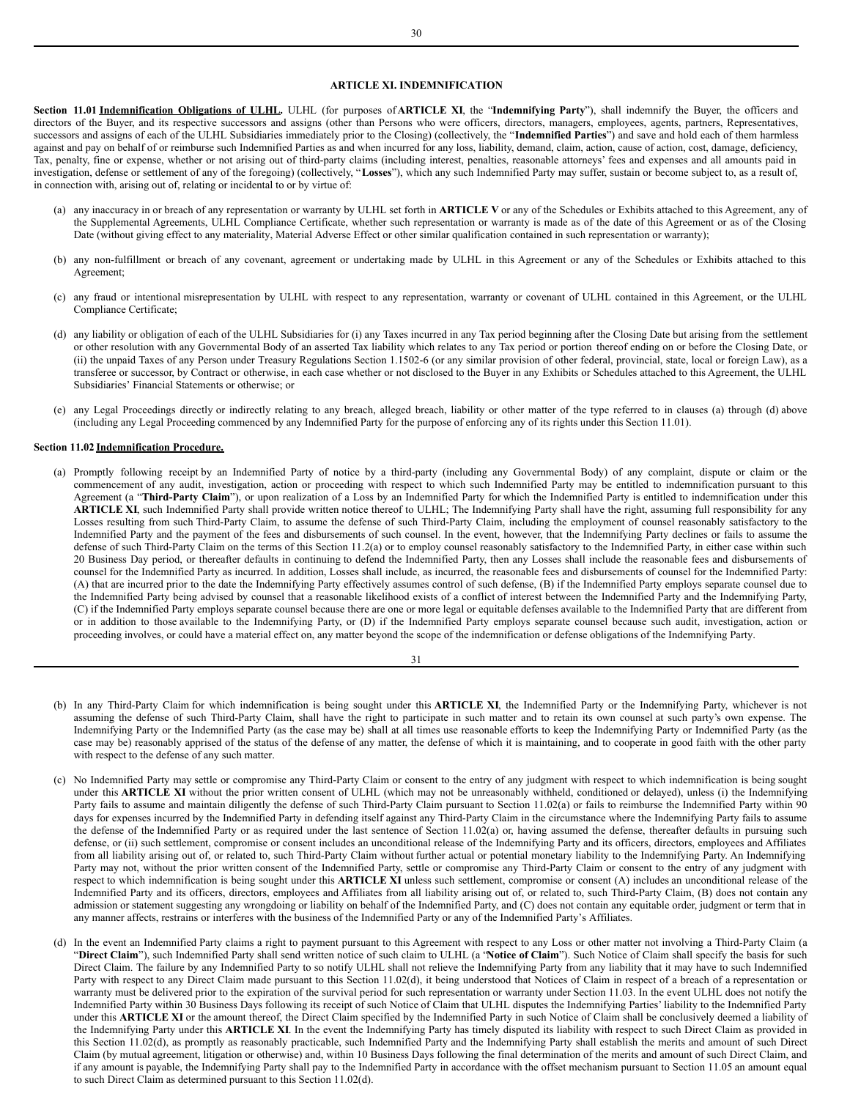#### **ARTICLE XI. INDEMNIFICATION**

Section 11.01 Indemnification Obligations of ULHL. ULHL (for purposes of ARTICLE XI, the "Indemnifying Party"), shall indemnify the Buyer, the officers and directors of the Buyer, and its respective successors and assigns (other than Persons who were officers, directors, managers, employees, agents, partners, Representatives, successors and assigns of each of the ULHL Subsidiaries immediately prior to the Closing) (collectively, the "**Indemnified Parties**") and save and hold each of them harmless against and pay on behalf of or reimburse such Indemnified Parties as and when incurred for any loss, liability, demand, claim, action, cause of action, cost, damage, deficiency, Tax, penalty, fine or expense, whether or not arising out of third-party claims (including interest, penalties, reasonable attorneys' fees and expenses and all amounts paid in investigation, defense or settlement of any of the foregoing) (collectively, "**Losses**"), which any such Indemnified Party may suffer, sustain or become subject to, as a result of, in connection with, arising out of, relating or incidental to or by virtue of:

- (a) any inaccuracy in or breach of any representation or warranty by ULHL set forth in **ARTICLE V** or any of the Schedules or Exhibits attached to this Agreement, any of the Supplemental Agreements, ULHL Compliance Certificate, whether such representation or warranty is made as of the date of this Agreement or as of the Closing Date (without giving effect to any materiality, Material Adverse Effect or other similar qualification contained in such representation or warranty);
- (b) any non-fulfillment or breach of any covenant, agreement or undertaking made by ULHL in this Agreement or any of the Schedules or Exhibits attached to this Agreement;
- (c) any fraud or intentional misrepresentation by ULHL with respect to any representation, warranty or covenant of ULHL contained in this Agreement, or the ULHL Compliance Certificate;
- (d) any liability or obligation of each of the ULHL Subsidiaries for (i) any Taxes incurred in any Tax period beginning after the Closing Date but arising from the settlement or other resolution with any Governmental Body of an asserted Tax liability which relates to any Tax period or portion thereof ending on or before the Closing Date, or (ii) the unpaid Taxes of any Person under Treasury Regulations Section 1.1502-6 (or any similar provision of other federal, provincial, state, local or foreign Law), as a transferee or successor, by Contract or otherwise, in each case whether or not disclosed to the Buyer in any Exhibits or Schedules attached to this Agreement, the ULHL Subsidiaries' Financial Statements or otherwise; or
- (e) any Legal Proceedings directly or indirectly relating to any breach, alleged breach, liability or other matter of the type referred to in clauses (a) through (d) above (including any Legal Proceeding commenced by any Indemnified Party for the purpose of enforcing any of its rights under this Section 11.01).

#### **Section 11.02 Indemnification Procedure.**

(a) Promptly following receipt by an Indemnified Party of notice by a third-party (including any Governmental Body) of any complaint, dispute or claim or the commencement of any audit, investigation, action or proceeding with respect to which such Indemnified Party may be entitled to indemnification pursuant to this Agreement (a "**Third-Party Claim**"), or upon realization of a Loss by an Indemnified Party for which the Indemnified Party is entitled to indemnification under this **ARTICLE XI**, such Indemnified Party shall provide written notice thereof to ULHL; The Indemnifying Party shall have the right, assuming full responsibility for any Losses resulting from such Third-Party Claim, to assume the defense of such Third-Party Claim, including the employment of counsel reasonably satisfactory to the Indemnified Party and the payment of the fees and disbursements of such counsel. In the event, however, that the Indemnifying Party declines or fails to assume the defense of such Third-Party Claim on the terms of this Section 11.2(a) or to employ counsel reasonably satisfactory to the Indemnified Party, in either case within such 20 Business Day period, or thereafter defaults in continuing to defend the Indemnified Party, then any Losses shall include the reasonable fees and disbursements of counsel for the Indemnified Party as incurred. In addition, Losses shall include, as incurred, the reasonable fees and disbursements of counsel for the Indemnified Party: (A) that are incurred prior to the date the Indemnifying Party effectively assumes control of such defense, (B) if the Indemnified Party employs separate counsel due to the Indemnified Party being advised by counsel that a reasonable likelihood exists of a conflict of interest between the Indemnified Party and the Indemnifying Party, (C) if the Indemnified Party employs separate counsel because there are one or more legal or equitable defenses available to the Indemnified Party that are different from or in addition to those available to the Indemnifying Party, or (D) if the Indemnified Party employs separate counsel because such audit, investigation, action or proceeding involves, or could have a material effect on, any matter beyond the scope of the indemnification or defense obligations of the Indemnifying Party.

- (b) In any Third-Party Claim for which indemnification is being sought under this **ARTICLE XI**, the Indemnified Party or the Indemnifying Party, whichever is not assuming the defense of such Third-Party Claim, shall have the right to participate in such matter and to retain its own counsel at such party's own expense. The Indemnifying Party or the Indemnified Party (as the case may be) shall at all times use reasonable efforts to keep the Indemnifying Party or Indemnified Party (as the case may be) reasonably apprised of the status of the defense of any matter, the defense of which it is maintaining, and to cooperate in good faith with the other party with respect to the defense of any such matter.
- (c) No Indemnified Party may settle or compromise any Third-Party Claim or consent to the entry of any judgment with respect to which indemnification is being sought under this **ARTICLE XI** without the prior written consent of ULHL (which may not be unreasonably withheld, conditioned or delayed), unless (i) the Indemnifying Party fails to assume and maintain diligently the defense of such Third-Party Claim pursuant to Section 11.02(a) or fails to reimburse the Indemnified Party within 90 days for expenses incurred by the Indemnified Party in defending itself against any Third-Party Claim in the circumstance where the Indemnifying Party fails to assume the defense of the Indemnified Party or as required under the last sentence of Section 11.02(a) or, having assumed the defense, thereafter defaults in pursuing such defense, or (ii) such settlement, compromise or consent includes an unconditional release of the Indemnifying Party and its officers, directors, employees and Affiliates from all liability arising out of, or related to, such Third-Party Claim without further actual or potential monetary liability to the Indemnifying Party. An Indemnifying Party may not, without the prior written consent of the Indemnified Party, settle or compromise any Third-Party Claim or consent to the entry of any judgment with respect to which indemnification is being sought under this **ARTICLE XI** unless such settlement, compromise or consent (A) includes an unconditional release of the Indemnified Party and its officers, directors, employees and Affiliates from all liability arising out of, or related to, such Third-Party Claim, (B) does not contain any admission or statement suggesting any wrongdoing or liability on behalf of the Indemnified Party, and (C) does not contain any equitable order, judgment or term that in any manner affects, restrains or interferes with the business of the Indemnified Party or any of the Indemnified Party's Affiliates.
- (d) In the event an Indemnified Party claims a right to payment pursuant to this Agreement with respect to any Loss or other matter not involving a Third-Party Claim (a "**Direct Claim**"), such Indemnified Party shall send written notice of such claim to ULHL (a "**Notice of Claim**"). Such Notice of Claim shall specify the basis for such Direct Claim. The failure by any Indemnified Party to so notify ULHL shall not relieve the Indemnifying Party from any liability that it may have to such Indemnified Party with respect to any Direct Claim made pursuant to this Section 11.02(d), it being understood that Notices of Claim in respect of a breach of a representation or warranty must be delivered prior to the expiration of the survival period for such representation or warranty under Section 11.03. In the event ULHL does not notify the Indemnified Party within 30 Business Days following its receipt of such Notice of Claim that ULHL disputes the Indemnifying Parties' liability to the Indemnified Party under this **ARTICLE XI** or the amount thereof, the Direct Claim specified by the Indemnified Party in such Notice of Claim shall be conclusively deemed a liability of the Indemnifying Party under this **ARTICLE XI**. In the event the Indemnifying Party has timely disputed its liability with respect to such Direct Claim as provided in this Section 11.02(d), as promptly as reasonably practicable, such Indemnified Party and the Indemnifying Party shall establish the merits and amount of such Direct Claim (by mutual agreement, litigation or otherwise) and, within 10 Business Days following the final determination of the merits and amount of such Direct Claim, and if any amount is payable, the Indemnifying Party shall pay to the Indemnified Party in accordance with the offset mechanism pursuant to Section 11.05 an amount equal to such Direct Claim as determined pursuant to this Section 11.02(d).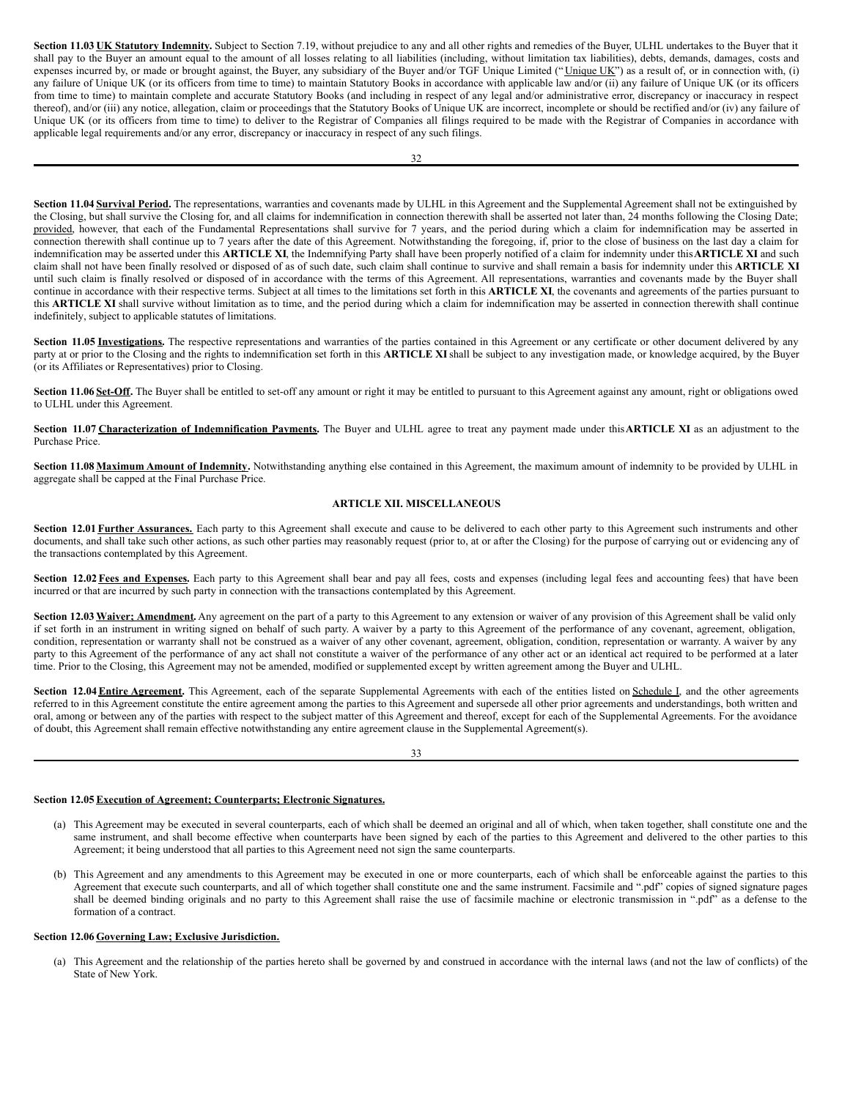**Section 11.03 UK Statutory Indemnity.** Subject to Section 7.19, without prejudice to any and all other rights and remedies of the Buyer, ULHL undertakes to the Buyer that it shall pay to the Buyer an amount equal to the amount of all losses relating to all liabilities (including, without limitation tax liabilities), debts, demands, damages, costs and expenses incurred by, or made or brought against, the Buyer, any subsidiary of the Buyer and/or TGF Unique Limited ("Unique UK") as a result of, or in connection with, (i) any failure of Unique UK (or its officers from time to time) to maintain Statutory Books in accordance with applicable law and/or (ii) any failure of Unique UK (or its officers from time to time) to maintain complete and accurate Statutory Books (and including in respect of any legal and/or administrative error, discrepancy or inaccuracy in respect thereof), and/or (iii) any notice, allegation, claim or proceedings that the Statutory Books of Unique UK are incorrect, incomplete or should be rectified and/or (iv) any failure of Unique UK (or its officers from time to time) to deliver to the Registrar of Companies all filings required to be made with the Registrar of Companies in accordance with applicable legal requirements and/or any error, discrepancy or inaccuracy in respect of any such filings.

Section 11.04 **Survival Period**. The representations, warranties and covenants made by ULHL in this Agreement and the Supplemental Agreement shall not be extinguished by the Closing, but shall survive the Closing for, and all claims for indemnification in connection therewith shall be asserted not later than, 24 months following the Closing Date; provided, however, that each of the Fundamental Representations shall survive for 7 years, and the period during which a claim for indemnification may be asserted in connection therewith shall continue up to 7 years after the date of this Agreement. Notwithstanding the foregoing, if, prior to the close of business on the last day a claim for indemnification may be asserted under this **ARTICLE XI**, the Indemnifying Party shall have been properly notified of a claim for indemnity under this**ARTICLE XI** and such claim shall not have been finally resolved or disposed of as of such date, such claim shall continue to survive and shall remain a basis for indemnity under this **ARTICLE XI** until such claim is finally resolved or disposed of in accordance with the terms of this Agreement. All representations, warranties and covenants made by the Buyer shall continue in accordance with their respective terms. Subject at all times to the limitations set forth in this **ARTICLE XI**, the covenants and agreements of the parties pursuant to this **ARTICLE XI** shall survive without limitation as to time, and the period during which a claim for indemnification may be asserted in connection therewith shall continue indefinitely, subject to applicable statutes of limitations.

Section 11.05 Investigations. The respective representations and warranties of the parties contained in this Agreement or any certificate or other document delivered by any party at or prior to the Closing and the rights to indemnification set forth in this **ARTICLE XI**shall be subject to any investigation made, or knowledge acquired, by the Buyer (or its Affiliates or Representatives) prior to Closing.

**Section 11.06** Set-Off. The Buyer shall be entitled to set-off any amount or right it may be entitled to pursuant to this Agreement against any amount, right or obligations owed to ULHL under this Agreement.

**Section 11.07 Characterization of Indemnification Payments.** The Buyer and ULHL agree to treat any payment made under this**ARTICLE XI** as an adjustment to the Purchase Price.

**Section 11.08 Maximum Amount of Indemnity.** Notwithstanding anything else contained in this Agreement, the maximum amount of indemnity to be provided by ULHL in aggregate shall be capped at the Final Purchase Price.

#### **ARTICLE XII. MISCELLANEOUS**

Section 12.01 Further Assurances. Each party to this Agreement shall execute and cause to be delivered to each other party to this Agreement such instruments and other documents, and shall take such other actions, as such other parties may reasonably request (prior to, at or after the Closing) for the purpose of carrying out or evidencing any of the transactions contemplated by this Agreement.

Section 12.02 Fees and Expenses. Each party to this Agreement shall bear and pay all fees, costs and expenses (including legal fees and accounting fees) that have been incurred or that are incurred by such party in connection with the transactions contemplated by this Agreement.

Section 12.03 Waiver; Amendment. Any agreement on the part of a party to this Agreement to any extension or waiver of any provision of this Agreement shall be valid only if set forth in an instrument in writing signed on behalf of such party. A waiver by a party to this Agreement of the performance of any covenant, agreement, obligation, condition, representation or warranty shall not be construed as a waiver of any other covenant, agreement, obligation, condition, representation or warranty. A waiver by any party to this Agreement of the performance of any act shall not constitute a waiver of the performance of any other act or an identical act required to be performed at a later time. Prior to the Closing, this Agreement may not be amended, modified or supplemented except by written agreement among the Buyer and ULHL.

Section 12.04 Entire Agreement. This Agreement, each of the separate Supplemental Agreements with each of the entities listed on Schedule I, and the other agreements referred to in this Agreement constitute the entire agreement among the parties to this Agreement and supersede all other prior agreements and understandings, both written and oral, among or between any of the parties with respect to the subject matter of this Agreement and thereof, except for each of the Supplemental Agreements. For the avoidance of doubt, this Agreement shall remain effective notwithstanding any entire agreement clause in the Supplemental Agreement(s).

|                  | ĉ                  |
|------------------|--------------------|
| I<br>۹<br>$\sim$ | I<br>I<br>. .<br>v |

# **Section 12.05Execution of Agreement; Counterparts; Electronic Signatures.**

- (a) This Agreement may be executed in several counterparts, each of which shall be deemed an original and all of which, when taken together, shall constitute one and the same instrument, and shall become effective when counterparts have been signed by each of the parties to this Agreement and delivered to the other parties to this Agreement; it being understood that all parties to this Agreement need not sign the same counterparts.
- (b) This Agreement and any amendments to this Agreement may be executed in one or more counterparts, each of which shall be enforceable against the parties to this Agreement that execute such counterparts, and all of which together shall constitute one and the same instrument. Facsimile and ".pdf" copies of signed signature pages shall be deemed binding originals and no party to this Agreement shall raise the use of facsimile machine or electronic transmission in ".pdf" as a defense to the formation of a contract.

# **Section 12.06 Governing Law; Exclusive Jurisdiction.**

(a) This Agreement and the relationship of the parties hereto shall be governed by and construed in accordance with the internal laws (and not the law of conflicts) of the State of New York.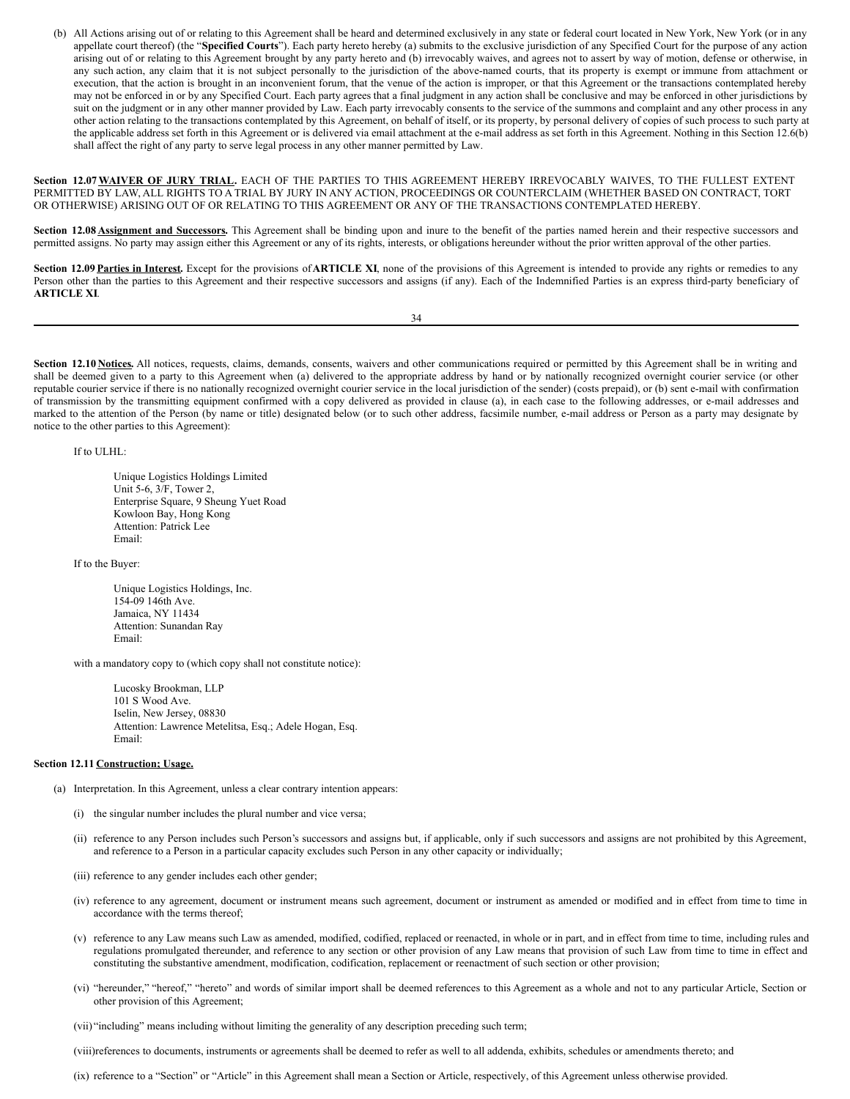(b) All Actions arising out of or relating to this Agreement shall be heard and determined exclusively in any state or federal court located in New York, New York (or in any appellate court thereof) (the "Specified Courts"). Each party hereto hereby (a) submits to the exclusive jurisdiction of any Specified Court for the purpose of any action arising out of or relating to this Agreement brought by any party hereto and (b) irrevocably waives, and agrees not to assert by way of motion, defense or otherwise, in any such action, any claim that it is not subject personally to the jurisdiction of the above-named courts, that its property is exempt or immune from attachment or execution, that the action is brought in an inconvenient forum, that the venue of the action is improper, or that this Agreement or the transactions contemplated hereby may not be enforced in or by any Specified Court. Each party agrees that a final judgment in any action shall be conclusive and may be enforced in other jurisdictions by suit on the judgment or in any other manner provided by Law. Each party irrevocably consents to the service of the summons and complaint and any other process in any other action relating to the transactions contemplated by this Agreement, on behalf of itself, or its property, by personal delivery of copies of such process to such party at the applicable address set forth in this Agreement or is delivered via email attachment at the e-mail address as set forth in this Agreement. Nothing in this Section 12.6(b) shall affect the right of any party to serve legal process in any other manner permitted by Law.

**Section 12.07WAIVER OF JURY TRIAL.** EACH OF THE PARTIES TO THIS AGREEMENT HEREBY IRREVOCABLY WAIVES, TO THE FULLEST EXTENT PERMITTED BY LAW, ALL RIGHTS TO A TRIAL BY JURY IN ANY ACTION, PROCEEDINGS OR COUNTERCLAIM (WHETHER BASED ON CONTRACT, TORT OR OTHERWISE) ARISING OUT OF OR RELATING TO THIS AGREEMENT OR ANY OF THE TRANSACTIONS CONTEMPLATED HEREBY.

Section 12.08 **Assignment and Successors**. This Agreement shall be binding upon and inure to the benefit of the parties named herein and their respective successors and permitted assigns. No party may assign either this Agreement or any of its rights, interests, or obligations hereunder without the prior written approval of the other parties.

Section 12.09 Parties in Interest. Except for the provisions of ARTICLE XI, none of the provisions of this Agreement is intended to provide any rights or remedies to any Person other than the parties to this Agreement and their respective successors and assigns (if any). Each of the Indemnified Parties is an express third-party beneficiary of **ARTICLE XI**.

34

Section 12.10 Notices. All notices, requests, claims, demands, consents, waivers and other communications required or permitted by this Agreement shall be in writing and shall be deemed given to a party to this Agreement when (a) delivered to the appropriate address by hand or by nationally recognized overnight courier service (or other reputable courier service if there is no nationally recognized overnight courier service in the local jurisdiction of the sender) (costs prepaid), or (b) sent e-mail with confirmation of transmission by the transmitting equipment confirmed with a copy delivered as provided in clause (a), in each case to the following addresses, or e-mail addresses and marked to the attention of the Person (by name or title) designated below (or to such other address, facsimile number, e-mail address or Person as a party may designate by notice to the other parties to this Agreement):

If to ULHL:

Unique Logistics Holdings Limited Unit 5-6, 3/F, Tower 2, Enterprise Square, 9 Sheung Yuet Road Kowloon Bay, Hong Kong Attention: Patrick Lee Email:

If to the Buyer:

Unique Logistics Holdings, Inc. 154-09 146th Ave. Jamaica, NY 11434 Attention: Sunandan Ray Email:

with a mandatory copy to (which copy shall not constitute notice):

Lucosky Brookman, LLP 101 S Wood Ave. Iselin, New Jersey, 08830 Attention: Lawrence Metelitsa, Esq.; Adele Hogan, Esq. Email:

#### **Section 12.11 Construction; Usage.**

- (a) Interpretation. In this Agreement, unless a clear contrary intention appears:
	- (i) the singular number includes the plural number and vice versa;
	- (ii) reference to any Person includes such Person's successors and assigns but, if applicable, only if such successors and assigns are not prohibited by this Agreement, and reference to a Person in a particular capacity excludes such Person in any other capacity or individually;
	- (iii) reference to any gender includes each other gender;
	- (iv) reference to any agreement, document or instrument means such agreement, document or instrument as amended or modified and in effect from time to time in accordance with the terms thereof;
	- (v) reference to any Law means such Law as amended, modified, codified, replaced or reenacted, in whole or in part, and in effect from time to time, including rules and regulations promulgated thereunder, and reference to any section or other provision of any Law means that provision of such Law from time to time in effect and constituting the substantive amendment, modification, codification, replacement or reenactment of such section or other provision;
	- (vi) "hereunder," "hereof," "hereto" and words of similar import shall be deemed references to this Agreement as a whole and not to any particular Article, Section or other provision of this Agreement;

(vii) "including" means including without limiting the generality of any description preceding such term;

(viii)references to documents, instruments or agreements shall be deemed to refer as well to all addenda, exhibits, schedules or amendments thereto; and

(ix) reference to a "Section" or "Article" in this Agreement shall mean a Section or Article, respectively, of this Agreement unless otherwise provided.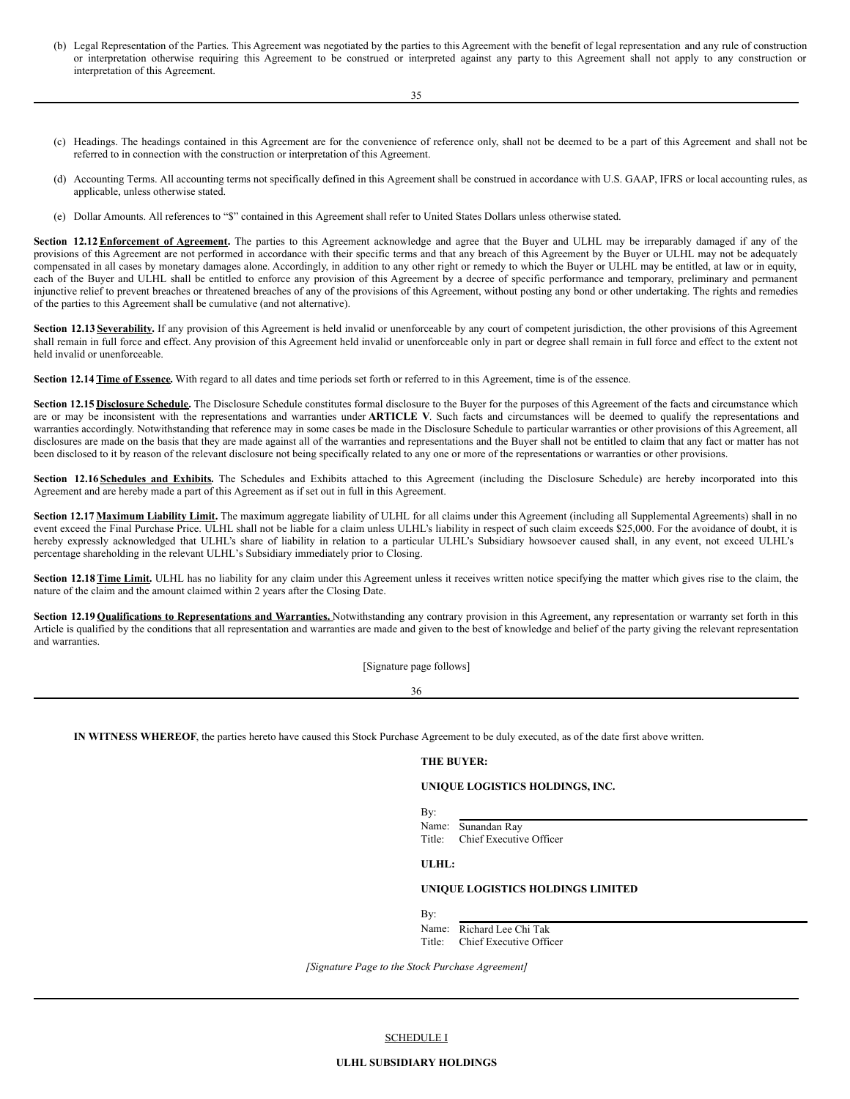- (b) Legal Representation of the Parties. This Agreement was negotiated by the parties to this Agreement with the benefit of legal representation and any rule of construction or interpretation otherwise requiring this Agreement to be construed or interpreted against any party to this Agreement shall not apply to any construction or interpretation of this Agreement.
	- 35
- (c) Headings. The headings contained in this Agreement are for the convenience of reference only, shall not be deemed to be a part of this Agreement and shall not be referred to in connection with the construction or interpretation of this Agreement.
- (d) Accounting Terms. All accounting terms not specifically defined in this Agreement shall be construed in accordance with U.S. GAAP, IFRS or local accounting rules, as applicable, unless otherwise stated.
- (e) Dollar Amounts. All references to "\$" contained in this Agreement shall refer to United States Dollars unless otherwise stated.

Section 12.12 Enforcement of Agreement. The parties to this Agreement acknowledge and agree that the Buyer and ULHL may be irreparably damaged if any of the provisions of this Agreement are not performed in accordance with their specific terms and that any breach of this Agreement by the Buyer or ULHL may not be adequately compensated in all cases by monetary damages alone. Accordingly, in addition to any other right or remedy to which the Buyer or ULHL may be entitled, at law or in equity, each of the Buyer and ULHL shall be entitled to enforce any provision of this Agreement by a decree of specific performance and temporary, preliminary and permanent injunctive relief to prevent breaches or threatened breaches of any of the provisions of this Agreement, without posting any bond or other undertaking. The rights and remedies of the parties to this Agreement shall be cumulative (and not alternative).

Section 12.13 Severability. If any provision of this Agreement is held invalid or unenforceable by any court of competent jurisdiction, the other provisions of this Agreement shall remain in full force and effect. Any provision of this Agreement held invalid or unenforceable only in part or degree shall remain in full force and effect to the extent not held invalid or unenforceable.

**Section 12.14Time of Essence.** With regard to all dates and time periods set forth or referred to in this Agreement, time is of the essence.

Section 12.15 Disclosure Schedule. The Disclosure Schedule constitutes formal disclosure to the Buyer for the purposes of this Agreement of the facts and circumstance which are or may be inconsistent with the representations and warranties under **ARTICLE V**. Such facts and circumstances will be deemed to qualify the representations and warranties accordingly. Notwithstanding that reference may in some cases be made in the Disclosure Schedule to particular warranties or other provisions of this Agreement, all disclosures are made on the basis that they are made against all of the warranties and representations and the Buyer shall not be entitled to claim that any fact or matter has not been disclosed to it by reason of the relevant disclosure not being specifically related to any one or more of the representations or warranties or other provisions.

**Section 12.16 Schedules and Exhibits.** The Schedules and Exhibits attached to this Agreement (including the Disclosure Schedule) are hereby incorporated into this Agreement and are hereby made a part of this Agreement as if set out in full in this Agreement.

**Section 12.17 Maximum Liability Limit.** The maximum aggregate liability of ULHL for all claims under this Agreement (including all Supplemental Agreements) shall in no event exceed the Final Purchase Price. ULHL shall not be liable for a claim unless ULHL's liability in respect of such claim exceeds \$25,000. For the avoidance of doubt, it is hereby expressly acknowledged that ULHL's share of liability in relation to a particular ULHL's Subsidiary howsoever caused shall, in any event, not exceed ULHL's percentage shareholding in the relevant ULHL's Subsidiary immediately prior to Closing.

Section 12.18 Time Limit. ULHL has no liability for any claim under this Agreement unless it receives written notice specifying the matter which gives rise to the claim, the nature of the claim and the amount claimed within 2 years after the Closing Date.

**Section 12.19 Qualifications to Representations and Warranties.** Notwithstanding any contrary provision in this Agreement, any representation or warranty set forth in this Article is qualified by the conditions that all representation and warranties are made and given to the best of knowledge and belief of the party giving the relevant representation and warranties.

[Signature page follows]

36

**IN WITNESS WHEREOF**, the parties hereto have caused this Stock Purchase Agreement to be duly executed, as of the date first above written.

#### **THE BUYER:**

#### **UNIQUE LOGISTICS HOLDINGS, INC.**

By:

Name: Sunandan Ray<br>Title: Chief Executiv Chief Executive Officer

**ULHL:**

#### **UNIQUE LOGISTICS HOLDINGS LIMITED**

By:

Name: Richard Lee Chi Tak Title: Chief Executive Officer

*[Signature Page to the Stock Purchase Agreement]*

#### SCHEDULE I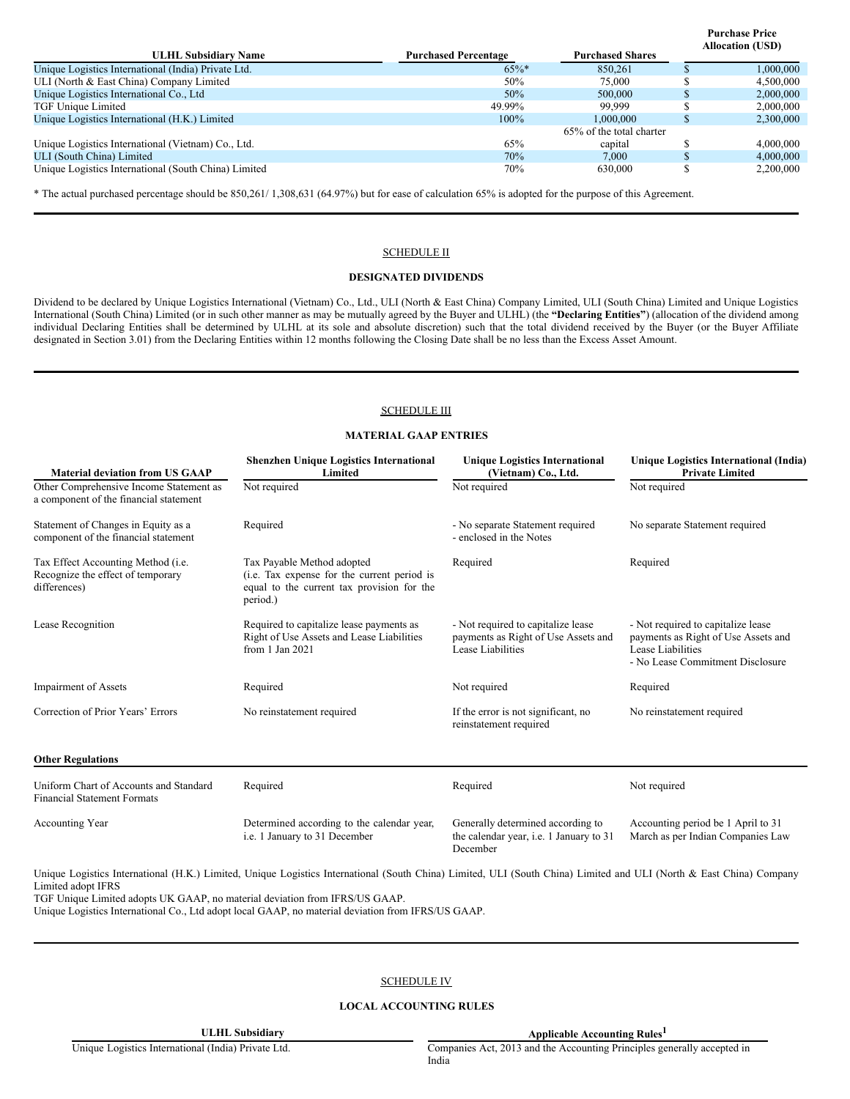| <b>ULHL Subsidiary Name</b>                          | <b>Purchased Percentage</b> | <b>Purchased Shares</b>  | <b>Allocation (USD)</b> |
|------------------------------------------------------|-----------------------------|--------------------------|-------------------------|
| Unique Logistics International (India) Private Ltd.  | $65\%$ *                    | 850.261                  | 1,000,000               |
| ULI (North & East China) Company Limited             | 50%                         | 75,000                   | 4,500,000               |
| Unique Logistics International Co., Ltd.             | 50%                         | 500,000                  | 2,000,000               |
| TGF Unique Limited                                   | 49.99%                      | 99,999                   | 2,000,000               |
| Unique Logistics International (H.K.) Limited        | $100\%$                     | 1.000.000                | 2,300,000               |
|                                                      |                             | 65% of the total charter |                         |
| Unique Logistics International (Vietnam) Co., Ltd.   | 65%                         | capital                  | 4,000,000               |
| ULI (South China) Limited                            | 70%                         | 7.000                    | 4,000,000               |
| Unique Logistics International (South China) Limited | 70%                         | 630,000                  | 2,200,000               |

**Purchase Price**

\* The actual purchased percentage should be 850,261/ 1,308,631 (64.97%) but for ease of calculation 65% is adopted for the purpose of this Agreement.

#### SCHEDULE II

#### **DESIGNATED DIVIDENDS**

Dividend to be declared by Unique Logistics International (Vietnam) Co., Ltd., ULI (North & East China) Company Limited, ULI (South China) Limited and Unique Logistics International (South China) Limited (or in such other manner as may be mutually agreed by the Buyer and ULHL) (the **"Declaring Entities"**) (allocation of the dividend among individual Declaring Entities shall be determined by ULHL at its sole and absolute discretion) such that the total dividend received by the Buyer (or the Buyer Affiliate designated in Section 3.01) from the Declaring Entities within 12 months following the Closing Date shall be no less than the Excess Asset Amount.

### SCHEDULE III

#### **MATERIAL GAAP ENTRIES**

| <b>Material deviation from US GAAP</b>                                                  | <b>Shenzhen Unique Logistics International</b><br>Limited                                                                           | <b>Unique Logistics International</b><br>(Vietnam) Co., Ltd.                                   | Unique Logistics International (India)<br><b>Private Limited</b>                                                                   |
|-----------------------------------------------------------------------------------------|-------------------------------------------------------------------------------------------------------------------------------------|------------------------------------------------------------------------------------------------|------------------------------------------------------------------------------------------------------------------------------------|
| Other Comprehensive Income Statement as<br>a component of the financial statement       | Not required                                                                                                                        | Not required                                                                                   | Not required                                                                                                                       |
| Statement of Changes in Equity as a<br>component of the financial statement             | Required                                                                                                                            | - No separate Statement required<br>- enclosed in the Notes                                    | No separate Statement required                                                                                                     |
| Tax Effect Accounting Method (i.e.<br>Recognize the effect of temporary<br>differences) | Tax Payable Method adopted<br>(i.e. Tax expense for the current period is<br>equal to the current tax provision for the<br>period.) | Required                                                                                       | Required                                                                                                                           |
| Lease Recognition                                                                       | Required to capitalize lease payments as<br>Right of Use Assets and Lease Liabilities<br>from 1 Jan 2021                            | - Not required to capitalize lease<br>payments as Right of Use Assets and<br>Lease Liabilities | - Not required to capitalize lease<br>payments as Right of Use Assets and<br>Lease Liabilities<br>- No Lease Commitment Disclosure |
| <b>Impairment of Assets</b>                                                             | Required                                                                                                                            | Not required                                                                                   | Required                                                                                                                           |
| Correction of Prior Years' Errors                                                       | No reinstatement required                                                                                                           | If the error is not significant, no<br>reinstatement required                                  | No reinstatement required                                                                                                          |
| <b>Other Regulations</b>                                                                |                                                                                                                                     |                                                                                                |                                                                                                                                    |
| Uniform Chart of Accounts and Standard<br><b>Financial Statement Formats</b>            | Required                                                                                                                            | Required                                                                                       | Not required                                                                                                                       |
| <b>Accounting Year</b>                                                                  | Determined according to the calendar year,<br>i.e. 1 January to 31 December                                                         | Generally determined according to<br>the calendar year, i.e. 1 January to 31<br>December       | Accounting period be 1 April to 31<br>March as per Indian Companies Law                                                            |

Unique Logistics International (H.K.) Limited, Unique Logistics International (South China) Limited, ULI (South China) Limited and ULI (North & East China) Company Limited adopt IFRS

TGF Unique Limited adopts UK GAAP, no material deviation from IFRS/US GAAP.

Unique Logistics International Co., Ltd adopt local GAAP, no material deviation from IFRS/US GAAP.

### SCHEDULE IV

#### **LOCAL ACCOUNTING RULES**

ULHL Subsidiary **Applicable** Accounting Rules<sup>1</sup>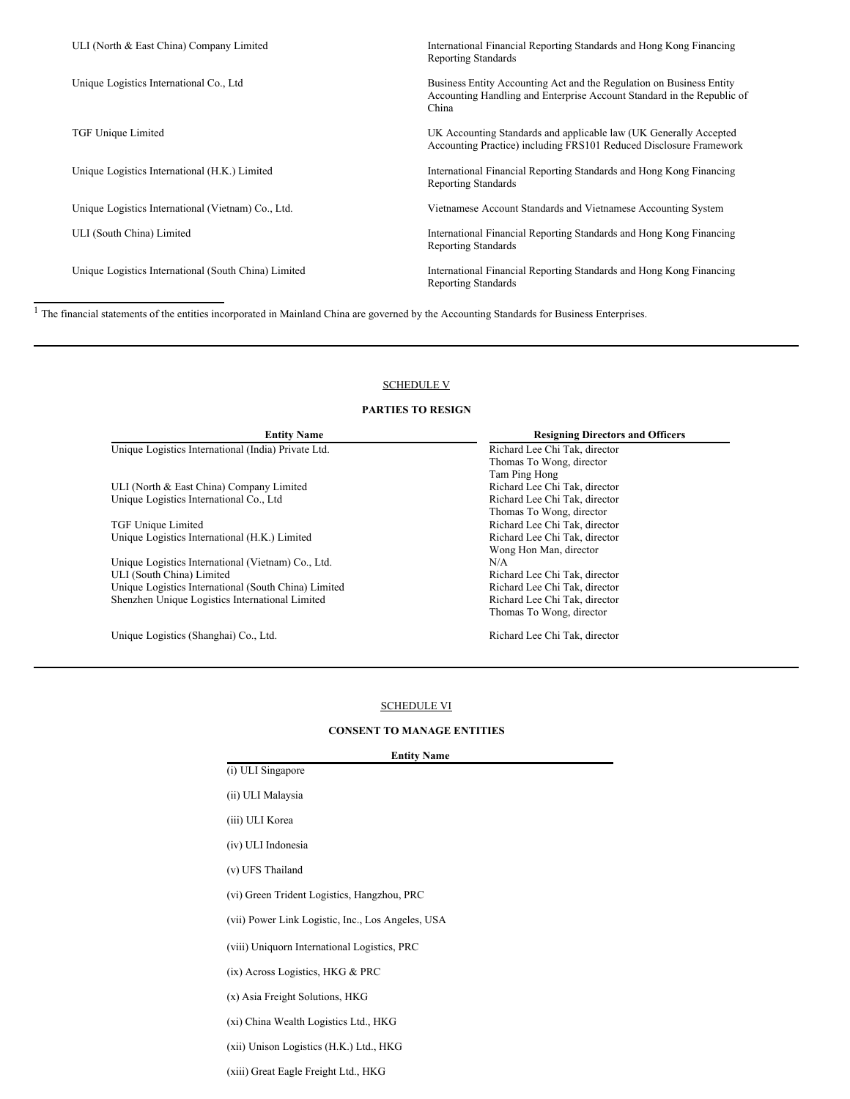| ULI (North & East China) Company Limited             | International Financial Reporting Standards and Hong Kong Financing<br><b>Reporting Standards</b>                                                       |
|------------------------------------------------------|---------------------------------------------------------------------------------------------------------------------------------------------------------|
| Unique Logistics International Co., Ltd.             | Business Entity Accounting Act and the Regulation on Business Entity<br>Accounting Handling and Enterprise Account Standard in the Republic of<br>China |
| TGF Unique Limited                                   | UK Accounting Standards and applicable law (UK Generally Accepted<br>Accounting Practice) including FRS101 Reduced Disclosure Framework                 |
| Unique Logistics International (H.K.) Limited        | International Financial Reporting Standards and Hong Kong Financing<br><b>Reporting Standards</b>                                                       |
| Unique Logistics International (Vietnam) Co., Ltd.   | Vietnamese Account Standards and Vietnamese Accounting System                                                                                           |
| ULI (South China) Limited                            | International Financial Reporting Standards and Hong Kong Financing<br><b>Reporting Standards</b>                                                       |
| Unique Logistics International (South China) Limited | International Financial Reporting Standards and Hong Kong Financing<br><b>Reporting Standards</b>                                                       |
|                                                      |                                                                                                                                                         |

<sup>1</sup> The financial statements of the entities incorporated in Mainland China are governed by the Accounting Standards for Business Enterprises.

# SCHEDULE V

# **PARTIES TO RESIGN**

| <b>Entity Name</b>                                   | <b>Resigning Directors and Officers</b> |
|------------------------------------------------------|-----------------------------------------|
| Unique Logistics International (India) Private Ltd.  | Richard Lee Chi Tak, director           |
|                                                      | Thomas To Wong, director                |
|                                                      | Tam Ping Hong                           |
| ULI (North & East China) Company Limited             | Richard Lee Chi Tak, director           |
| Unique Logistics International Co., Ltd.             | Richard Lee Chi Tak, director           |
|                                                      | Thomas To Wong, director                |
| TGF Unique Limited                                   | Richard Lee Chi Tak, director           |
| Unique Logistics International (H.K.) Limited        | Richard Lee Chi Tak, director           |
|                                                      | Wong Hon Man, director                  |
| Unique Logistics International (Vietnam) Co., Ltd.   | N/A                                     |
| ULI (South China) Limited                            | Richard Lee Chi Tak, director           |
| Unique Logistics International (South China) Limited | Richard Lee Chi Tak, director           |
| Shenzhen Unique Logistics International Limited      | Richard Lee Chi Tak, director           |
|                                                      | Thomas To Wong, director                |
| Unique Logistics (Shanghai) Co., Ltd.                | Richard Lee Chi Tak, director           |

# SCHEDULE VI

# **CONSENT TO MANAGE ENTITIES**

| <b>Entity Name</b> |
|--------------------|
|                    |
|                    |

| (i) ULI Singapore                                 |
|---------------------------------------------------|
| (ii) ULI Malaysia                                 |
| (iii) ULI Korea                                   |
| (iv) ULI Indonesia                                |
| (v) UFS Thailand                                  |
| (vi) Green Trident Logistics, Hangzhou, PRC       |
| (vii) Power Link Logistic, Inc., Los Angeles, USA |
| (viii) Uniquorn International Logistics, PRC      |
| $(ix)$ Across Logistics, HKG & PRC                |
| (x) Asia Freight Solutions, HKG                   |
| (xi) China Wealth Logistics Ltd., HKG             |
| (xii) Unison Logistics (H.K.) Ltd., HKG           |

(xiii) Great Eagle Freight Ltd., HKG